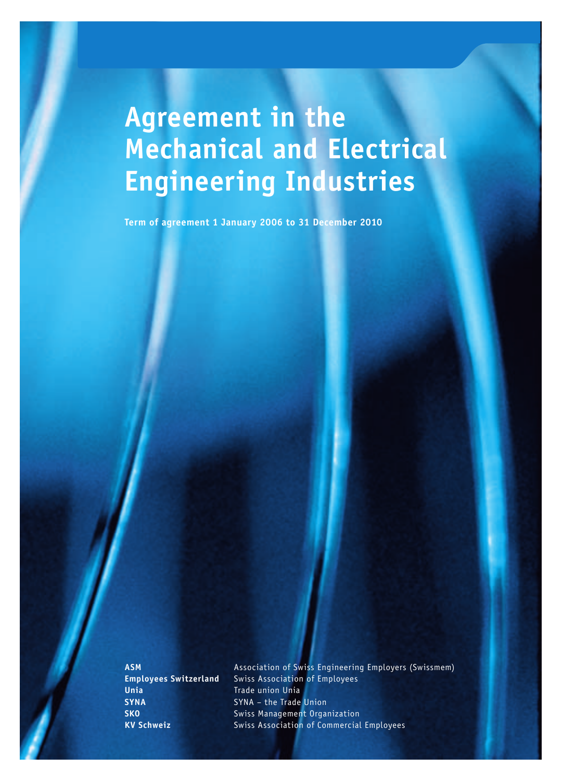# **Agreement in the Mechanical and Electrical Engineering Industries**

**Term of agreement 1 January 2006 to 31 December 2010**

**Unia** Trade union Unia **SYNA SYNA** – the Trade Union

**ASM** Association of Swiss Engineering Employers (Swissmem) **Employees Switzerland** Swiss Association of Employees **SKO** Swiss Management Organization **KV Schweiz Swiss Association of Commercial Employees**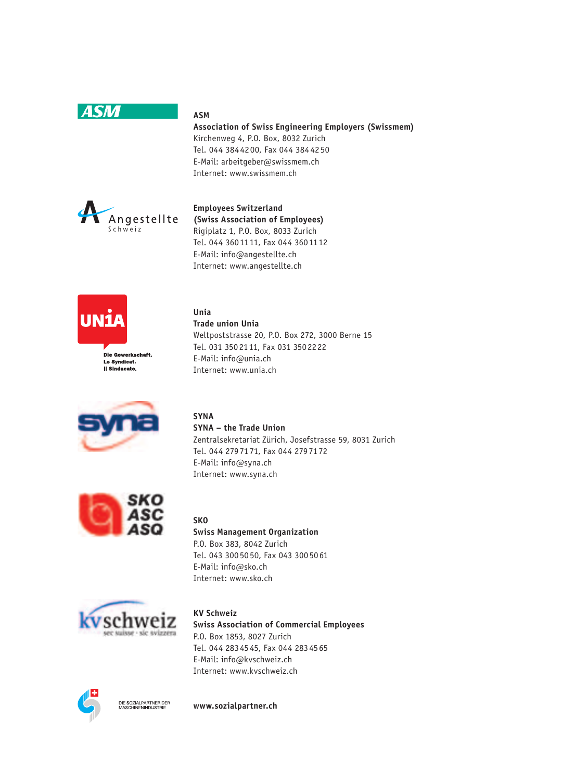

#### **ASM**

**Association of Swiss Engineering Employers (Swissmem)** Kirchenweg 4, P.O. Box, 8032 Zurich Tel. 044 384 42 00, Fax 044 384 42 50 E-Mail: arbeitgeber@swissmem.ch Internet: www.swissmem.ch



**Employees Switzerland (Swiss Association of Employees)** Rigiplatz 1, P.O. Box, 8033 Zurich Tel. 044 360 11 11, Fax 044 360 11 12 E-Mail: info@angestellte.ch Internet: www.angestellte.ch

Tel. 031 350 21 11, Fax 031 350 22 22



Die Gewerkschaft. Le Syndicat. Il Sindacato.





#### **SYNA**

**Unia**

**Trade union Unia**

E-Mail: info@unia.ch Internet: www.unia.ch

**SYNA – the Trade Union** Zentralsekretariat Zürich, Josefstrasse 59, 8031 Zurich Tel. 044 279 71 71, Fax 044 279 71 72 E-Mail: info@syna.ch Internet: www.syna.ch

Weltpoststrasse 20, P.O. Box 272, 3000 Berne 15

## **SKO**

**Swiss Management Organization** P.O. Box 383, 8042 Zurich Tel. 043 300 50 50, Fax 043 300 50 61 E-Mail: info@sko.ch Internet: www.sko.ch



**KV Schweiz Swiss Association of Commercial Employees** P.O. Box 1853, 8027 Zurich Tel. 044 283 45 45, Fax 044 283 45 65 E-Mail: info@kvschweiz.ch Internet: www.kvschweiz.ch



DIE SOZIALPARTNER DER<br>MASCHINENINDUSTRIE

**www.sozialpartner.ch**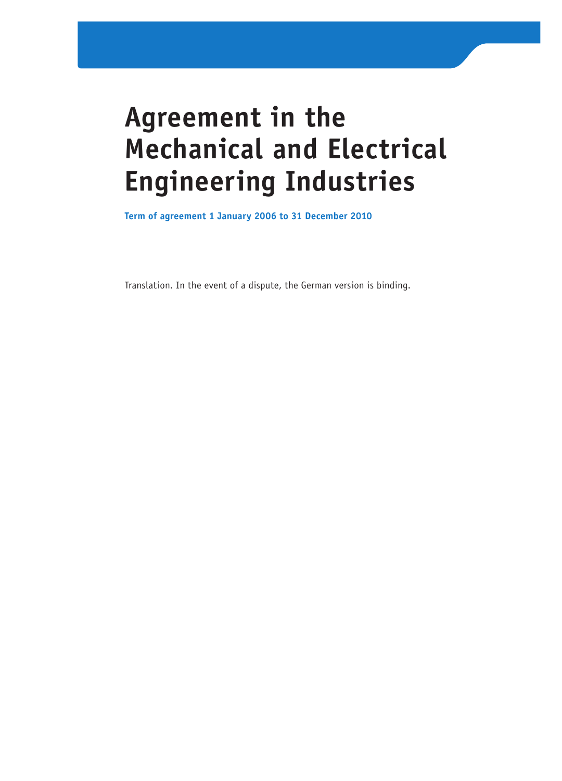# **Agreement in the Mechanical and Electrical Engineering Industries**

**Term of agreement 1 January 2006 to 31 December 2010**

Translation. In the event of a dispute, the German version is binding.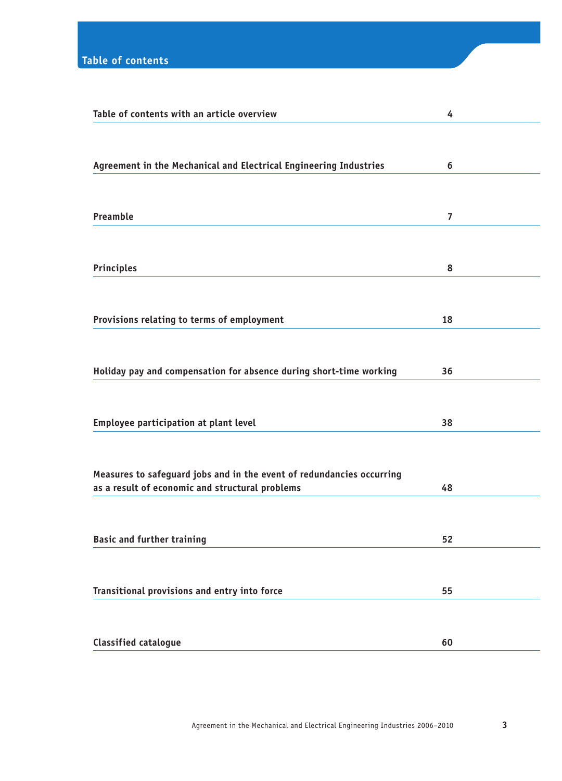| Table of contents with an article overview                            | 4  |  |
|-----------------------------------------------------------------------|----|--|
|                                                                       |    |  |
| Agreement in the Mechanical and Electrical Engineering Industries     | 6  |  |
|                                                                       |    |  |
| Preamble                                                              | 7  |  |
|                                                                       |    |  |
| Principles                                                            | 8  |  |
|                                                                       |    |  |
| Provisions relating to terms of employment                            | 18 |  |
|                                                                       |    |  |
| Holiday pay and compensation for absence during short-time working    | 36 |  |
|                                                                       |    |  |
| Employee participation at plant level                                 | 38 |  |
|                                                                       |    |  |
| Measures to safeguard jobs and in the event of redundancies occurring |    |  |
| as a result of economic and structural problems                       | 48 |  |
|                                                                       |    |  |
| <b>Basic and further training</b>                                     | 52 |  |
|                                                                       |    |  |
| Transitional provisions and entry into force                          | 55 |  |
|                                                                       |    |  |
| <b>Classified catalogue</b>                                           | 60 |  |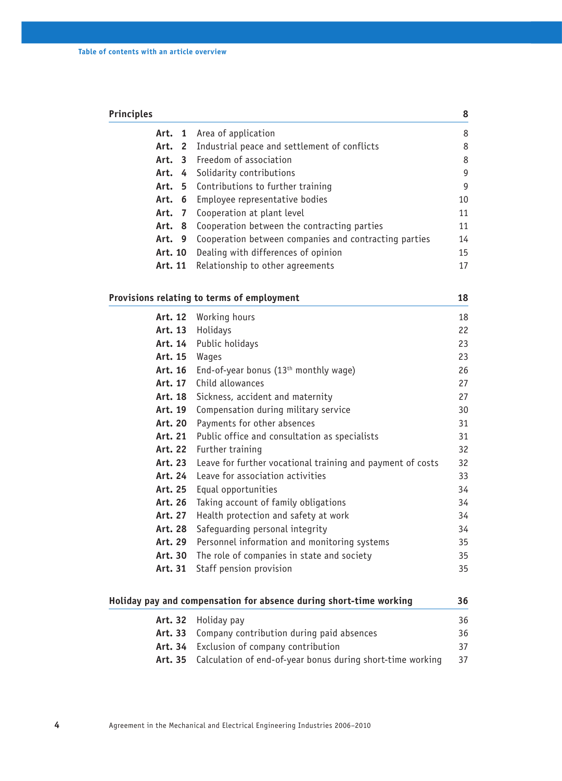| Principles |         |                                                       | 8  |
|------------|---------|-------------------------------------------------------|----|
|            |         | <b>Art.</b> 1 Area of application                     | 8  |
|            |         | Art. 2 Industrial peace and settlement of conflicts   | 8  |
|            |         | Art. 3 Freedom of association                         | 8  |
|            |         | Art. 4 Solidarity contributions                       | 9  |
|            |         | Art. 5 Contributions to further training              | 9  |
|            |         | Art. 6 Employee representative bodies                 | 10 |
|            |         | <b>Art. 7</b> Cooperation at plant level              | 11 |
|            |         | Art. 8 Cooperation between the contracting parties    | 11 |
|            | Art. 9  | Cooperation between companies and contracting parties | 14 |
|            | Art. 10 | Dealing with differences of opinion                   | 15 |
|            |         | Art. 11 Relationship to other agreements              | 17 |
|            |         |                                                       |    |

## Provisions relating to terms of employment **18**

| Art. 12 | Working hours                                              | 18 |
|---------|------------------------------------------------------------|----|
| Art. 13 | Holidays                                                   | 22 |
| Art. 14 | Public holidays                                            | 23 |
| Art. 15 | Wages                                                      | 23 |
| Art. 16 | End-of-year bonus $(13th$ monthly wage)                    | 26 |
| Art. 17 | Child allowances                                           | 27 |
| Art. 18 | Sickness, accident and maternity                           | 27 |
| Art. 19 | Compensation during military service                       | 30 |
| Art. 20 | Payments for other absences                                | 31 |
| Art. 21 | Public office and consultation as specialists              | 31 |
| Art. 22 | Further training                                           | 32 |
| Art. 23 | Leave for further vocational training and payment of costs | 32 |
| Art. 24 | Leave for association activities                           | 33 |
| Art. 25 | Equal opportunities                                        | 34 |
| Art. 26 | Taking account of family obligations                       | 34 |
| Art. 27 | Health protection and safety at work                       | 34 |
| Art. 28 | Safeguarding personal integrity                            | 34 |
| Art. 29 | Personnel information and monitoring systems               | 35 |
| Art. 30 | The role of companies in state and society                 | 35 |
| Art. 31 | Staff pension provision                                    | 35 |
|         |                                                            |    |

| Holiday pay and compensation for absence during short-time working |                                                   |    |
|--------------------------------------------------------------------|---------------------------------------------------|----|
|                                                                    | <b>Art. 32</b> Holiday pay                        | 36 |
|                                                                    | Art. 33 Company contribution during paid absences | 36 |
|                                                                    | Art. 34 Exclusion of company contribution         | 37 |

**Art. 35** Calculation of end-of-year bonus during short-time working 37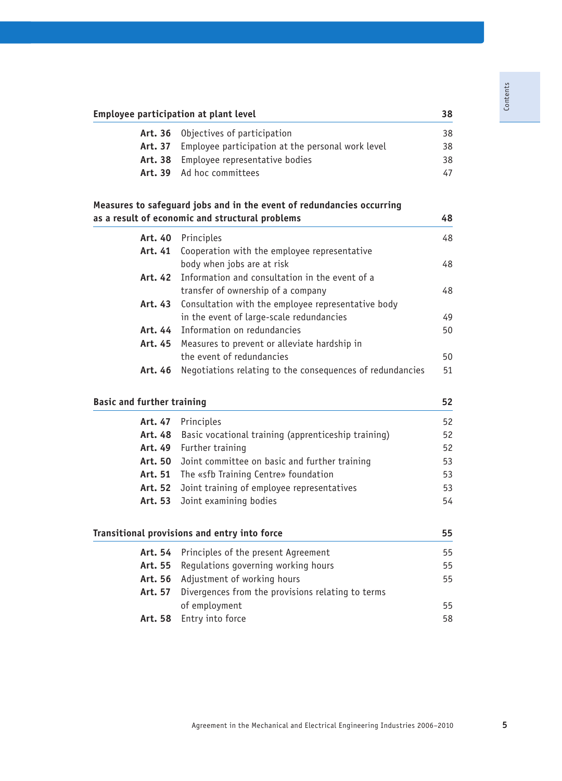## **Employee participation at plant level 38**

| Art. 36 Objectives of participation                       | 38 |
|-----------------------------------------------------------|----|
| Art. 37 Employee participation at the personal work level | 38 |
| Art. 38 Employee representative bodies                    | 38 |
| Art. 39 Ad hoc committees                                 | 47 |
|                                                           |    |

## **Measures to safeguard jobs and in the event of redundancies occurring as a result of economic and structural problems 48**

| Art. 40 | Principles                                                 | 48 |
|---------|------------------------------------------------------------|----|
|         | Art. 41 Cooperation with the employee representative       |    |
|         | body when jobs are at risk                                 | 48 |
|         | Art. 42 Information and consultation in the event of a     |    |
|         | transfer of ownership of a company                         | 48 |
|         | Art. 43 Consultation with the employee representative body |    |
|         | in the event of large-scale redundancies                   | 49 |
|         | Art. 44 Information on redundancies                        | 50 |
|         | Art. 45 Measures to prevent or alleviate hardship in       |    |
|         | the event of redundancies                                  | 50 |
| Art. 46 | Negotiations relating to the consequences of redundancies  | 51 |

## **Basic and further training 52**

| Art. 47 Principles                                                 | 52 |
|--------------------------------------------------------------------|----|
| <b>Art. 48</b> Basic vocational training (apprenticeship training) | 52 |
| Art. 49 Further training                                           | 52 |
| Art. 50 Joint committee on basic and further training              | 53 |
| <b>Art. 51</b> The «sfb Training Centre» foundation                | 53 |
| Art. 52 Joint training of employee representatives                 | 53 |
| Art. 53 Joint examining bodies                                     | 54 |
|                                                                    |    |

## **Transitional provisions and entry into force 55**

| Art. 54 Principles of the present Agreement               | 55  |
|-----------------------------------------------------------|-----|
| Art. 55 Regulations governing working hours               | 55. |
| Art. 56 Adjustment of working hours                       | 55  |
| Art. 57 Divergences from the provisions relating to terms |     |
| of employment                                             | 55  |
| Art. 58 Entry into force                                  | 58  |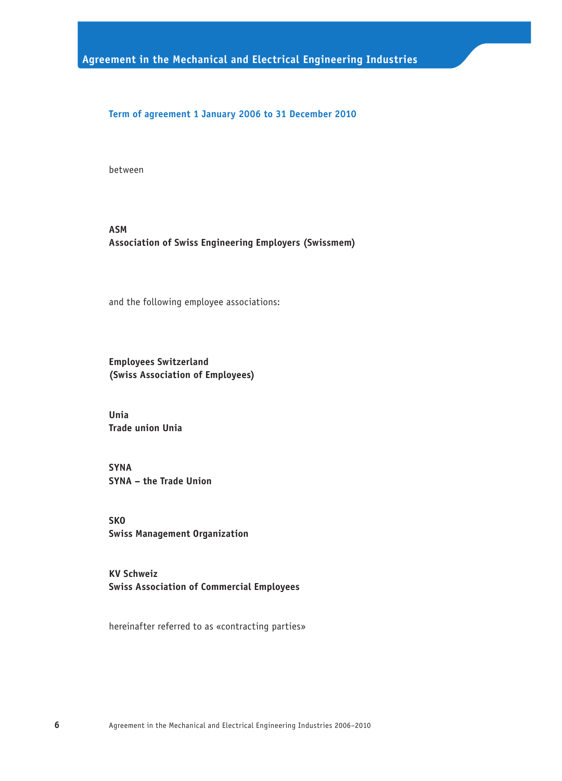**Term of agreement 1 January 2006 to 31 December 2010**

between

## **ASM Association of Swiss Engineering Employers (Swissmem)**

and the following employee associations:

**Employees Switzerland (Swiss Association of Employees)**

**Unia Trade union Unia**

**SYNA SYNA – the Trade Union**

**SKO Swiss Management Organization**

**KV Schweiz Swiss Association of Commercial Employees**

hereinafter referred to as «contracting parties»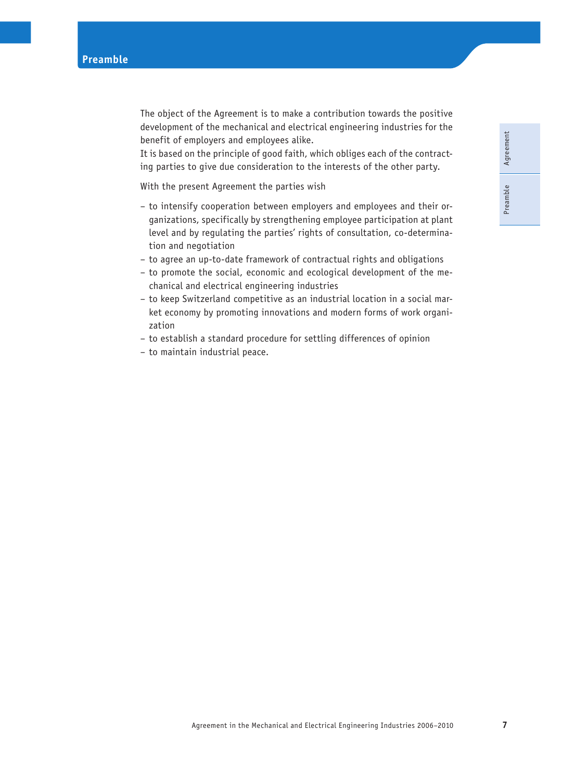The object of the Agreement is to make a contribution towards the positive development of the mechanical and electrical engineering industries for the benefit of employers and employees alike.

It is based on the principle of good faith, which obliges each of the contracting parties to give due consideration to the interests of the other party.

With the present Agreement the parties wish

- to intensify cooperation between employers and employees and their organizations, specifically by strengthening employee participation at plant level and by regulating the parties' rights of consultation, co-determination and negotiation
- to agree an up-to-date framework of contractual rights and obligations
- to promote the social, economic and ecological development of the mechanical and electrical engineering industries
- to keep Switzerland competitive as an industrial location in a social market economy by promoting innovations and modern forms of work organization
- to establish a standard procedure for settling differences of opinion
- to maintain industrial peace.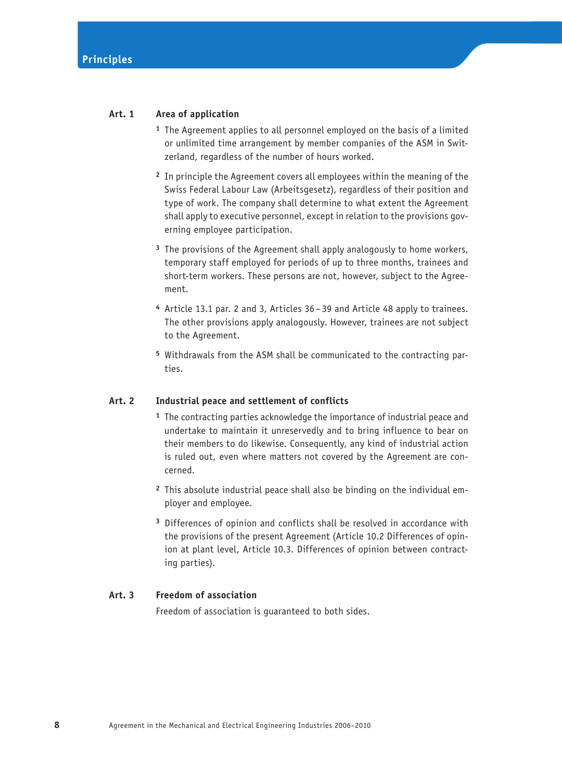## **Art. 1 Area of application**

- **<sup>1</sup>** The Agreement applies to all personnel employed on the basis of a limited or unlimited time arrangement by member companies of the ASM in Switzerland, regardless of the number of hours worked.
- **<sup>2</sup>** In principle the Agreement covers all employees within the meaning of the Swiss Federal Labour Law (Arbeitsgesetz), regardless of their position and type of work. The company shall determine to what extent the Agreement shall apply to executive personnel, except in relation to the provisions governing employee participation.
- **<sup>3</sup>** The provisions of the Agreement shall apply analogously to home workers, temporary staff employed for periods of up to three months, trainees and short-term workers. These persons are not, however, subject to the Agreement.
- **<sup>4</sup>** Article 13.1 par. 2 and 3, Articles 36 39 and Article 48 apply to trainees. The other provisions apply analogously. However, trainees are not subject to the Agreement.
- **5** Withdrawals from the ASM shall be communicated to the contracting parties.

## **Art. 2 Industrial peace and settlement of conflicts**

- **<sup>1</sup>** The contracting parties acknowledge the importance of industrial peace and undertake to maintain it unreservedly and to bring influence to bear on their members to do likewise. Consequently, any kind of industrial action is ruled out, even where matters not covered by the Agreement are concerned.
- **2** This absolute industrial peace shall also be binding on the individual employer and employee.
- **<sup>3</sup>** Differences of opinion and conflicts shall be resolved in accordance with the provisions of the present Agreement (Article 10.2 Differences of opinion at plant level, Article 10.3. Differences of opinion between contracting parties).

## **Art. 3 Freedom of association**

Freedom of association is guaranteed to both sides.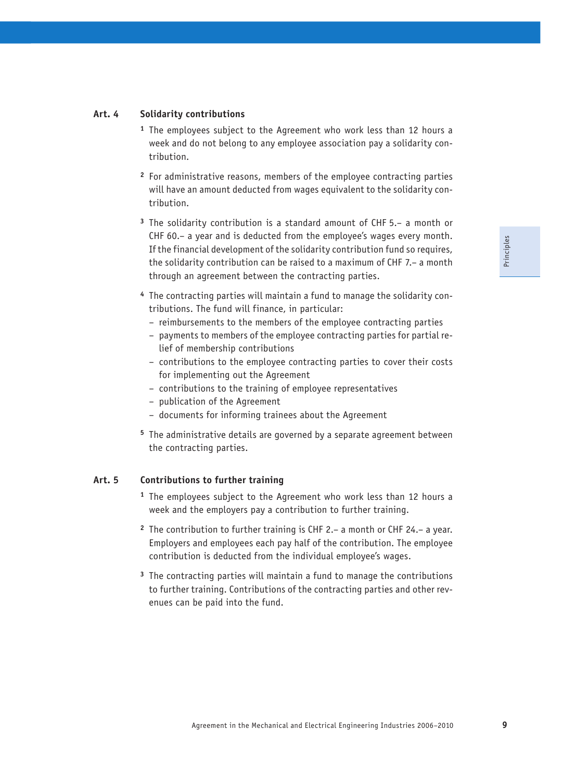## **Art. 4 Solidarity contributions**

- **<sup>1</sup>** The employees subject to the Agreement who work less than 12 hours a week and do not belong to any employee association pay a solidarity contribution.
- **<sup>2</sup>** For administrative reasons, members of the employee contracting parties will have an amount deducted from wages equivalent to the solidarity contribution.
- **<sup>3</sup>** The solidarity contribution is a standard amount of CHF 5.– a month or CHF 60.– a year and is deducted from the employee's wages every month. If the financial development of the solidarity contribution fund so requires, the solidarity contribution can be raised to a maximum of CHF 7.– a month through an agreement between the contracting parties.
- **4** The contracting parties will maintain a fund to manage the solidarity contributions. The fund will finance, in particular:
	- reimbursements to the members of the employee contracting parties
	- payments to members of the employee contracting parties for partial relief of membership contributions
	- contributions to the employee contracting parties to cover their costs for implementing out the Agreement
	- contributions to the training of employee representatives
	- publication of the Agreement
	- documents for informing trainees about the Agreement
- **<sup>5</sup>** The administrative details are governed by a separate agreement between the contracting parties.

## **Art. 5 Contributions to further training**

- **<sup>1</sup>** The employees subject to the Agreement who work less than 12 hours a week and the employers pay a contribution to further training.
- **<sup>2</sup>** The contribution to further training is CHF 2.– a month or CHF 24.– a year. Employers and employees each pay half of the contribution. The employee contribution is deducted from the individual employee's wages.
- **<sup>3</sup>** The contracting parties will maintain a fund to manage the contributions to further training. Contributions of the contracting parties and other revenues can be paid into the fund.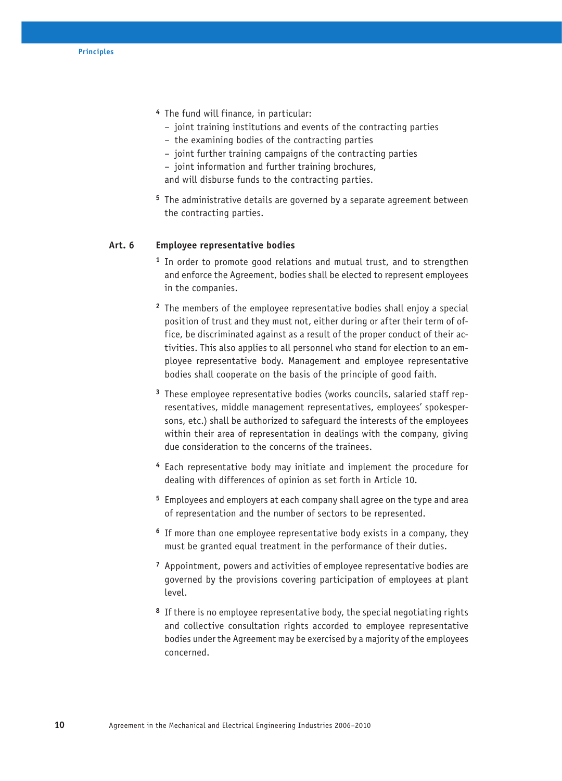- **<sup>4</sup>** The fund will finance, in particular:
	- joint training institutions and events of the contracting parties
	- the examining bodies of the contracting parties
	- joint further training campaigns of the contracting parties
	- joint information and further training brochures,
	- and will disburse funds to the contracting parties.
- **<sup>5</sup>** The administrative details are governed by a separate agreement between the contracting parties.

## **Art. 6 Employee representative bodies**

- **<sup>1</sup>** In order to promote good relations and mutual trust, and to strengthen and enforce the Agreement, bodies shall be elected to represent employees in the companies.
- **<sup>2</sup>** The members of the employee representative bodies shall enjoy a special position of trust and they must not, either during or after their term of office, be discriminated against as a result of the proper conduct of their activities. This also applies to all personnel who stand for election to an employee representative body. Management and employee representative bodies shall cooperate on the basis of the principle of good faith.
- **3** These employee representative bodies (works councils, salaried staff representatives, middle management representatives, employees' spokespersons, etc.) shall be authorized to safeguard the interests of the employees within their area of representation in dealings with the company, giving due consideration to the concerns of the trainees.
- **<sup>4</sup>** Each representative body may initiate and implement the procedure for dealing with differences of opinion as set forth in Article 10.
- **<sup>5</sup>** Employees and employers at each company shall agree on the type and area of representation and the number of sectors to be represented.
- **<sup>6</sup>** If more than one employee representative body exists in a company, they must be granted equal treatment in the performance of their duties.
- **<sup>7</sup>** Appointment, powers and activities of employee representative bodies are governed by the provisions covering participation of employees at plant level.
- **<sup>8</sup>** If there is no employee representative body, the special negotiating rights and collective consultation rights accorded to employee representative bodies under the Agreement may be exercised by a majority of the employees concerned.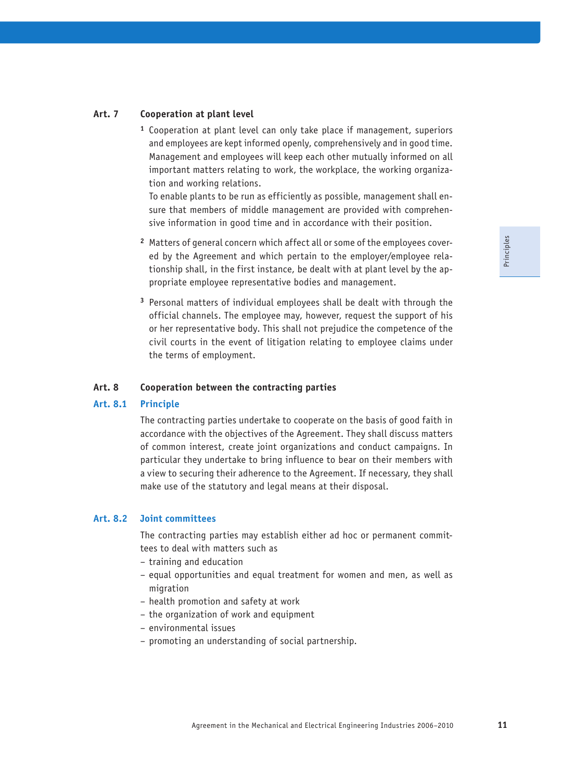## **Art. 7 Cooperation at plant level**

**<sup>1</sup>** Cooperation at plant level can only take place if management, superiors and employees are kept informed openly, comprehensively and in good time. Management and employees will keep each other mutually informed on all important matters relating to work, the workplace, the working organization and working relations.

 To enable plants to be run as efficiently as possible, management shall ensure that members of middle management are provided with comprehensive information in good time and in accordance with their position.

- **2** Matters of general concern which affect all or some of the employees covered by the Agreement and which pertain to the employer/employee relationship shall, in the first instance, be dealt with at plant level by the appropriate employee representative bodies and management.
- **<sup>3</sup>** Personal matters of individual employees shall be dealt with through the official channels. The employee may, however, request the support of his or her representative body. This shall not prejudice the competence of the civil courts in the event of litigation relating to employee claims under the terms of employment.

#### **Art. 8 Cooperation between the contracting parties**

## **Art. 8.1 Principle**

The contracting parties undertake to cooperate on the basis of good faith in accordance with the objectives of the Agreement. They shall discuss matters of common interest, create joint organizations and conduct campaigns. In particular they undertake to bring influence to bear on their members with a view to securing their adherence to the Agreement. If necessary, they shall make use of the statutory and legal means at their disposal.

#### **Art. 8.2 Joint committees**

The contracting parties may establish either ad hoc or permanent committees to deal with matters such as

- training and education
- equal opportunities and equal treatment for women and men, as well as migration
- health promotion and safety at work
- the organization of work and equipment
- environmental issues
- promoting an understanding of social partnership.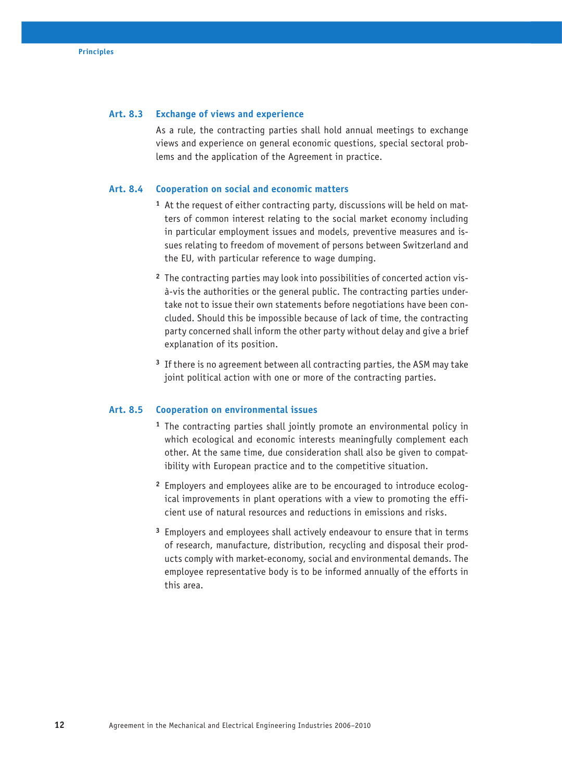## **Art. 8.3 Exchange of views and experience**

As a rule, the contracting parties shall hold annual meetings to exchange views and experience on general economic questions, special sectoral problems and the application of the Agreement in practice.

## **Art. 8.4 Cooperation on social and economic matters**

- **1** At the request of either contracting party, discussions will be held on matters of common interest relating to the social market economy including in particular employment issues and models, preventive measures and issues relating to freedom of movement of persons between Switzerland and the EU, with particular reference to wage dumping.
- **2** The contracting parties may look into possibilities of concerted action visà-vis the authorities or the general public. The contracting parties undertake not to issue their own statements before negotiations have been concluded. Should this be impossible because of lack of time, the contracting party concerned shall inform the other party without delay and give a brief explanation of its position.
- **<sup>3</sup>** If there is no agreement between all contracting parties, the ASM may take joint political action with one or more of the contracting parties.

#### **Art. 8.5 Cooperation on environmental issues**

- **<sup>1</sup>** The contracting parties shall jointly promote an environmental policy in which ecological and economic interests meaningfully complement each other. At the same time, due consideration shall also be given to compatibility with European practice and to the competitive situation.
- **2** Employers and employees alike are to be encouraged to introduce ecological improvements in plant operations with a view to promoting the efficient use of natural resources and reductions in emissions and risks.
- **<sup>3</sup>** Employers and employees shall actively endeavour to ensure that in terms of research, manufacture, distribution, recycling and disposal their products comply with market-economy, social and environmental demands. The employee representative body is to be informed annually of the efforts in this area.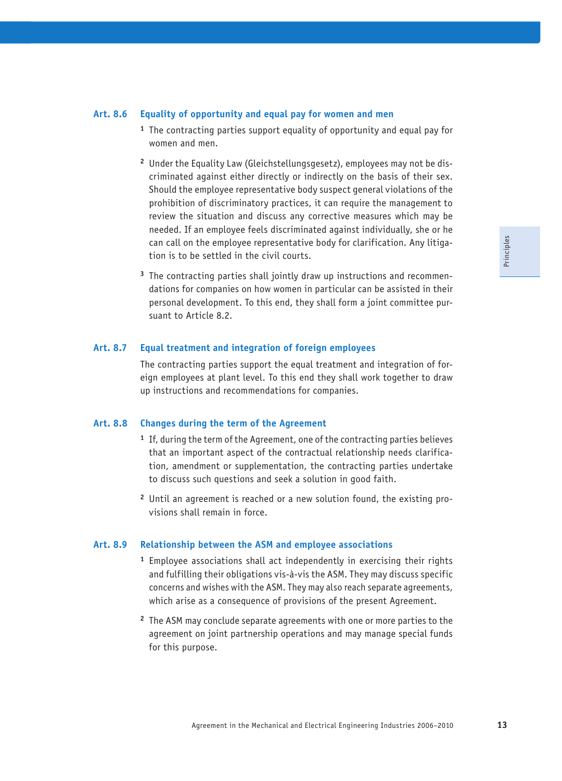## **Art. 8.6 Equality of opportunity and equal pay for women and men**

- **<sup>1</sup>** The contracting parties support equality of opportunity and equal pay for women and men.
- **2** Under the Equality Law (Gleichstellungsgesetz), employees may not be discriminated against either directly or indirectly on the basis of their sex. Should the employee representative body suspect general violations of the prohibition of discriminatory practices, it can require the management to review the situation and discuss any corrective measures which may be needed. If an employee feels discriminated against individually, she or he can call on the employee representative body for clarification. Any litigation is to be settled in the civil courts.
- **3** The contracting parties shall jointly draw up instructions and recommendations for companies on how women in particular can be assisted in their personal development. To this end, they shall form a joint committee pursuant to Article 8.2.

#### **Art. 8.7 Equal treatment and integration of foreign employees**

The contracting parties support the equal treatment and integration of foreign employees at plant level. To this end they shall work together to draw up instructions and recommendations for companies.

#### **Art. 8.8 Changes during the term of the Agreement**

- **<sup>1</sup>** If, during the term of the Agreement, one of the contracting parties believes that an important aspect of the contractual relationship needs clarification, amendment or supplementation, the contracting parties undertake to discuss such questions and seek a solution in good faith.
- **2** Until an agreement is reached or a new solution found, the existing provisions shall remain in force.

#### **Art. 8.9 Relationship between the ASM and employee associations**

- **<sup>1</sup>** Employee associations shall act independently in exercising their rights and fulfilling their obligations vis-à-vis the ASM. They may discuss specific concerns and wishes with the ASM. They may also reach separate agreements, which arise as a consequence of provisions of the present Agreement.
- **<sup>2</sup>** The ASM may conclude separate agreements with one or more parties to the agreement on joint partnership operations and may manage special funds for this purpose.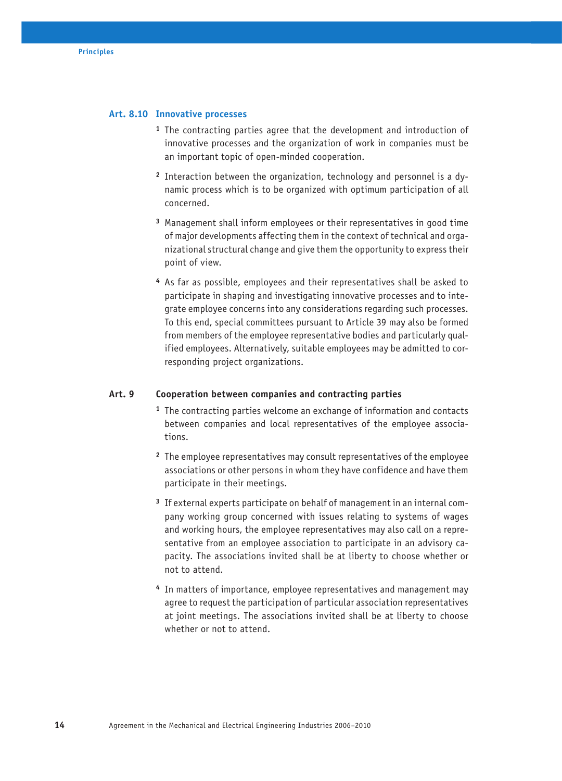## **Art. 8.10 Innovative processes**

- **<sup>1</sup>** The contracting parties agree that the development and introduction of innovative processes and the organization of work in companies must be an important topic of open-minded cooperation.
- **2** Interaction between the organization, technology and personnel is a dynamic process which is to be organized with optimum participation of all concerned.
- **<sup>3</sup>** Management shall inform employees or their representatives in good time of major developments affecting them in the context of technical and organizational structural change and give them the opportunity to express their point of view.
- **<sup>4</sup>** As far as possible, employees and their representatives shall be asked to participate in shaping and investigating innovative processes and to integrate employee concerns into any considerations regarding such processes. To this end, special committees pursuant to Article 39 may also be formed from members of the employee representative bodies and particularly qualified employees. Alternatively, suitable employees may be admitted to corresponding project organizations.

## **Art. 9 Cooperation between companies and contracting parties**

- **<sup>1</sup>** The contracting parties welcome an exchange of information and contacts between companies and local representatives of the employee associations.
- **<sup>2</sup>** The employee representatives may consult representatives of the employee associations or other persons in whom they have confidence and have them participate in their meetings.
- **3** If external experts participate on behalf of management in an internal company working group concerned with issues relating to systems of wages and working hours, the employee representatives may also call on a representative from an employee association to participate in an advisory capacity. The associations invited shall be at liberty to choose whether or not to attend.
- **<sup>4</sup>** In matters of importance, employee representatives and management may agree to request the participation of particular association representatives at joint meetings. The associations invited shall be at liberty to choose whether or not to attend.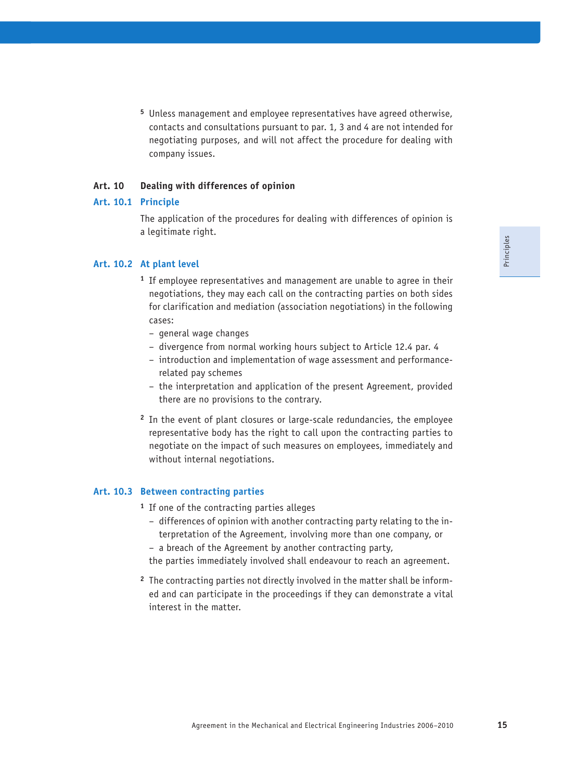**<sup>5</sup>** Unless management and employee representatives have agreed otherwise, contacts and consultations pursuant to par. 1, 3 and 4 are not intended for negotiating purposes, and will not affect the procedure for dealing with company issues.

#### **Art. 10 Dealing with differences of opinion**

#### **Art. 10.1 Principle**

The application of the procedures for dealing with differences of opinion is a legitimate right.

## **Art. 10.2 At plant level**

- **<sup>1</sup>** If employee representatives and management are unable to agree in their negotiations, they may each call on the contracting parties on both sides for clarification and mediation (association negotiations) in the following cases:
	- general wage changes
	- divergence from normal working hours subject to Article 12.4 par. 4
	- introduction and implementation of wage assessment and performancerelated pay schemes
	- the interpretation and application of the present Agreement, provided there are no provisions to the contrary.
- **<sup>2</sup>** In the event of plant closures or large-scale redundancies, the employee representative body has the right to call upon the contracting parties to negotiate on the impact of such measures on employees, immediately and without internal negotiations.

## **Art. 10.3 Between contracting parties**

- **<sup>1</sup>** If one of the contracting parties alleges
	- differences of opinion with another contracting party relating to the interpretation of the Agreement, involving more than one company, or
	- a breach of the Agreement by another contracting party,
	- the parties immediately involved shall endeavour to reach an agreement.
- **2** The contracting parties not directly involved in the matter shall be informed and can participate in the proceedings if they can demonstrate a vital interest in the matter.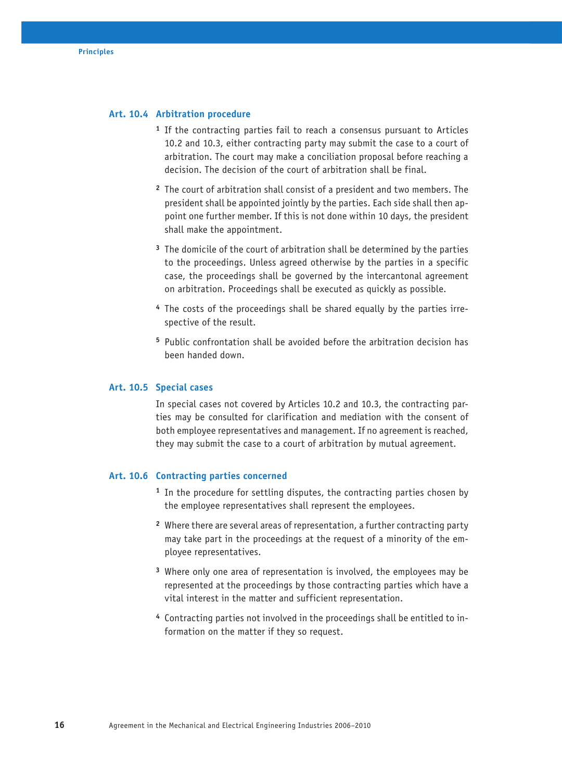## **Art. 10.4 Arbitration procedure**

- **<sup>1</sup>** If the contracting parties fail to reach a consensus pursuant to Articles 10.2 and 10.3, either contracting party may submit the case to a court of arbitration. The court may make a conciliation proposal before reaching a decision. The decision of the court of arbitration shall be final.
- **<sup>2</sup>** The court of arbitration shall consist of a president and two members. The president shall be appointed jointly by the parties. Each side shall then appoint one further member. If this is not done within 10 days, the president shall make the appointment.
- **<sup>3</sup>** The domicile of the court of arbitration shall be determined by the parties to the proceedings. Unless agreed otherwise by the parties in a specific case, the proceedings shall be governed by the intercantonal agreement on arbitration. Proceedings shall be executed as quickly as possible.
- **4** The costs of the proceedings shall be shared equally by the parties irrespective of the result.
- **<sup>5</sup>** Public confrontation shall be avoided before the arbitration decision has been handed down.

#### **Art. 10.5 Special cases**

In special cases not covered by Articles 10.2 and 10.3, the contracting parties may be consulted for clarification and mediation with the consent of both employee representatives and management. If no agreement is reached, they may submit the case to a court of arbitration by mutual agreement.

#### **Art. 10.6 Contracting parties concerned**

- **<sup>1</sup>** In the procedure for settling disputes, the contracting parties chosen by the employee representatives shall represent the employees.
- **<sup>2</sup>** Where there are several areas of representation, a further contracting party may take part in the proceedings at the request of a minority of the employee representatives.
- **<sup>3</sup>** Where only one area of representation is involved, the employees may be represented at the proceedings by those contracting parties which have a vital interest in the matter and sufficient representation.
- **4** Contracting parties not involved in the proceedings shall be entitled to information on the matter if they so request.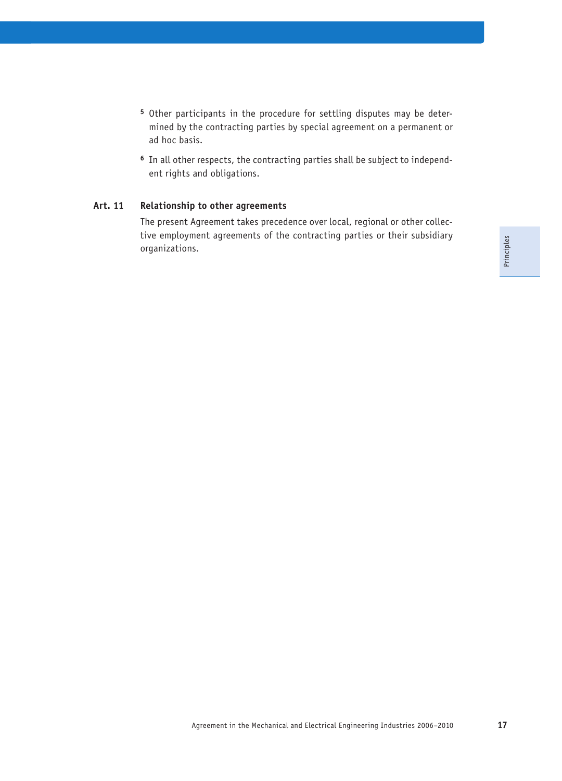- **5** Other participants in the procedure for settling disputes may be determined by the contracting parties by special agreement on a permanent or ad hoc basis.
- **6** In all other respects, the contracting parties shall be subject to independent rights and obligations.

## **Art. 11 Relationship to other agreements**

The present Agreement takes precedence over local, regional or other collective employment agreements of the contracting parties or their subsidiary organizations.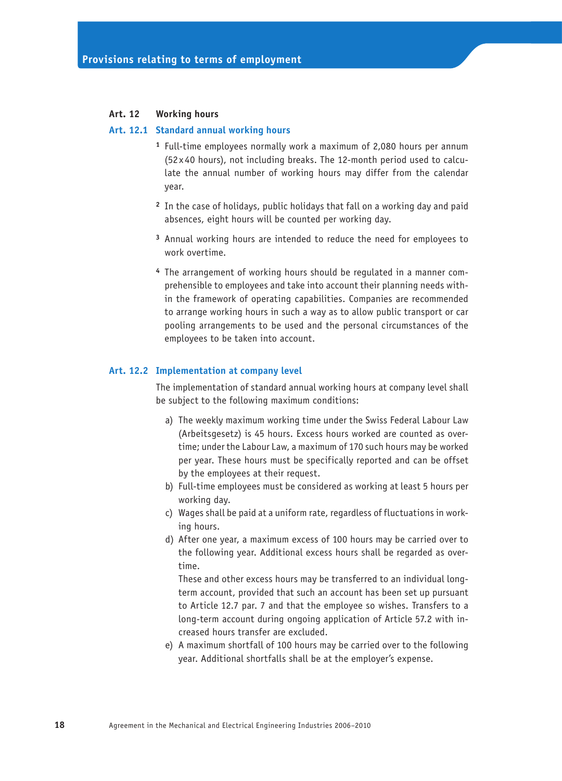## **Art. 12 Working hours**

#### **Art. 12.1 Standard annual working hours**

- **<sup>1</sup>** Full-time employees normally work a maximum of 2,080 hours per annum (52 x 40 hours), not including breaks. The 12-month period used to calculate the annual number of working hours may differ from the calendar year.
- **<sup>2</sup>** In the case of holidays, public holidays that fall on a working day and paid absences, eight hours will be counted per working day.
- **<sup>3</sup>** Annual working hours are intended to reduce the need for employees to work overtime.
- **4** The arrangement of working hours should be regulated in a manner comprehensible to employees and take into account their planning needs within the framework of operating capabilities. Companies are recommended to arrange working hours in such a way as to allow public transport or car pooling arrangements to be used and the personal circumstances of the employees to be taken into account.

#### **Art. 12.2 Implementation at company level**

The implementation of standard annual working hours at company level shall be subject to the following maximum conditions:

- a) The weekly maximum working time under the Swiss Federal Labour Law (Arbeitsgesetz) is 45 hours. Excess hours worked are counted as overtime; under the Labour Law, a maximum of 170 such hours may be worked per year. These hours must be specifically reported and can be offset by the employees at their request.
- b) Full-time employees must be considered as working at least 5 hours per working day.
- c) Wages shall be paid at a uniform rate, regardless of fluctuations in working hours.
- d) After one year, a maximum excess of 100 hours may be carried over to the following year. Additional excess hours shall be regarded as overtime.

 These and other excess hours may be transferred to an individual longterm account, provided that such an account has been set up pursuant to Article 12.7 par. 7 and that the employee so wishes. Transfers to a long-term account during ongoing application of Article 57.2 with increased hours transfer are excluded.

e) A maximum shortfall of 100 hours may be carried over to the following year. Additional shortfalls shall be at the employer's expense.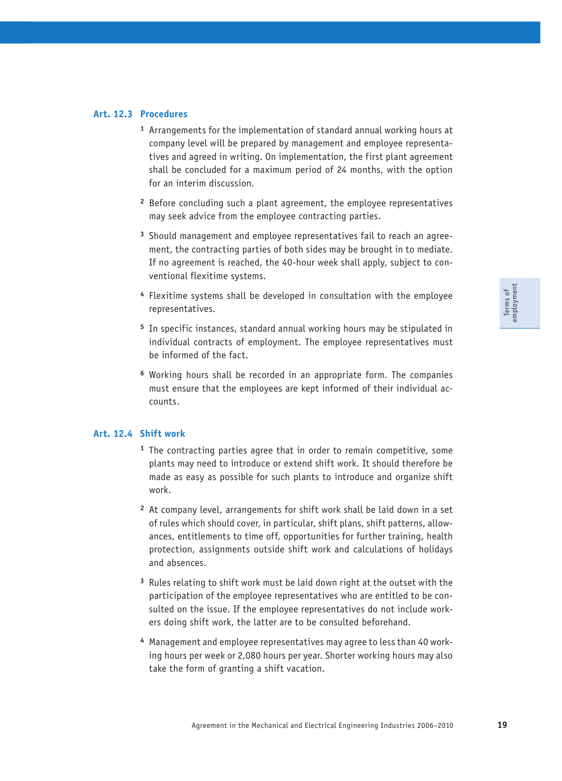#### **Art. 12.3 Procedures**

- **<sup>1</sup>** Arrangements for the implementation of standard annual working hours at company level will be prepared by management and employee representatives and agreed in writing. On implementation, the first plant agreement shall be concluded for a maximum period of 24 months, with the option for an interim discussion.
- **<sup>2</sup>** Before concluding such a plant agreement, the employee representatives may seek advice from the employee contracting parties.
- **3** Should management and employee representatives fail to reach an agreement, the contracting parties of both sides may be brought in to mediate. If no agreement is reached, the 40-hour week shall apply, subject to conventional flexitime systems.
- **<sup>4</sup>** Flexitime systems shall be developed in consultation with the employee representatives.
- **<sup>5</sup>** In specific instances, standard annual working hours may be stipulated in individual contracts of employment. The employee representatives must be informed of the fact.
- **<sup>6</sup>** Working hours shall be recorded in an appropriate form. The companies must ensure that the employees are kept informed of their individual accounts.

#### **Art. 12.4 Shift work**

- **<sup>1</sup>** The contracting parties agree that in order to remain competitive, some plants may need to introduce or extend shift work. It should therefore be made as easy as possible for such plants to introduce and organize shift work.
- **<sup>2</sup>** At company level, arrangements for shift work shall be laid down in a set of rules which should cover, in particular, shift plans, shift patterns, allowances, entitlements to time off, opportunities for further training, health protection, assignments outside shift work and calculations of holidays and absences.
- **<sup>3</sup>** Rules relating to shift work must be laid down right at the outset with the participation of the employee representatives who are entitled to be consulted on the issue. If the employee representatives do not include workers doing shift work, the latter are to be consulted beforehand.
- **4** Management and employee representatives may agree to less than 40 working hours per week or 2,080 hours per year. Shorter working hours may also take the form of granting a shift vacation.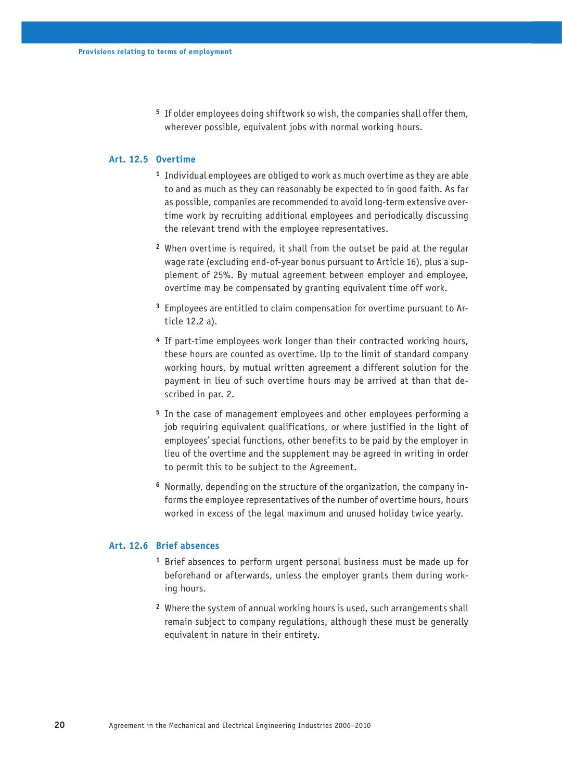**<sup>5</sup>** If older employees doing shiftwork so wish, the companies shall offer them, wherever possible, equivalent jobs with normal working hours.

## **Art. 12.5 Overtime**

- **<sup>1</sup>** Individual employees are obliged to work as much overtime as they are able to and as much as they can reasonably be expected to in good faith. As far as possible, companies are recommended to avoid long-term extensive overtime work by recruiting additional employees and periodically discussing the relevant trend with the employee representatives.
- **<sup>2</sup>** When overtime is required, it shall from the outset be paid at the regular wage rate (excluding end-of-year bonus pursuant to Article 16), plus a supplement of 25%. By mutual agreement between employer and employee, overtime may be compensated by granting equivalent time off work.
- **3** Employees are entitled to claim compensation for overtime pursuant to Article 12.2 a).
- **<sup>4</sup>** If part-time employees work longer than their contracted working hours, these hours are counted as overtime. Up to the limit of standard company working hours, by mutual written agreement a different solution for the payment in lieu of such overtime hours may be arrived at than that described in par. 2.
- **<sup>5</sup>** In the case of management employees and other employees performing a job requiring equivalent qualifications, or where justified in the light of employees' special functions, other benefits to be paid by the employer in lieu of the overtime and the supplement may be agreed in writing in order to permit this to be subject to the Agreement.
- **6** Normally, depending on the structure of the organization, the company informs the employee representatives of the number of overtime hours, hours worked in excess of the legal maximum and unused holiday twice yearly.

## **Art. 12.6 Brief absences**

- **<sup>1</sup>** Brief absences to perform urgent personal business must be made up for beforehand or afterwards, unless the employer grants them during working hours.
- **<sup>2</sup>** Where the system of annual working hours is used, such arrangements shall remain subject to company regulations, although these must be generally equivalent in nature in their entirety.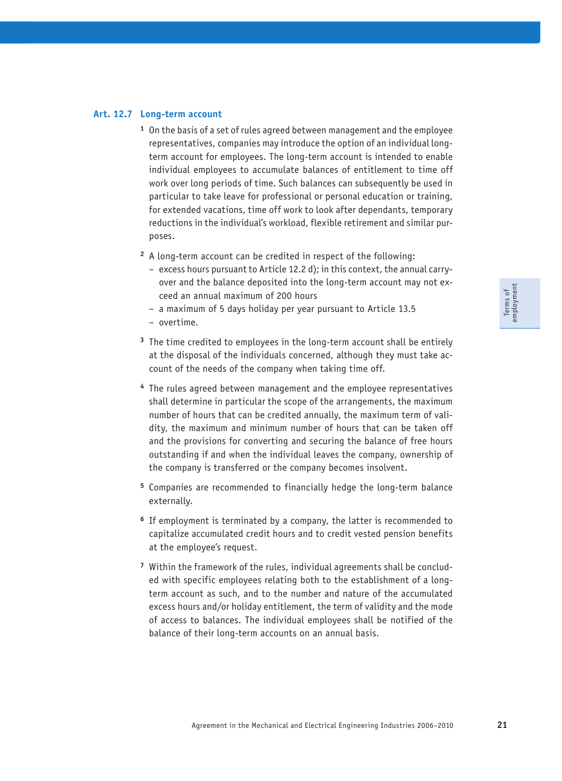## **Art. 12.7 Long-term account**

- **<sup>1</sup>** On the basis of a set of rules agreed between management and the employee representatives, companies may introduce the option of an individual longterm account for employees. The long-term account is intended to enable individual employees to accumulate balances of entitlement to time off work over long periods of time. Such balances can subsequently be used in particular to take leave for professional or personal education or training, for extended vacations, time off work to look after dependants, temporary reductions in the individual's workload, flexible retirement and similar purposes.
- **<sup>2</sup>** A long-term account can be credited in respect of the following:
	- excess hours pursuant to Article 12.2 d); in this context, the annual carryover and the balance deposited into the long-term account may not exceed an annual maximum of 200 hours
	- a maximum of 5 days holiday per year pursuant to Article 13.5
	- overtime.
- **<sup>3</sup>** The time credited to employees in the long-term account shall be entirely at the disposal of the individuals concerned, although they must take account of the needs of the company when taking time off.
- **<sup>4</sup>** The rules agreed between management and the employee representatives shall determine in particular the scope of the arrangements, the maximum number of hours that can be credited annually, the maximum term of validity, the maximum and minimum number of hours that can be taken off and the provisions for converting and securing the balance of free hours outstanding if and when the individual leaves the company, ownership of the company is transferred or the company becomes insolvent.
- **<sup>5</sup>** Companies are recommended to financially hedge the long-term balance externally.
- **<sup>6</sup>** If employment is terminated by a company, the latter is recommended to capitalize accumulated credit hours and to credit vested pension benefits at the employee's request.
- **7** Within the framework of the rules, individual agreements shall be concluded with specific employees relating both to the establishment of a longterm account as such, and to the number and nature of the accumulated excess hours and/or holiday entitlement, the term of validity and the mode of access to balances. The individual employees shall be notified of the balance of their long-term accounts on an annual basis.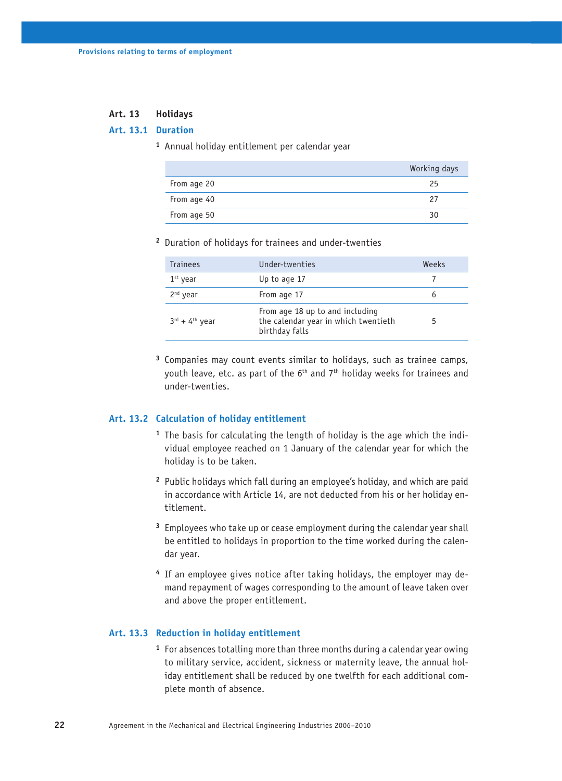## **Art. 13 Holidays**

## **Art. 13.1 Duration**

**<sup>1</sup>** Annual holiday entitlement per calendar year

|             | Working days |
|-------------|--------------|
| From age 20 | 25           |
| From age 40 | 27           |
| From age 50 | 30           |

**<sup>2</sup>** Duration of holidays for trainees and under-twenties

| <b>Trainees</b>                      | Under-twenties                                                                            | Weeks |
|--------------------------------------|-------------------------------------------------------------------------------------------|-------|
| $1st$ year                           | Up to age 17                                                                              |       |
| $2nd$ year                           | From age 17                                                                               | b     |
| $3^{\text{rd}} + 4^{\text{th}}$ year | From age 18 up to and including<br>the calendar year in which twentieth<br>birthday falls | 5     |

**<sup>3</sup>** Companies may count events similar to holidays, such as trainee camps, youth leave, etc. as part of the  $6<sup>th</sup>$  and  $7<sup>th</sup>$  holiday weeks for trainees and under-twenties.

#### **Art. 13.2 Calculation of holiday entitlement**

- **1** The basis for calculating the length of holiday is the age which the individual employee reached on 1 January of the calendar year for which the holiday is to be taken.
- **<sup>2</sup>** Public holidays which fall during an employee's holiday, and which are paid in accordance with Article 14, are not deducted from his or her holiday entitlement.
- **<sup>3</sup>** Employees who take up or cease employment during the calendar year shall be entitled to holidays in proportion to the time worked during the calendar year.
- **4** If an employee gives notice after taking holidays, the employer may demand repayment of wages corresponding to the amount of leave taken over and above the proper entitlement.

## **Art. 13.3 Reduction in holiday entitlement**

**<sup>1</sup>** For absences totalling more than three months during a calendar year owing to military service, accident, sickness or maternity leave, the annual holiday entitlement shall be reduced by one twelfth for each additional complete month of absence.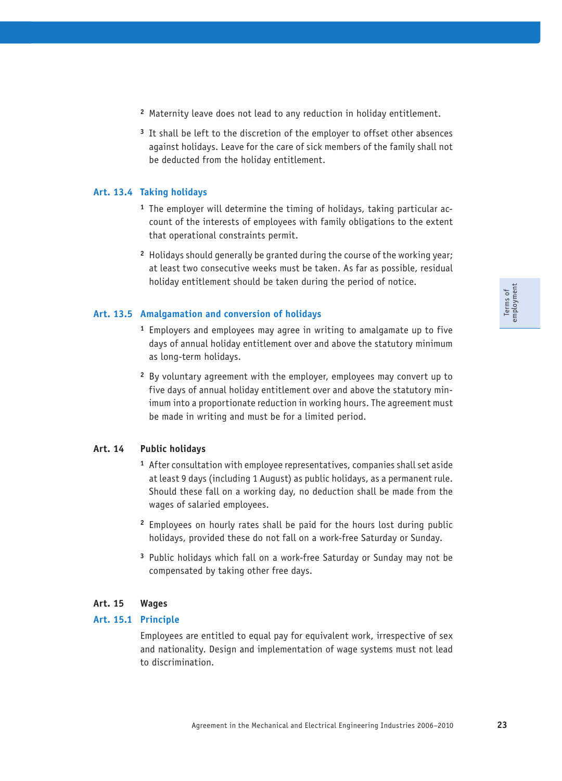- **<sup>2</sup>** Maternity leave does not lead to any reduction in holiday entitlement.
- **<sup>3</sup>** It shall be left to the discretion of the employer to offset other absences against holidays. Leave for the care of sick members of the family shall not be deducted from the holiday entitlement.

## **Art. 13.4 Taking holidays**

- **1** The employer will determine the timing of holidays, taking particular account of the interests of employees with family obligations to the extent that operational constraints permit.
- **<sup>2</sup>** Holidays should generally be granted during the course of the working year; at least two consecutive weeks must be taken. As far as possible, residual holiday entitlement should be taken during the period of notice.

#### **Art. 13.5 Amalgamation and conversion of holidays**

- **<sup>1</sup>** Employers and employees may agree in writing to amalgamate up to five days of annual holiday entitlement over and above the statutory minimum as long-term holidays.
- **<sup>2</sup>** By voluntary agreement with the employer, employees may convert up to five days of annual holiday entitlement over and above the statutory minimum into a proportionate reduction in working hours. The agreement must be made in writing and must be for a limited period.

## **Art. 14 Public holidays**

- **<sup>1</sup>** After consultation with employee representatives, companies shall set aside at least 9 days (including 1 August) as public holidays, as a permanent rule. Should these fall on a working day, no deduction shall be made from the wages of salaried employees.
- **<sup>2</sup>** Employees on hourly rates shall be paid for the hours lost during public holidays, provided these do not fall on a work-free Saturday or Sunday.
- **<sup>3</sup>** Public holidays which fall on a work-free Saturday or Sunday may not be compensated by taking other free days.

## **Art. 15 Wages**

#### **Art. 15.1 Principle**

Employees are entitled to equal pay for equivalent work, irrespective of sex and nationality. Design and implementation of wage systems must not lead to discrimination.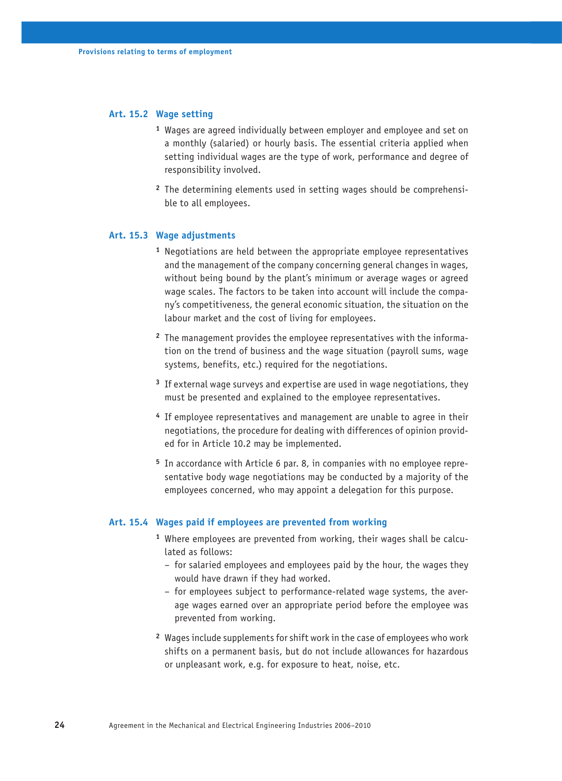## **Art. 15.2 Wage setting**

- **<sup>1</sup>** Wages are agreed individually between employer and employee and set on a monthly (salaried) or hourly basis. The essential criteria applied when setting individual wages are the type of work, performance and degree of responsibility involved.
- **2** The determining elements used in setting wages should be comprehensible to all employees.

#### **Art. 15.3 Wage adjustments**

- **<sup>1</sup>** Negotiations are held between the appropriate employee representatives and the management of the company concerning general changes in wages, without being bound by the plant's minimum or average wages or agreed wage scales. The factors to be taken into account will include the company's competitiveness, the general economic situation, the situation on the labour market and the cost of living for employees.
- **2** The management provides the employee representatives with the information on the trend of business and the wage situation (payroll sums, wage systems, benefits, etc.) required for the negotiations.
- **<sup>3</sup>** If external wage surveys and expertise are used in wage negotiations, they must be presented and explained to the employee representatives.
- **<sup>4</sup>** If employee representatives and management are unable to agree in their negotiations, the procedure for dealing with differences of opinion provided for in Article 10.2 may be implemented.
- **5** In accordance with Article 6 par. 8, in companies with no employee representative body wage negotiations may be conducted by a majority of the employees concerned, who may appoint a delegation for this purpose.

#### **Art. 15.4 Wages paid if employees are prevented from working**

- **1** Where employees are prevented from working, their wages shall be calculated as follows:
	- for salaried employees and employees paid by the hour, the wages they would have drawn if they had worked.
	- for employees subject to performance-related wage systems, the average wages earned over an appropriate period before the employee was prevented from working.
- **<sup>2</sup>** Wages include supplements for shift work in the case of employees who work shifts on a permanent basis, but do not include allowances for hazardous or unpleasant work, e.g. for exposure to heat, noise, etc.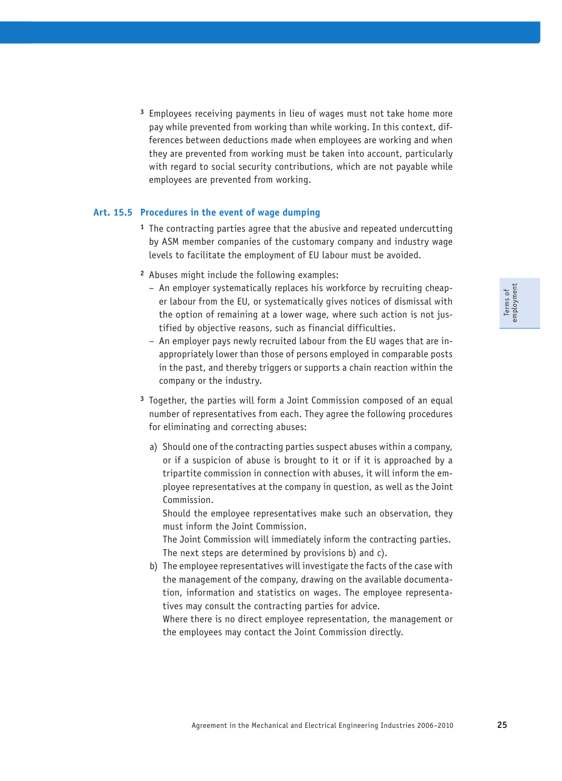Terms of<br>employment employmentTerms of

**<sup>3</sup>** Employees receiving payments in lieu of wages must not take home more pay while prevented from working than while working. In this context, differences between deductions made when employees are working and when they are prevented from working must be taken into account, particularly with regard to social security contributions, which are not payable while employees are prevented from working.

## **Art. 15.5 Procedures in the event of wage dumping**

- **<sup>1</sup>** The contracting parties agree that the abusive and repeated undercutting by ASM member companies of the customary company and industry wage levels to facilitate the employment of EU labour must be avoided.
- **<sup>2</sup>** Abuses might include the following examples:
	- An employer systematically replaces his workforce by recruiting cheaper labour from the EU, or systematically gives notices of dismissal with the option of remaining at a lower wage, where such action is not justified by objective reasons, such as financial difficulties.
	- An employer pays newly recruited labour from the EU wages that are inappropriately lower than those of persons employed in comparable posts in the past, and thereby triggers or supports a chain reaction within the company or the industry.
- **<sup>3</sup>** Together, the parties will form a Joint Commission composed of an equal number of representatives from each. They agree the following procedures for eliminating and correcting abuses:
	- a) Should one of the contracting parties suspect abuses within a company, or if a suspicion of abuse is brought to it or if it is approached by a tripartite commission in connection with abuses, it will inform the employee representatives at the company in question, as well as the Joint Commission.

 Should the employee representatives make such an observation, they must inform the Joint Commission.

 The Joint Commission will immediately inform the contracting parties. The next steps are determined by provisions b) and c).

b) The employee representatives will investigate the facts of the case with the management of the company, drawing on the available documentation, information and statistics on wages. The employee representatives may consult the contracting parties for advice.

 Where there is no direct employee representation, the management or the employees may contact the Joint Commission directly.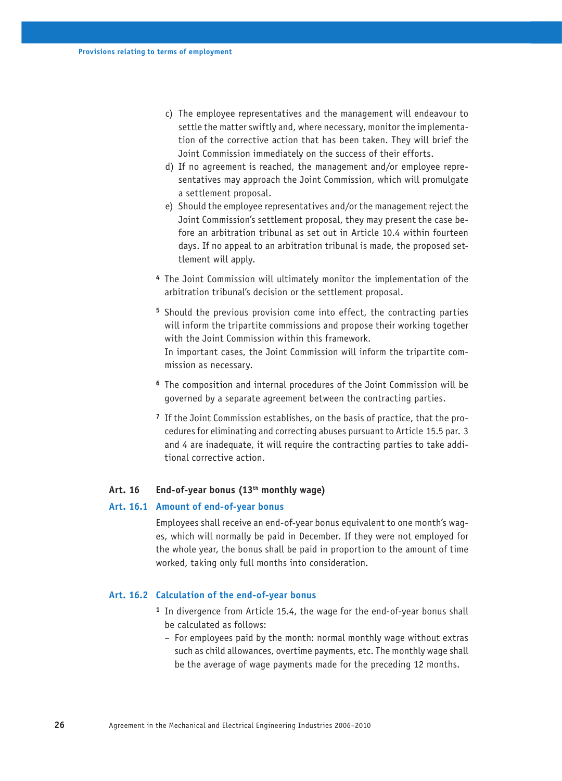- c) The employee representatives and the management will endeavour to settle the matter swiftly and, where necessary, monitor the implementation of the corrective action that has been taken. They will brief the Joint Commission immediately on the success of their efforts.
- d) If no agreement is reached, the management and/or employee representatives may approach the Joint Commission, which will promulgate a settlement proposal.
- e) Should the employee representatives and/or the management reject the Joint Commission's settlement proposal, they may present the case before an arbitration tribunal as set out in Article 10.4 within fourteen days. If no appeal to an arbitration tribunal is made, the proposed settlement will apply.
- **<sup>4</sup>** The Joint Commission will ultimately monitor the implementation of the arbitration tribunal's decision or the settlement proposal.
- **<sup>5</sup>** Should the previous provision come into effect, the contracting parties will inform the tripartite commissions and propose their working together with the Joint Commission within this framework In important cases, the Joint Commission will inform the tripartite com-

mission as necessary.

- **<sup>6</sup>** The composition and internal procedures of the Joint Commission will be governed by a separate agreement between the contracting parties.
- **7** If the Joint Commission establishes, on the basis of practice, that the procedures for eliminating and correcting abuses pursuant to Article 15.5 par. 3 and 4 are inadequate, it will require the contracting parties to take additional corrective action.

## **Art. 16 End-of-year bonus (13th monthly wage)**

#### **Art. 16.1 Amount of end-of-year bonus**

Employees shall receive an end-of-year bonus equivalent to one month's wages, which will normally be paid in December. If they were not employed for the whole year, the bonus shall be paid in proportion to the amount of time worked, taking only full months into consideration.

#### **Art. 16.2 Calculation of the end-of-year bonus**

- **<sup>1</sup>** In divergence from Article 15.4, the wage for the end-of-year bonus shall be calculated as follows:
	- For employees paid by the month: normal monthly wage without extras such as child allowances, overtime payments, etc. The monthly wage shall be the average of wage payments made for the preceding 12 months.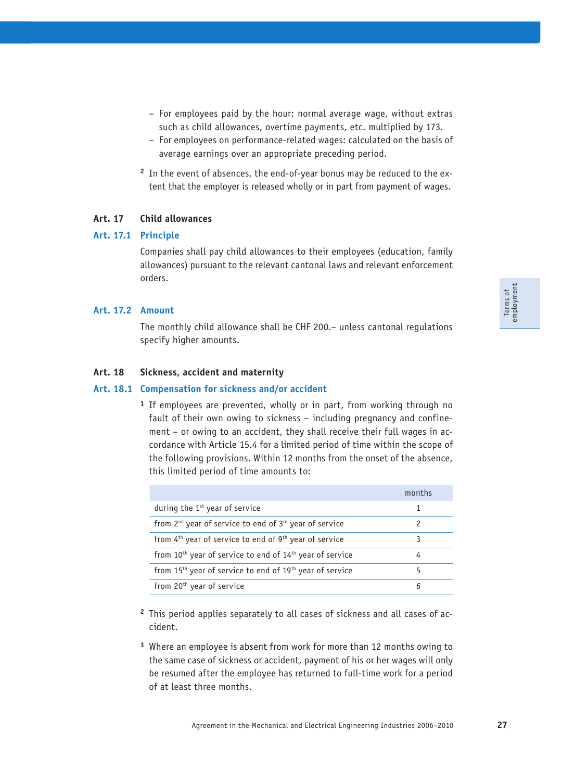- For employees paid by the hour: normal average wage, without extras such as child allowances, overtime payments, etc. multiplied by 173.
- For employees on performance-related wages: calculated on the basis of average earnings over an appropriate preceding period.
- **2** In the event of absences, the end-of-year bonus may be reduced to the extent that the employer is released wholly or in part from payment of wages.

## **Art. 17 Child allowances**

#### **Art. 17.1 Principle**

Companies shall pay child allowances to their employees (education, family allowances) pursuant to the relevant cantonal laws and relevant enforcement orders.

## **Art. 17.2 Amount**

The monthly child allowance shall be CHF 200.– unless cantonal regulations specify higher amounts.

## **Art. 18 Sickness, accident and maternity**

## **Art. 18.1 Compensation for sickness and/or accident**

**<sup>1</sup>** If employees are prevented, wholly or in part, from working through no fault of their own owing to sickness – including pregnancy and confinement – or owing to an accident, they shall receive their full wages in accordance with Article 15.4 for a limited period of time within the scope of the following provisions. Within 12 months from the onset of the absence, this limited period of time amounts to:

|                                                                                  | months |
|----------------------------------------------------------------------------------|--------|
| during the $1st$ year of service                                                 |        |
| from 2 <sup>nd</sup> year of service to end of 3 <sup>rd</sup> year of service   | 2      |
| from $4th$ year of service to end of $9th$ year of service                       | 3      |
| from $10th$ year of service to end of $14th$ year of service                     | 4      |
| from 15 <sup>th</sup> year of service to end of 19 <sup>th</sup> year of service | 5      |
| from 20 <sup>th</sup> year of service                                            | 6      |

- **2** This period applies separately to all cases of sickness and all cases of accident.
- **<sup>3</sup>** Where an employee is absent from work for more than 12 months owing to the same case of sickness or accident, payment of his or her wages will only be resumed after the employee has returned to full-time work for a period of at least three months.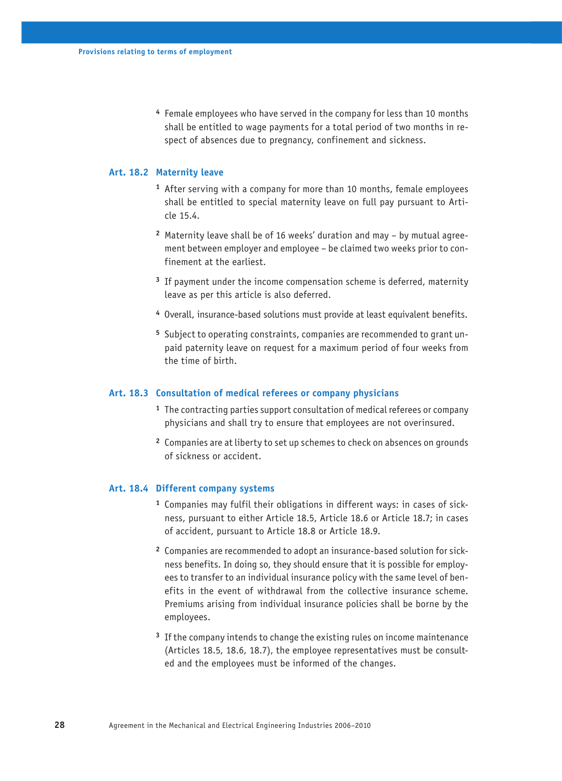**<sup>4</sup>** Female employees who have served in the company for less than 10 months shall be entitled to wage payments for a total period of two months in respect of absences due to pregnancy, confinement and sickness.

#### **Art. 18.2 Maternity leave**

- **<sup>1</sup>** After serving with a company for more than 10 months, female employees shall be entitled to special maternity leave on full pay pursuant to Article 15.4.
- **2** Maternity leave shall be of 16 weeks' duration and may by mutual agreement between employer and employee – be claimed two weeks prior to confinement at the earliest.
- **<sup>3</sup>** If payment under the income compensation scheme is deferred, maternity leave as per this article is also deferred.
- **<sup>4</sup>** Overall, insurance-based solutions must provide at least equivalent benefits.
- **5** Subject to operating constraints, companies are recommended to grant unpaid paternity leave on request for a maximum period of four weeks from the time of birth.

## **Art. 18.3 Consultation of medical referees or company physicians**

- **<sup>1</sup>** The contracting parties support consultation of medical referees or company physicians and shall try to ensure that employees are not overinsured.
- **<sup>2</sup>** Companies are at liberty to set up schemes to check on absences on grounds of sickness or accident.

#### **Art. 18.4 Different company systems**

- **1** Companies may fulfil their obligations in different ways: in cases of sickness, pursuant to either Article 18.5, Article 18.6 or Article 18.7; in cases of accident, pursuant to Article 18.8 or Article 18.9.
- **2** Companies are recommended to adopt an insurance-based solution for sickness benefits. In doing so, they should ensure that it is possible for employees to transfer to an individual insurance policy with the same level of benefits in the event of withdrawal from the collective insurance scheme. Premiums arising from individual insurance policies shall be borne by the employees.
- **<sup>3</sup>** If the company intends to change the existing rules on income maintenance (Articles 18.5, 18.6, 18.7), the employee representatives must be consulted and the employees must be informed of the changes.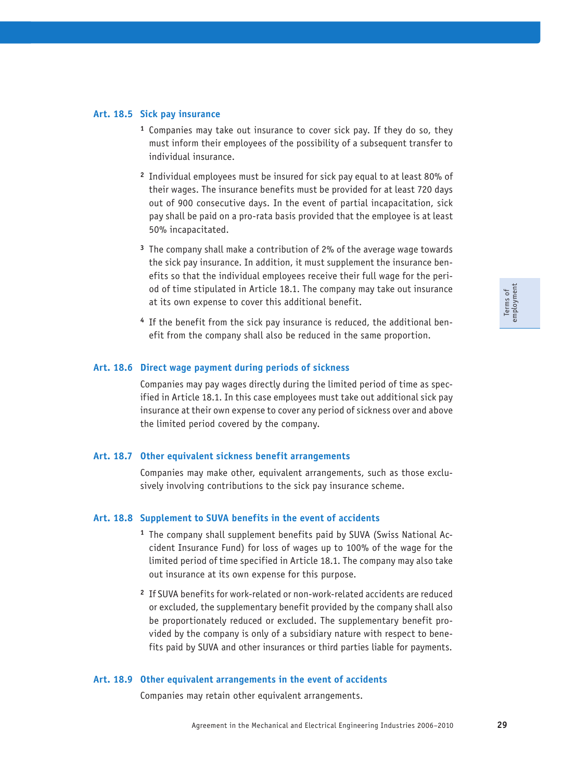#### **Art. 18.5 Sick pay insurance**

- **<sup>1</sup>** Companies may take out insurance to cover sick pay. If they do so, they must inform their employees of the possibility of a subsequent transfer to individual insurance.
- **<sup>2</sup>** Individual employees must be insured for sick pay equal to at least 80% of their wages. The insurance benefits must be provided for at least 720 days out of 900 consecutive days. In the event of partial incapacitation, sick pay shall be paid on a pro-rata basis provided that the employee is at least 50% incapacitated.
- **<sup>3</sup>** The company shall make a contribution of 2% of the average wage towards the sick pay insurance. In addition, it must supplement the insurance benefits so that the individual employees receive their full wage for the period of time stipulated in Article 18.1. The company may take out insurance at its own expense to cover this additional benefit.
- **4** If the benefit from the sick pay insurance is reduced, the additional benefit from the company shall also be reduced in the same proportion.

#### **Art. 18.6 Direct wage payment during periods of sickness**

Companies may pay wages directly during the limited period of time as specified in Article 18.1. In this case employees must take out additional sick pay insurance at their own expense to cover any period of sickness over and above the limited period covered by the company.

## **Art. 18.7 Other equivalent sickness benefit arrangements**

Companies may make other, equivalent arrangements, such as those exclusively involving contributions to the sick pay insurance scheme.

#### **Art. 18.8 Supplement to SUVA benefits in the event of accidents**

- **1** The company shall supplement benefits paid by SUVA (Swiss National Accident Insurance Fund) for loss of wages up to 100% of the wage for the limited period of time specified in Article 18.1. The company may also take out insurance at its own expense for this purpose.
- **<sup>2</sup>** If SUVA benefits for work-related or non-work-related accidents are reduced or excluded, the supplementary benefit provided by the company shall also be proportionately reduced or excluded. The supplementary benefit provided by the company is only of a subsidiary nature with respect to benefits paid by SUVA and other insurances or third parties liable for payments.

#### **Art. 18.9 Other equivalent arrangements in the event of accidents**

Companies may retain other equivalent arrangements.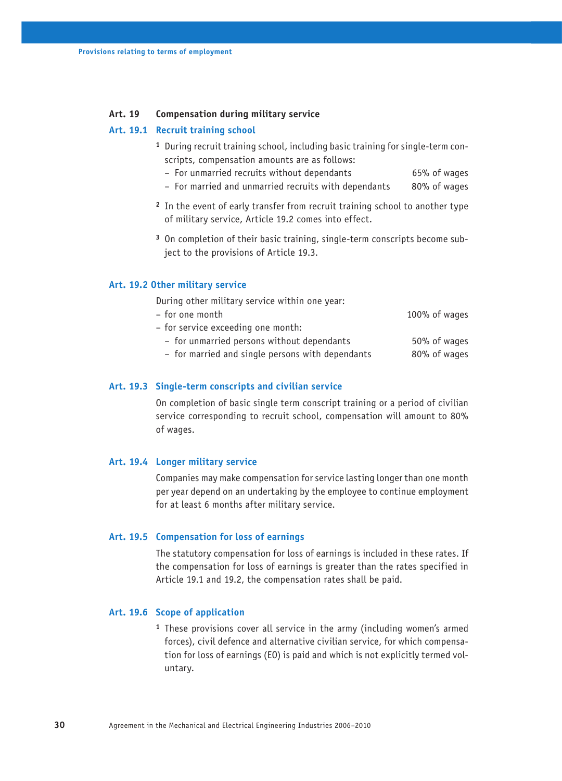## **Art. 19 Compensation during military service**

#### **Art. 19.1 Recruit training school**

- **1** During recruit training school, including basic training for single-term conscripts, compensation amounts are as follows:
	- For unmarried recruits without dependants 65% of wages
	- For married and unmarried recruits with dependants 80% of wages
- **<sup>2</sup>** In the event of early transfer from recruit training school to another type of military service, Article 19.2 comes into effect.
- **3** On completion of their basic training, single-term conscripts become subject to the provisions of Article 19.3.

#### **Art. 19.2 Other military service**

During other military service within one year: – for one month 100% of wages – for service exceeding one month: – for unmarried persons without dependants 50% of wages – for married and single persons with dependants 80% of wages

## **Art. 19.3 Single-term conscripts and civilian service**

On completion of basic single term conscript training or a period of civilian service corresponding to recruit school, compensation will amount to 80% of wages.

#### **Art. 19.4 Longer military service**

Companies may make compensation for service lasting longer than one month per year depend on an undertaking by the employee to continue employment for at least 6 months after military service.

#### **Art. 19.5 Compensation for loss of earnings**

The statutory compensation for loss of earnings is included in these rates. If the compensation for loss of earnings is greater than the rates specified in Article 19.1 and 19.2, the compensation rates shall be paid.

#### **Art. 19.6 Scope of application**

**<sup>1</sup>** These provisions cover all service in the army (including women's armed forces), civil defence and alternative civilian service, for which compensation for loss of earnings (EO) is paid and which is not explicitly termed voluntary.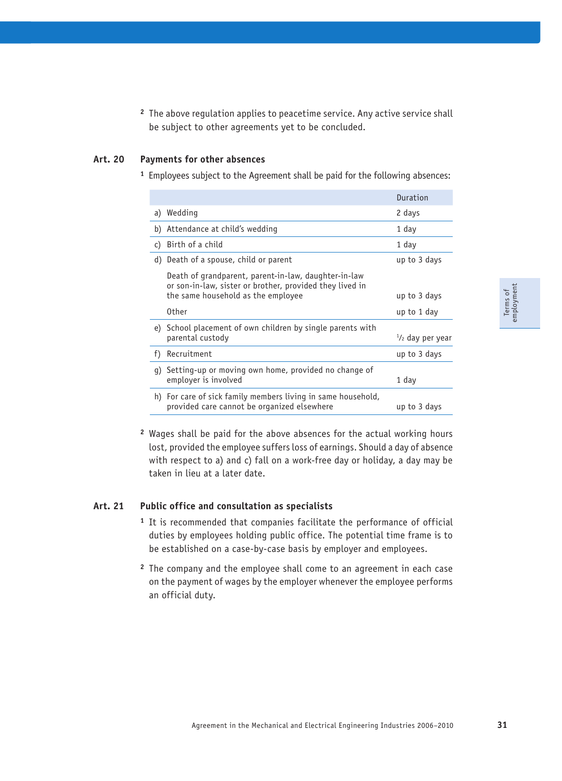**<sup>2</sup>** The above regulation applies to peacetime service. Any active service shall be subject to other agreements yet to be concluded.

#### **Art. 20 Payments for other absences**

**<sup>1</sup>** Employees subject to the Agreement shall be paid for the following absences:

|    |                                                                                                                  | Duration                   |
|----|------------------------------------------------------------------------------------------------------------------|----------------------------|
| a) | Wedding                                                                                                          | 2 days                     |
| b) | Attendance at child's wedding                                                                                    | 1 day                      |
| C) | Birth of a child                                                                                                 | 1 day                      |
|    | d) Death of a spouse, child or parent                                                                            | up to 3 days               |
|    | Death of grandparent, parent-in-law, daughter-in-law<br>or son-in-law, sister or brother, provided they lived in |                            |
|    | the same household as the employee                                                                               | up to 3 days               |
|    | 0ther                                                                                                            | up to 1 day                |
| e) | School placement of own children by single parents with<br>parental custody                                      | $\frac{1}{2}$ day per year |
| f) | Recruitment                                                                                                      | up to 3 days               |
| q) | Setting-up or moving own home, provided no change of<br>employer is involved                                     | 1 day                      |
|    | h) For care of sick family members living in same household,<br>provided care cannot be organized elsewhere      | up to 3 days               |

**<sup>2</sup>** Wages shall be paid for the above absences for the actual working hours lost, provided the employee suffers loss of earnings. Should a day of absence with respect to a) and c) fall on a work-free day or holiday, a day may be taken in lieu at a later date.

### **Art. 21 Public office and consultation as specialists**

- **<sup>1</sup>** It is recommended that companies facilitate the performance of official duties by employees holding public office. The potential time frame is to be established on a case-by-case basis by employer and employees.
- **<sup>2</sup>** The company and the employee shall come to an agreement in each case on the payment of wages by the employer whenever the employee performs an official duty.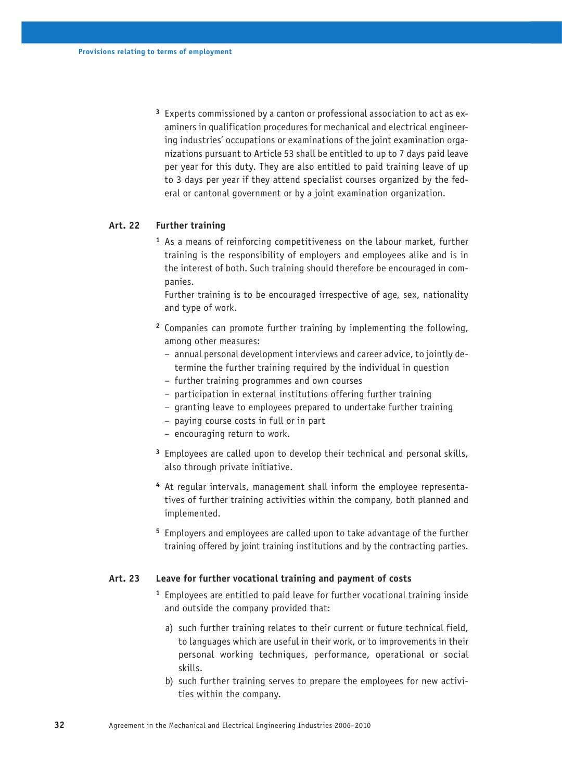**3** Experts commissioned by a canton or professional association to act as examiners in qualification procedures for mechanical and electrical engineering industries' occupations or examinations of the joint examination organizations pursuant to Article 53 shall be entitled to up to 7 days paid leave per year for this duty. They are also entitled to paid training leave of up to 3 days per year if they attend specialist courses organized by the federal or cantonal government or by a joint examination organization.

### **Art. 22 Further training**

**<sup>1</sup>** As a means of reinforcing competitiveness on the labour market, further training is the responsibility of employers and employees alike and is in the interest of both. Such training should therefore be encouraged in companies.

 Further training is to be encouraged irrespective of age, sex, nationality and type of work.

- **<sup>2</sup>** Companies can promote further training by implementing the following, among other measures:
	- annual personal development interviews and career advice, to jointly determine the further training required by the individual in question
	- further training programmes and own courses
	- participation in external institutions offering further training
	- granting leave to employees prepared to undertake further training
	- paying course costs in full or in part
	- encouraging return to work.
- **<sup>3</sup>** Employees are called upon to develop their technical and personal skills, also through private initiative.
- **4** At regular intervals, management shall inform the employee representatives of further training activities within the company, both planned and implemented.
- **<sup>5</sup>** Employers and employees are called upon to take advantage of the further training offered by joint training institutions and by the contracting parties.

#### **Art. 23 Leave for further vocational training and payment of costs**

- **<sup>1</sup>** Employees are entitled to paid leave for further vocational training inside and outside the company provided that:
	- a) such further training relates to their current or future technical field, to languages which are useful in their work, or to improvements in their personal working techniques, performance, operational or social skills.
	- b) such further training serves to prepare the employees for new activities within the company.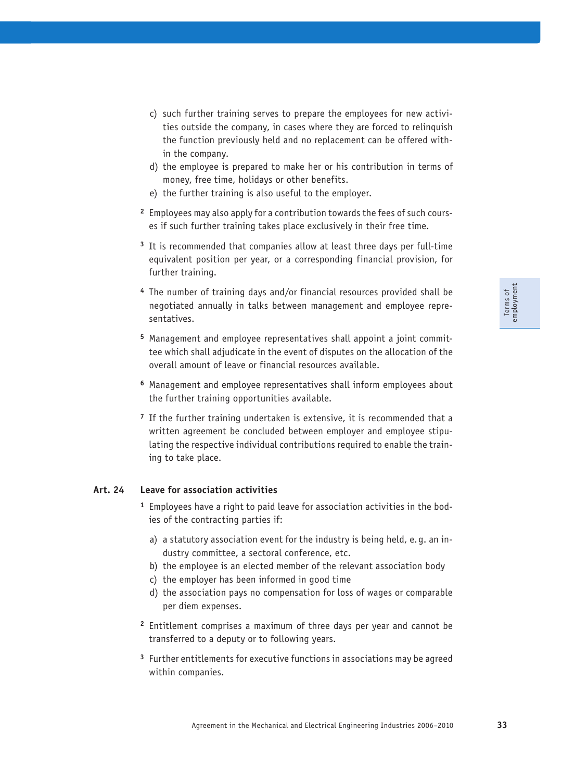- c) such further training serves to prepare the employees for new activities outside the company, in cases where they are forced to relinquish the function previously held and no replacement can be offered within the company.
- d) the employee is prepared to make her or his contribution in terms of money, free time, holidays or other benefits.
- e) the further training is also useful to the employer.
- **2** Employees may also apply for a contribution towards the fees of such courses if such further training takes place exclusively in their free time.
- **<sup>3</sup>** It is recommended that companies allow at least three days per full-time equivalent position per year, or a corresponding financial provision, for further training.
- **<sup>4</sup>** The number of training days and/or financial resources provided shall be negotiated annually in talks between management and employee representatives.
- **5** Management and employee representatives shall appoint a joint committee which shall adjudicate in the event of disputes on the allocation of the overall amount of leave or financial resources available.
- **<sup>6</sup>** Management and employee representatives shall inform employees about the further training opportunities available.
- **<sup>7</sup>** If the further training undertaken is extensive, it is recommended that a written agreement be concluded between employer and employee stipulating the respective individual contributions required to enable the training to take place.

## **Art. 24 Leave for association activities**

- **1** Employees have a right to paid leave for association activities in the bodies of the contracting parties if:
	- a) a statutory association event for the industry is being held, e. g. an industry committee, a sectoral conference, etc.
	- b) the employee is an elected member of the relevant association body
	- c) the employer has been informed in good time
	- d) the association pays no compensation for loss of wages or comparable per diem expenses.
- **<sup>2</sup>** Entitlement comprises a maximum of three days per year and cannot be transferred to a deputy or to following years.
- **<sup>3</sup>** Further entitlements for executive functions in associations may be agreed within companies.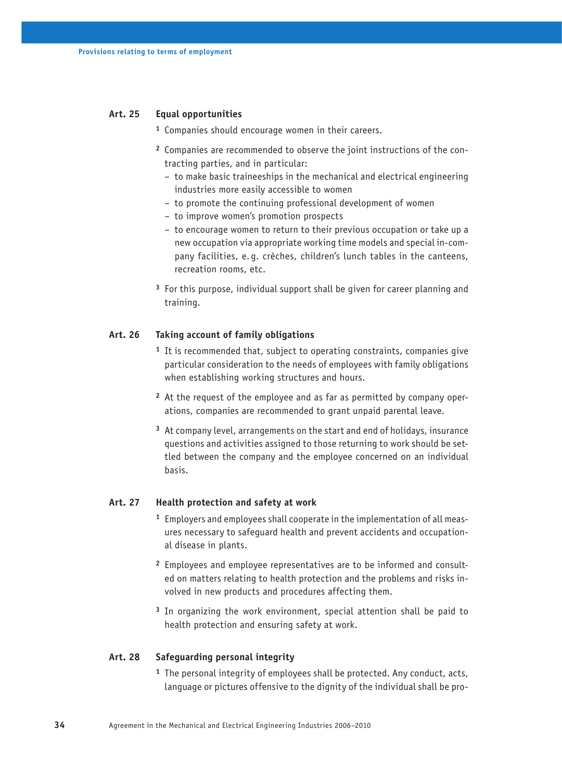## **Art. 25 Equal opportunities**

- **<sup>1</sup>** Companies should encourage women in their careers.
- **2** Companies are recommended to observe the joint instructions of the contracting parties, and in particular:
	- to make basic traineeships in the mechanical and electrical engineering industries more easily accessible to women
	- to promote the continuing professional development of women
	- to improve women's promotion prospects
	- to encourage women to return to their previous occupation or take up a new occupation via appropriate working time models and special in-company facilities, e. g. crèches, children's lunch tables in the canteens, recreation rooms, etc.
- **<sup>3</sup>** For this purpose, individual support shall be given for career planning and training.

## **Art. 26 Taking account of family obligations**

- **<sup>1</sup>** It is recommended that, subject to operating constraints, companies give particular consideration to the needs of employees with family obligations when establishing working structures and hours.
- **2** At the request of the employee and as far as permitted by company operations, companies are recommended to grant unpaid parental leave.
- **<sup>3</sup>** At company level, arrangements on the start and end of holidays, insurance questions and activities assigned to those returning to work should be settled between the company and the employee concerned on an individual basis.

## **Art. 27 Health protection and safety at work**

- **1** Employers and employees shall cooperate in the implementation of all measures necessary to safeguard health and prevent accidents and occupational disease in plants.
- **2** Employees and employee representatives are to be informed and consulted on matters relating to health protection and the problems and risks involved in new products and procedures affecting them.
- **<sup>3</sup>** In organizing the work environment, special attention shall be paid to health protection and ensuring safety at work.

## **Art. 28 Safeguarding personal integrity**

**<sup>1</sup>** The personal integrity of employees shall be protected. Any conduct, acts, language or pictures offensive to the dignity of the individual shall be pro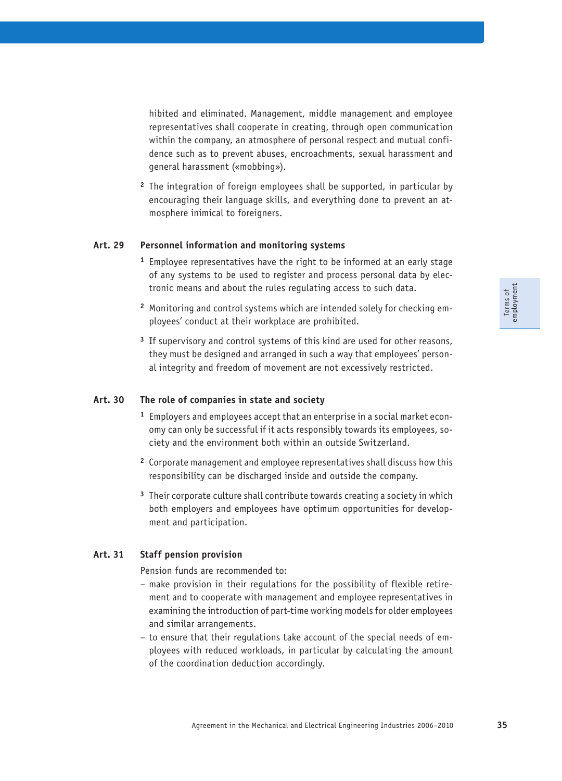hibited and eliminated. Management, middle management and employee representatives shall cooperate in creating, through open communication within the company, an atmosphere of personal respect and mutual confidence such as to prevent abuses, encroachments, sexual harassment and general harassment («mobbing»).

**<sup>2</sup>** The integration of foreign employees shall be supported, in particular by encouraging their language skills, and everything done to prevent an atmosphere inimical to foreigners.

## **Art. 29 Personnel information and monitoring systems**

- **<sup>1</sup>** Employee representatives have the right to be informed at an early stage of any systems to be used to register and process personal data by electronic means and about the rules regulating access to such data.
- **2** Monitoring and control systems which are intended solely for checking employees' conduct at their workplace are prohibited.
- **<sup>3</sup>** If supervisory and control systems of this kind are used for other reasons, they must be designed and arranged in such a way that employees' personal integrity and freedom of movement are not excessively restricted.

#### **Art. 30 The role of companies in state and society**

- **1** Employers and employees accept that an enterprise in a social market economy can only be successful if it acts responsibly towards its employees, society and the environment both within an outside Switzerland.
- **<sup>2</sup>** Corporate management and employee representatives shall discuss how this responsibility can be discharged inside and outside the company.
- **<sup>3</sup>** Their corporate culture shall contribute towards creating a society in which both employers and employees have optimum opportunities for development and participation.

## **Art. 31 Staff pension provision**

Pension funds are recommended to:

- make provision in their regulations for the possibility of flexible retirement and to cooperate with management and employee representatives in examining the introduction of part-time working models for older employees and similar arrangements.
- to ensure that their regulations take account of the special needs of employees with reduced workloads, in particular by calculating the amount of the coordination deduction accordingly.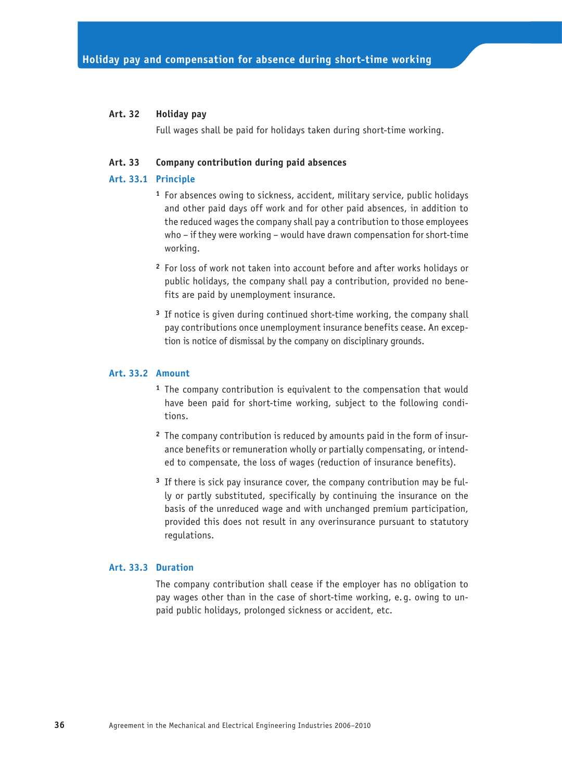## **Art. 32 Holiday pay**

Full wages shall be paid for holidays taken during short-time working.

#### **Art. 33 Company contribution during paid absences**

#### **Art. 33.1 Principle**

- **<sup>1</sup>** For absences owing to sickness, accident, military service, public holidays and other paid days off work and for other paid absences, in addition to the reduced wages the company shall pay a contribution to those employees who – if they were working – would have drawn compensation for short-time working.
- **<sup>2</sup>** For loss of work not taken into account before and after works holidays or public holidays, the company shall pay a contribution, provided no benefits are paid by unemployment insurance.
- **<sup>3</sup>** If notice is given during continued short-time working, the company shall pay contributions once unemployment insurance benefits cease. An exception is notice of dismissal by the company on disciplinary grounds.

## **Art. 33.2 Amount**

- **<sup>1</sup>** The company contribution is equivalent to the compensation that would have been paid for short-time working, subject to the following conditions.
- **2** The company contribution is reduced by amounts paid in the form of insurance benefits or remuneration wholly or partially compensating, or intended to compensate, the loss of wages (reduction of insurance benefits).
- **3** If there is sick pay insurance cover, the company contribution may be fully or partly substituted, specifically by continuing the insurance on the basis of the unreduced wage and with unchanged premium participation, provided this does not result in any overinsurance pursuant to statutory regulations.

## **Art. 33.3 Duration**

The company contribution shall cease if the employer has no obligation to pay wages other than in the case of short-time working, e. g. owing to unpaid public holidays, prolonged sickness or accident, etc.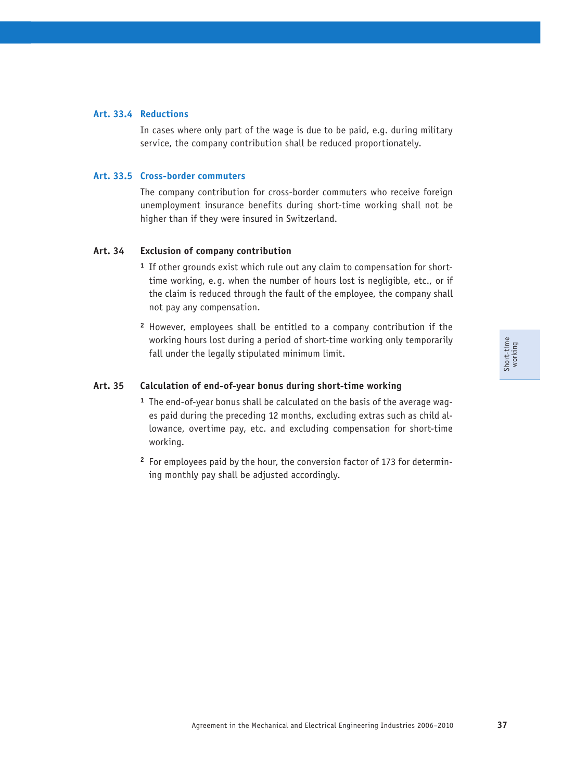## **Art. 33.4 Reductions**

In cases where only part of the wage is due to be paid, e.g. during military service, the company contribution shall be reduced proportionately.

### **Art. 33.5 Cross-border commuters**

The company contribution for cross-border commuters who receive foreign unemployment insurance benefits during short-time working shall not be higher than if they were insured in Switzerland.

## **Art. 34 Exclusion of company contribution**

- **1** If other grounds exist which rule out any claim to compensation for shorttime working, e. g. when the number of hours lost is negligible, etc., or if the claim is reduced through the fault of the employee, the company shall not pay any compensation.
- **<sup>2</sup>** However, employees shall be entitled to a company contribution if the working hours lost during a period of short-time working only temporarily fall under the legally stipulated minimum limit.

#### **Art. 35 Calculation of end-of-year bonus during short-time working**

- **1** The end-of-year bonus shall be calculated on the basis of the average wages paid during the preceding 12 months, excluding extras such as child allowance, overtime pay, etc. and excluding compensation for short-time working.
- **2** For employees paid by the hour, the conversion factor of 173 for determining monthly pay shall be adjusted accordingly.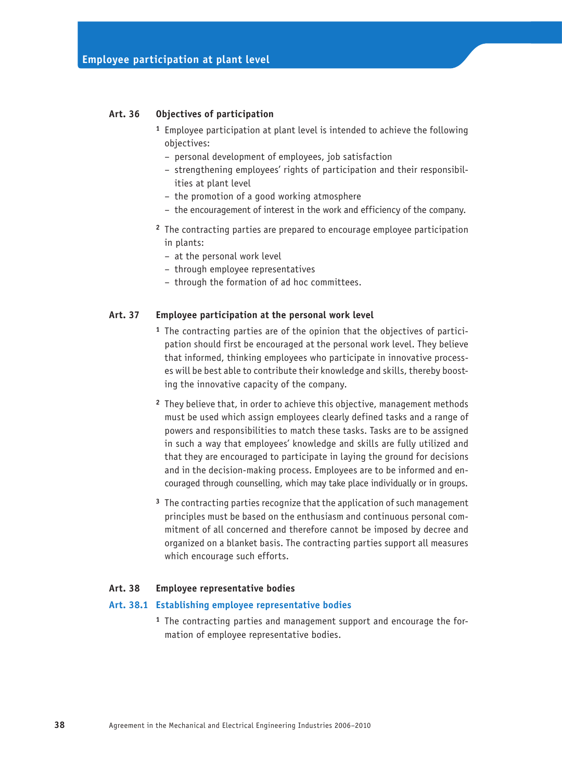## **Art. 36 Objectives of participation**

- **<sup>1</sup>** Employee participation at plant level is intended to achieve the following objectives:
	- personal development of employees, job satisfaction
	- strengthening employees' rights of participation and their responsibilities at plant level
	- the promotion of a good working atmosphere
	- the encouragement of interest in the work and efficiency of the company.
- **<sup>2</sup>** The contracting parties are prepared to encourage employee participation in plants:
	- at the personal work level
	- through employee representatives
	- through the formation of ad hoc committees.

## **Art. 37 Employee participation at the personal work level**

- **1** The contracting parties are of the opinion that the objectives of participation should first be encouraged at the personal work level. They believe that informed, thinking employees who participate in innovative processes will be best able to contribute their knowledge and skills, thereby boosting the innovative capacity of the company.
- **<sup>2</sup>** They believe that, in order to achieve this objective, management methods must be used which assign employees clearly defined tasks and a range of powers and responsibilities to match these tasks. Tasks are to be assigned in such a way that employees' knowledge and skills are fully utilized and that they are encouraged to participate in laying the ground for decisions and in the decision-making process. Employees are to be informed and encouraged through counselling, which may take place individually or in groups.
- **<sup>3</sup>** The contracting parties recognize that the application of such management principles must be based on the enthusiasm and continuous personal commitment of all concerned and therefore cannot be imposed by decree and organized on a blanket basis. The contracting parties support all measures which encourage such efforts.

## **Art. 38 Employee representative bodies**

#### **Art. 38.1 Establishing employee representative bodies**

**1** The contracting parties and management support and encourage the formation of employee representative bodies.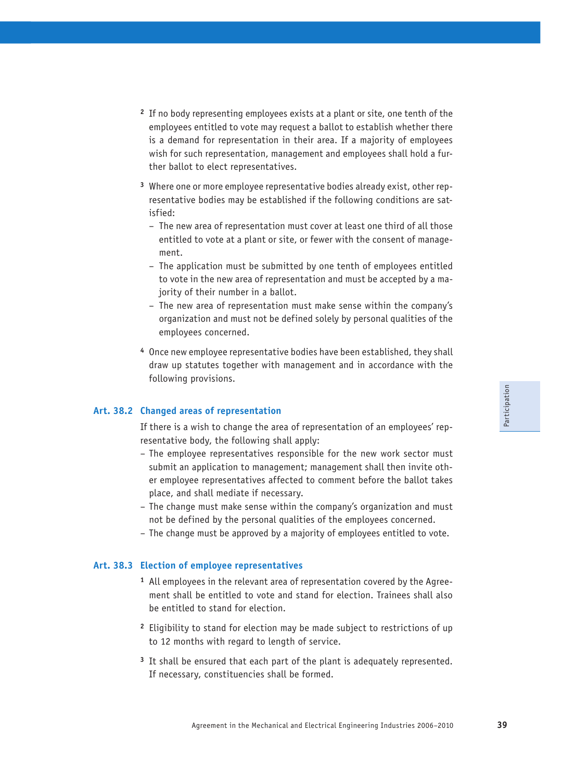- **<sup>2</sup>** If no body representing employees exists at a plant or site, one tenth of the employees entitled to vote may request a ballot to establish whether there is a demand for representation in their area. If a majority of employees wish for such representation, management and employees shall hold a further ballot to elect representatives.
- **3** Where one or more employee representative bodies already exist, other representative bodies may be established if the following conditions are satisfied:
	- The new area of representation must cover at least one third of all those entitled to vote at a plant or site, or fewer with the consent of management.
	- The application must be submitted by one tenth of employees entitled to vote in the new area of representation and must be accepted by a majority of their number in a ballot.
	- The new area of representation must make sense within the company's organization and must not be defined solely by personal qualities of the employees concerned.
- **<sup>4</sup>** Once new employee representative bodies have been established, they shall draw up statutes together with management and in accordance with the following provisions.

## **Art. 38.2 Changed areas of representation**

If there is a wish to change the area of representation of an employees' representative body, the following shall apply:

- The employee representatives responsible for the new work sector must submit an application to management; management shall then invite other employee representatives affected to comment before the ballot takes place, and shall mediate if necessary.
- The change must make sense within the company's organization and must not be defined by the personal qualities of the employees concerned.
- The change must be approved by a majority of employees entitled to vote.

## **Art. 38.3 Election of employee representatives**

- **1** All employees in the relevant area of representation covered by the Agreement shall be entitled to vote and stand for election. Trainees shall also be entitled to stand for election.
- **<sup>2</sup>** Eligibility to stand for election may be made subject to restrictions of up to 12 months with regard to length of service.
- **<sup>3</sup>** It shall be ensured that each part of the plant is adequately represented. If necessary, constituencies shall be formed.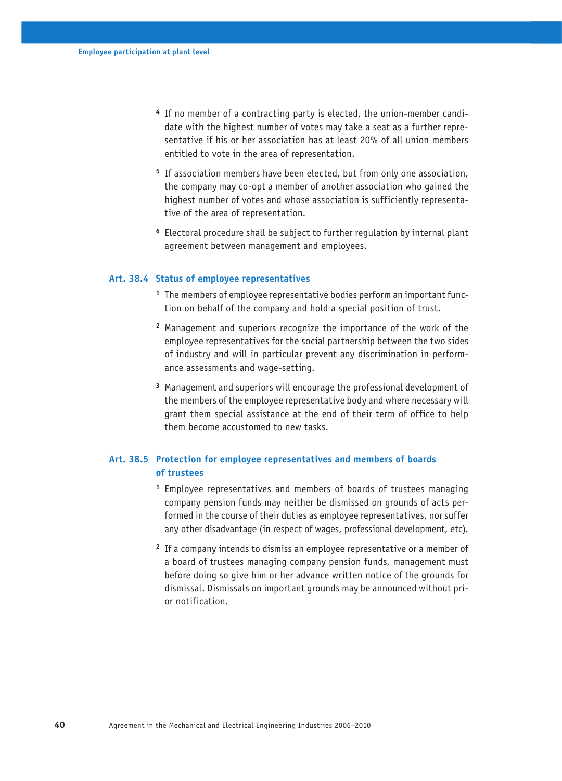- **4** If no member of a contracting party is elected, the union-member candidate with the highest number of votes may take a seat as a further representative if his or her association has at least 20% of all union members entitled to vote in the area of representation.
- **<sup>5</sup>** If association members have been elected, but from only one association, the company may co-opt a member of another association who gained the highest number of votes and whose association is sufficiently representative of the area of representation.
- **<sup>6</sup>** Electoral procedure shall be subject to further regulation by internal plant agreement between management and employees.

## **Art. 38.4 Status of employee representatives**

- **1** The members of employee representative bodies perform an important function on behalf of the company and hold a special position of trust.
- **<sup>2</sup>** Management and superiors recognize the importance of the work of the employee representatives for the social partnership between the two sides of industry and will in particular prevent any discrimination in performance assessments and wage-setting.
- **<sup>3</sup>** Management and superiors will encourage the professional development of the members of the employee representative body and where necessary will grant them special assistance at the end of their term of office to help them become accustomed to new tasks.

## **Art. 38.5 Protection for employee representatives and members of boards of trustees**

- **<sup>1</sup>** Employee representatives and members of boards of trustees managing company pension funds may neither be dismissed on grounds of acts performed in the course of their duties as employee representatives, nor suffer any other disadvantage (in respect of wages, professional development, etc).
- **<sup>2</sup>** If a company intends to dismiss an employee representative or a member of a board of trustees managing company pension funds, management must before doing so give him or her advance written notice of the grounds for dismissal. Dismissals on important grounds may be announced without prior notification.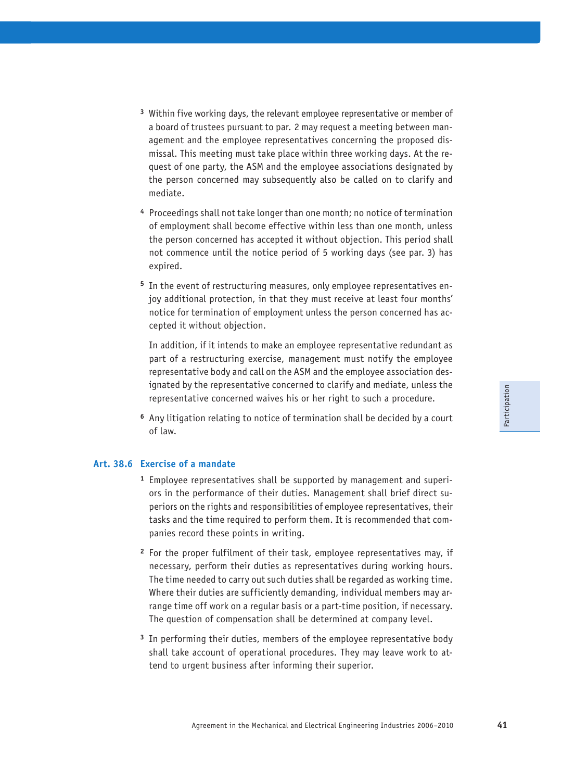- **<sup>3</sup>** Within five working days, the relevant employee representative or member of a board of trustees pursuant to par. 2 may request a meeting between management and the employee representatives concerning the proposed dismissal. This meeting must take place within three working days. At the request of one party, the ASM and the employee associations designated by the person concerned may subsequently also be called on to clarify and mediate.
- **<sup>4</sup>** Proceedings shall not take longer than one month; no notice of termination of employment shall become effective within less than one month, unless the person concerned has accepted it without objection. This period shall not commence until the notice period of 5 working days (see par. 3) has expired.
- **5** In the event of restructuring measures, only employee representatives enjoy additional protection, in that they must receive at least four months' notice for termination of employment unless the person concerned has accepted it without objection.

 In addition, if it intends to make an employee representative redundant as part of a restructuring exercise, management must notify the employee representative body and call on the ASM and the employee association designated by the representative concerned to clarify and mediate, unless the representative concerned waives his or her right to such a procedure.

**<sup>6</sup>** Any litigation relating to notice of termination shall be decided by a court of law.

## **Art. 38.6 Exercise of a mandate**

- **1** Employee representatives shall be supported by management and superiors in the performance of their duties. Management shall brief direct superiors on the rights and responsibilities of employee representatives, their tasks and the time required to perform them. It is recommended that companies record these points in writing.
- **<sup>2</sup>** For the proper fulfilment of their task, employee representatives may, if necessary, perform their duties as representatives during working hours. The time needed to carry out such duties shall be regarded as working time. Where their duties are sufficiently demanding, individual members may arrange time off work on a regular basis or a part-time position, if necessary. The question of compensation shall be determined at company level.
- **<sup>3</sup>** In performing their duties, members of the employee representative body shall take account of operational procedures. They may leave work to attend to urgent business after informing their superior.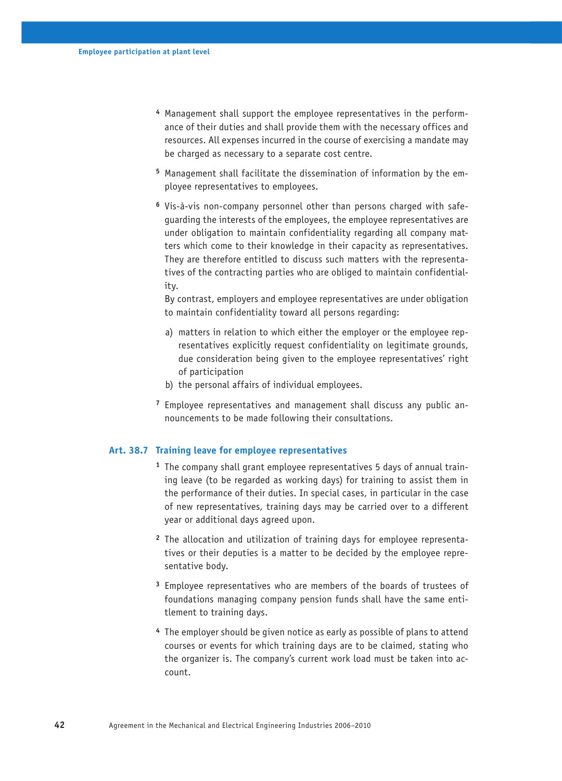- **4** Management shall support the employee representatives in the performance of their duties and shall provide them with the necessary offices and resources. All expenses incurred in the course of exercising a mandate may be charged as necessary to a separate cost centre.
- **5** Management shall facilitate the dissemination of information by the employee representatives to employees.
- **6** Vis-à-vis non-company personnel other than persons charged with safeguarding the interests of the employees, the employee representatives are under obligation to maintain confidentiality regarding all company matters which come to their knowledge in their capacity as representatives. They are therefore entitled to discuss such matters with the representatives of the contracting parties who are obliged to maintain confidentiality.

 By contrast, employers and employee representatives are under obligation to maintain confidentiality toward all persons regarding:

- a) matters in relation to which either the employer or the employee representatives explicitly request confidentiality on legitimate grounds, due consideration being given to the employee representatives' right of participation
- b) the personal affairs of individual employees.
- **7** Employee representatives and management shall discuss any public announcements to be made following their consultations.

#### **Art. 38.7 Training leave for employee representatives**

- **1** The company shall grant employee representatives 5 days of annual training leave (to be regarded as working days) for training to assist them in the performance of their duties. In special cases, in particular in the case of new representatives, training days may be carried over to a different year or additional days agreed upon.
- **2** The allocation and utilization of training days for employee representatives or their deputies is a matter to be decided by the employee representative body.
- **<sup>3</sup>** Employee representatives who are members of the boards of trustees of foundations managing company pension funds shall have the same entitlement to training days.
- **<sup>4</sup>** The employer should be given notice as early as possible of plans to attend courses or events for which training days are to be claimed, stating who the organizer is. The company's current work load must be taken into account.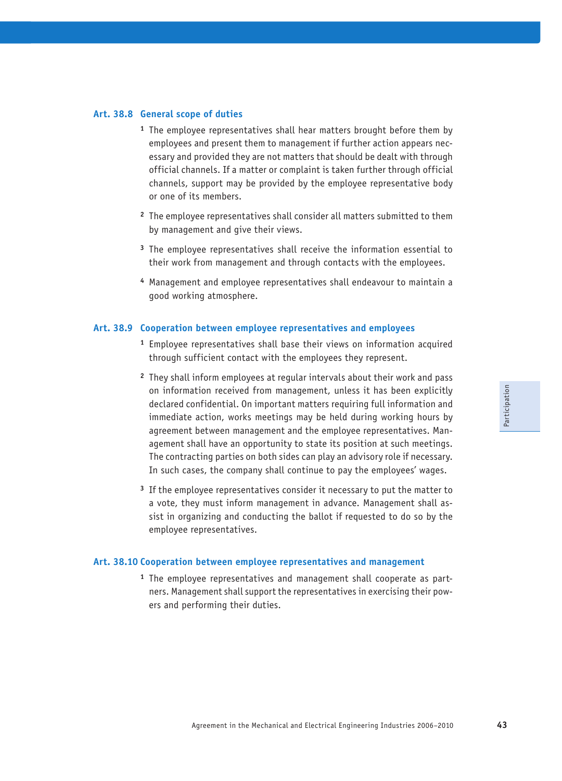#### **Art. 38.8 General scope of duties**

- **<sup>1</sup>** The employee representatives shall hear matters brought before them by employees and present them to management if further action appears necessary and provided they are not matters that should be dealt with through official channels. If a matter or complaint is taken further through official channels, support may be provided by the employee representative body or one of its members.
- **<sup>2</sup>** The employee representatives shall consider all matters submitted to them by management and give their views.
- **<sup>3</sup>** The employee representatives shall receive the information essential to their work from management and through contacts with the employees.
- **<sup>4</sup>** Management and employee representatives shall endeavour to maintain a good working atmosphere.

#### **Art. 38.9 Cooperation between employee representatives and employees**

- **<sup>1</sup>** Employee representatives shall base their views on information acquired through sufficient contact with the employees they represent.
- **<sup>2</sup>** They shall inform employees at regular intervals about their work and pass on information received from management, unless it has been explicitly declared confidential. On important matters requiring full information and immediate action, works meetings may be held during working hours by agreement between management and the employee representatives. Management shall have an opportunity to state its position at such meetings. The contracting parties on both sides can play an advisory role if necessary. In such cases, the company shall continue to pay the employees' wages.
- **<sup>3</sup>** If the employee representatives consider it necessary to put the matter to a vote, they must inform management in advance. Management shall assist in organizing and conducting the ballot if requested to do so by the employee representatives.

#### **Art. 38.10 Cooperation between employee representatives and management**

**1** The employee representatives and management shall cooperate as partners. Management shall support the representatives in exercising their powers and performing their duties.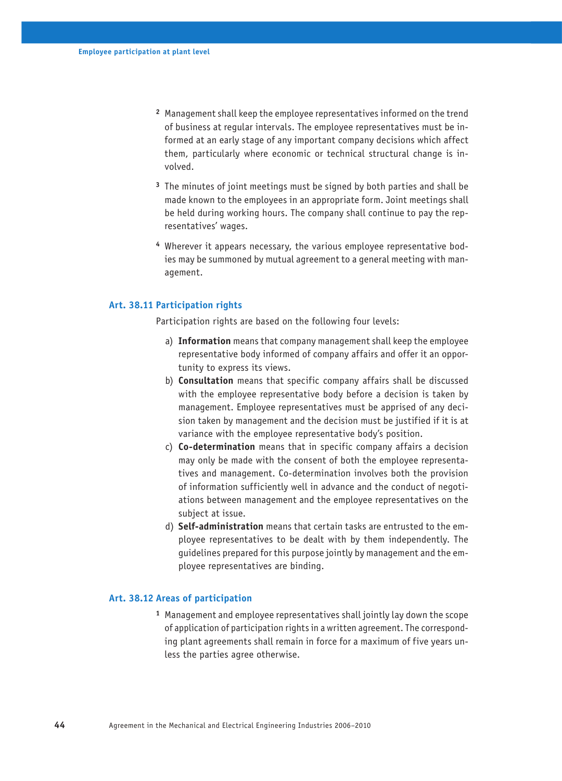- **<sup>2</sup>** Management shall keep the employee representatives informed on the trend of business at regular intervals. The employee representatives must be informed at an early stage of any important company decisions which affect them, particularly where economic or technical structural change is involved.
- **<sup>3</sup>** The minutes of joint meetings must be signed by both parties and shall be made known to the employees in an appropriate form. Joint meetings shall be held during working hours. The company shall continue to pay the representatives' wages.
- **4** Wherever it appears necessary, the various employee representative bodies may be summoned by mutual agreement to a general meeting with management.

## **Art. 38.11 Participation rights**

Participation rights are based on the following four levels:

- a) **Information** means that company management shall keep the employee representative body informed of company affairs and offer it an opportunity to express its views.
- b) **Consultation** means that specific company affairs shall be discussed with the employee representative body before a decision is taken by management. Employee representatives must be apprised of any decision taken by management and the decision must be justified if it is at variance with the employee representative body's position.
- c) **Co-determination** means that in specific company affairs a decision may only be made with the consent of both the employee representatives and management. Co-determination involves both the provision of information sufficiently well in advance and the conduct of negotiations between management and the employee representatives on the subject at issue.
- d) **Self-administration** means that certain tasks are entrusted to the employee representatives to be dealt with by them independently. The guidelines prepared for this purpose jointly by management and the employee representatives are binding.

#### **Art. 38.12 Areas of participation**

**<sup>1</sup>** Management and employee representatives shall jointly lay down the scope of application of participation rights in a written agreement. The corresponding plant agreements shall remain in force for a maximum of five years unless the parties agree otherwise.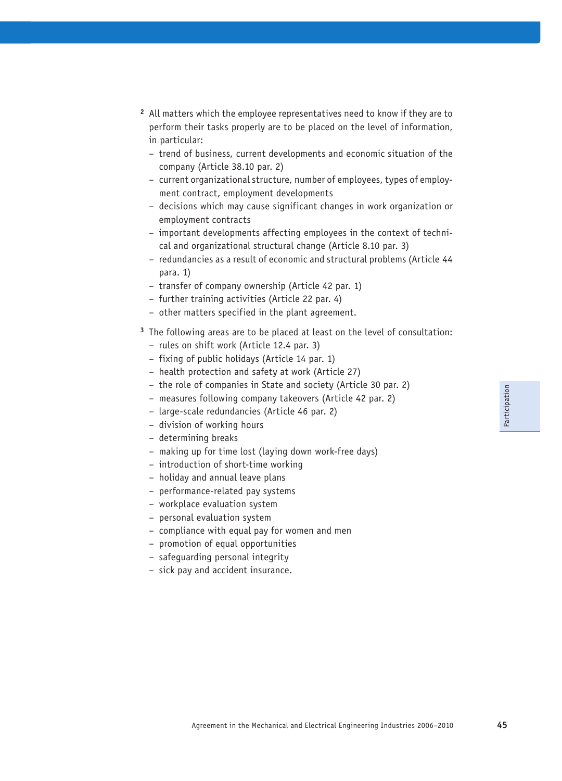- **<sup>2</sup>** All matters which the employee representatives need to know if they are to perform their tasks properly are to be placed on the level of information, in particular:
	- trend of business, current developments and economic situation of the company (Article 38.10 par. 2)
	- current organizational structure, number of employees, types of employment contract, employment developments
	- decisions which may cause significant changes in work organization or employment contracts
	- important developments affecting employees in the context of technical and organizational structural change (Article 8.10 par. 3)
	- redundancies as a result of economic and structural problems (Article 44 para. 1)
	- transfer of company ownership (Article 42 par. 1)
	- further training activities (Article 22 par. 4)
	- other matters specified in the plant agreement.
- **<sup>3</sup>** The following areas are to be placed at least on the level of consultation:
	- rules on shift work (Article 12.4 par. 3)
	- fixing of public holidays (Article 14 par. 1)
	- health protection and safety at work (Article 27)
	- the role of companies in State and society (Article 30 par. 2)
	- measures following company takeovers (Article 42 par. 2)
	- large-scale redundancies (Article 46 par. 2)
	- division of working hours
	- determining breaks
	- making up for time lost (laying down work-free days)
	- introduction of short-time working
	- holiday and annual leave plans
	- performance-related pay systems
	- workplace evaluation system
	- personal evaluation system
	- compliance with equal pay for women and men
	- promotion of equal opportunities
	- safeguarding personal integrity
	- sick pay and accident insurance.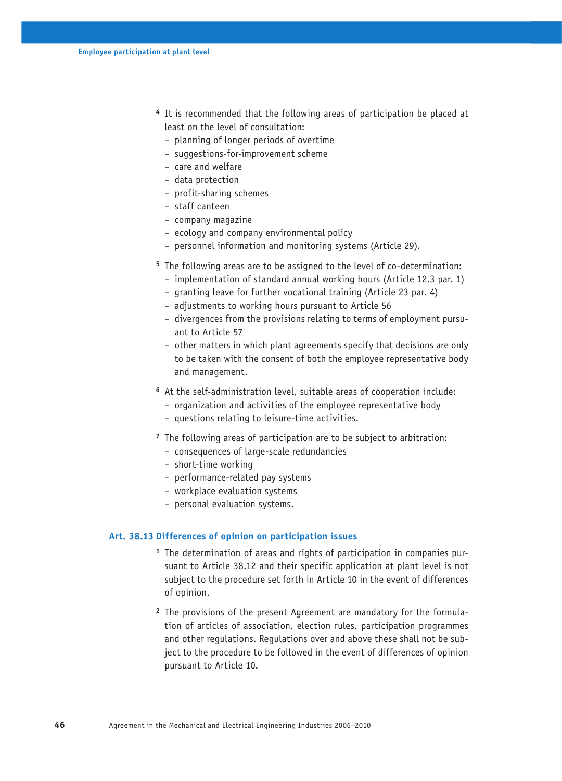- **<sup>4</sup>** It is recommended that the following areas of participation be placed at least on the level of consultation:
	- planning of longer periods of overtime
	- suggestions-for-improvement scheme
	- care and welfare
	- data protection
	- profit-sharing schemes
	- staff canteen
	- company magazine
	- ecology and company environmental policy
	- personnel information and monitoring systems (Article 29).
- **<sup>5</sup>** The following areas are to be assigned to the level of co-determination:
	- implementation of standard annual working hours (Article 12.3 par. 1)
	- granting leave for further vocational training (Article 23 par. 4)
	- adjustments to working hours pursuant to Article 56
	- divergences from the provisions relating to terms of employment pursuant to Article 57
	- other matters in which plant agreements specify that decisions are only to be taken with the consent of both the employee representative body and management.
- **<sup>6</sup>** At the self-administration level, suitable areas of cooperation include:
	- organization and activities of the employee representative body
	- questions relating to leisure-time activities.
- **<sup>7</sup>** The following areas of participation are to be subject to arbitration:
	- consequences of large-scale redundancies
	- short-time working
	- performance-related pay systems
	- workplace evaluation systems
	- personal evaluation systems.

## **Art. 38.13 Differences of opinion on participation issues**

- **1** The determination of areas and rights of participation in companies pursuant to Article 38.12 and their specific application at plant level is not subject to the procedure set forth in Article 10 in the event of differences of opinion.
- **2** The provisions of the present Agreement are mandatory for the formulation of articles of association, election rules, participation programmes and other regulations. Regulations over and above these shall not be subject to the procedure to be followed in the event of differences of opinion pursuant to Article 10.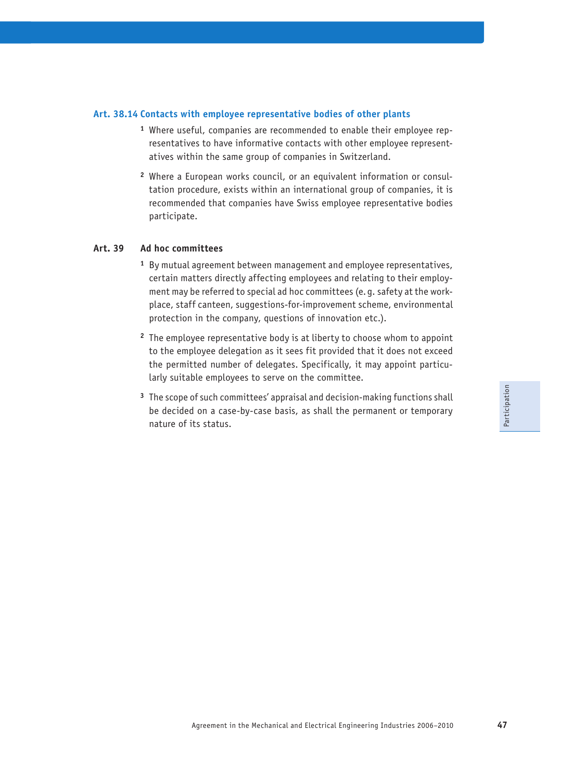## **Art. 38.14 Contacts with employee representative bodies of other plants**

- **1** Where useful, companies are recommended to enable their employee representatives to have informative contacts with other employee representatives within the same group of companies in Switzerland.
- **2** Where a European works council, or an equivalent information or consultation procedure, exists within an international group of companies, it is recommended that companies have Swiss employee representative bodies participate.

## **Art. 39 Ad hoc committees**

- **<sup>1</sup>** By mutual agreement between management and employee representatives, certain matters directly affecting employees and relating to their employment may be referred to special ad hoc committees (e. g. safety at the workplace, staff canteen, suggestions-for-improvement scheme, environmental protection in the company, questions of innovation etc.).
- **<sup>2</sup>** The employee representative body is at liberty to choose whom to appoint to the employee delegation as it sees fit provided that it does not exceed the permitted number of delegates. Specifically, it may appoint particularly suitable employees to serve on the committee.
- **<sup>3</sup>** The scope of such committees' appraisal and decision-making functions shall be decided on a case-by-case basis, as shall the permanent or temporary nature of its status.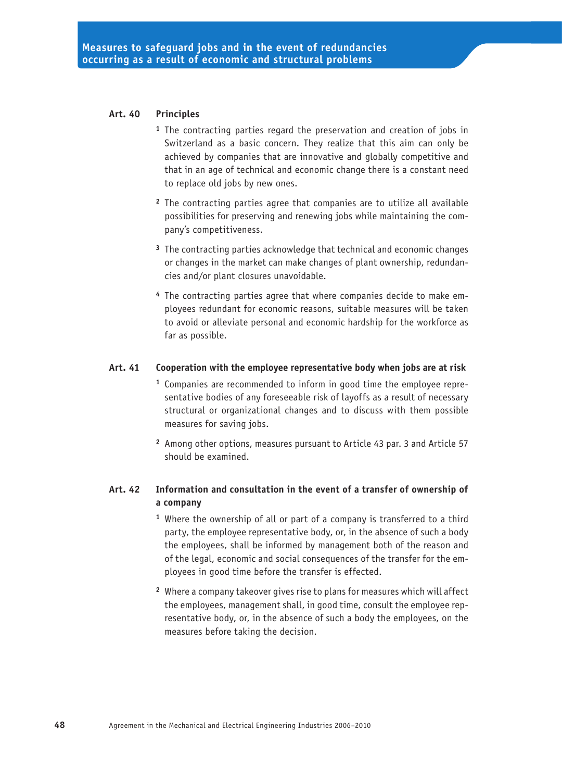## **Art. 40 Principles**

- **<sup>1</sup>** The contracting parties regard the preservation and creation of jobs in Switzerland as a basic concern. They realize that this aim can only be achieved by companies that are innovative and globally competitive and that in an age of technical and economic change there is a constant need to replace old jobs by new ones.
- **<sup>2</sup>** The contracting parties agree that companies are to utilize all available possibilities for preserving and renewing jobs while maintaining the company's competitiveness.
- **<sup>3</sup>** The contracting parties acknowledge that technical and economic changes or changes in the market can make changes of plant ownership, redundancies and/or plant closures unavoidable.
- **4** The contracting parties agree that where companies decide to make employees redundant for economic reasons, suitable measures will be taken to avoid or alleviate personal and economic hardship for the workforce as far as possible.

## **Art. 41 Cooperation with the employee representative body when jobs are at risk**

- **1** Companies are recommended to inform in good time the employee representative bodies of any foreseeable risk of layoffs as a result of necessary structural or organizational changes and to discuss with them possible measures for saving jobs.
- **<sup>2</sup>** Among other options, measures pursuant to Article 43 par. 3 and Article 57 should be examined.

## **Art. 42 Information and consultation in the event of a transfer of ownership of a company**

- **<sup>1</sup>** Where the ownership of all or part of a company is transferred to a third party, the employee representative body, or, in the absence of such a body the employees, shall be informed by management both of the reason and of the legal, economic and social consequences of the transfer for the employees in good time before the transfer is effected.
- **<sup>2</sup>** Where a company takeover gives rise to plans for measures which will affect the employees, management shall, in good time, consult the employee representative body, or, in the absence of such a body the employees, on the measures before taking the decision.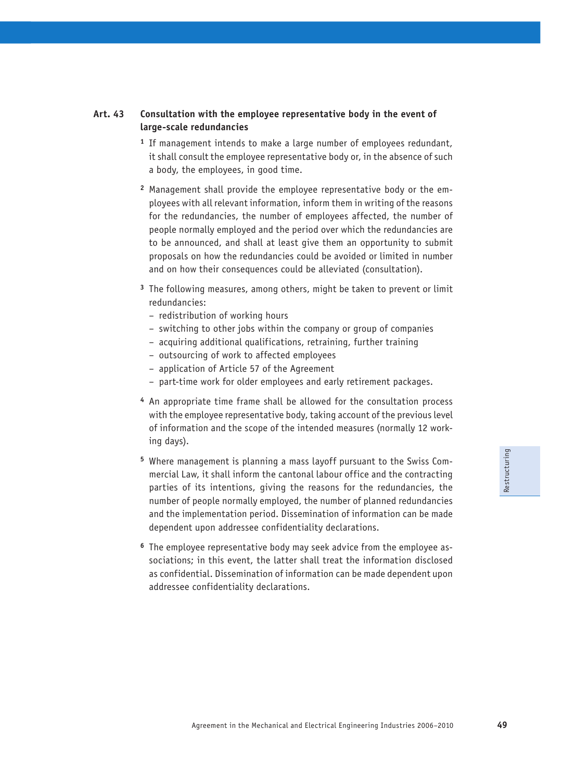## **Art. 43 Consultation with the employee representative body in the event of large-scale redundancies**

- **<sup>1</sup>** If management intends to make a large number of employees redundant, it shall consult the employee representative body or, in the absence of such a body, the employees, in good time.
- **2** Management shall provide the employee representative body or the employees with all relevant information, inform them in writing of the reasons for the redundancies, the number of employees affected, the number of people normally employed and the period over which the redundancies are to be announced, and shall at least give them an opportunity to submit proposals on how the redundancies could be avoided or limited in number and on how their consequences could be alleviated (consultation).
- **<sup>3</sup>** The following measures, among others, might be taken to prevent or limit redundancies:
	- redistribution of working hours
	- switching to other jobs within the company or group of companies
	- acquiring additional qualifications, retraining, further training
	- outsourcing of work to affected employees
	- application of Article 57 of the Agreement
	- part-time work for older employees and early retirement packages.
- **<sup>4</sup>** An appropriate time frame shall be allowed for the consultation process with the employee representative body, taking account of the previous level of information and the scope of the intended measures (normally 12 working days).
- **5** Where management is planning a mass layoff pursuant to the Swiss Commercial Law, it shall inform the cantonal labour office and the contracting parties of its intentions, giving the reasons for the redundancies, the number of people normally employed, the number of planned redundancies and the implementation period. Dissemination of information can be made dependent upon addressee confidentiality declarations.
- **6** The employee representative body may seek advice from the employee associations; in this event, the latter shall treat the information disclosed as confidential. Dissemination of information can be made dependent upon addressee confidentiality declarations.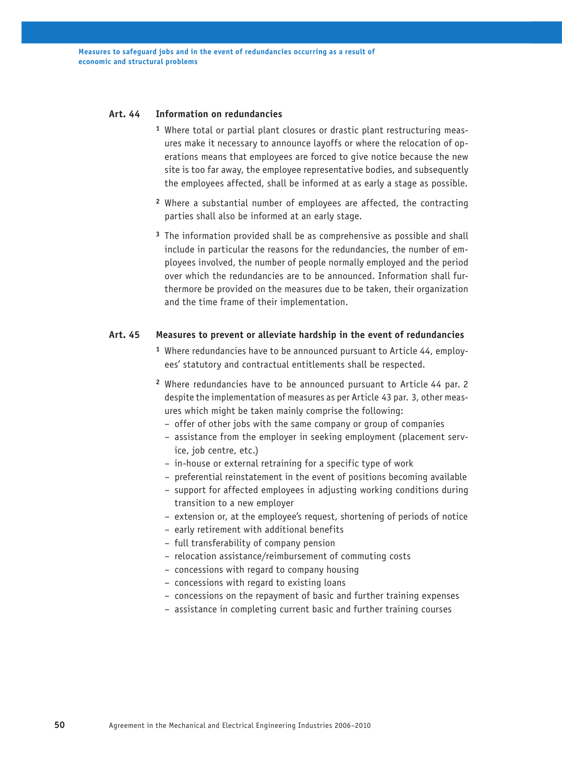### **Art. 44 Information on redundancies**

- **1** Where total or partial plant closures or drastic plant restructuring measures make it necessary to announce layoffs or where the relocation of operations means that employees are forced to give notice because the new site is too far away, the employee representative bodies, and subsequently the employees affected, shall be informed at as early a stage as possible.
- **<sup>2</sup>** Where a substantial number of employees are affected, the contracting parties shall also be informed at an early stage.
- **<sup>3</sup>** The information provided shall be as comprehensive as possible and shall include in particular the reasons for the redundancies, the number of employees involved, the number of people normally employed and the period over which the redundancies are to be announced. Information shall furthermore be provided on the measures due to be taken, their organization and the time frame of their implementation.

## **Art. 45 Measures to prevent or alleviate hardship in the event of redundancies**

- **1** Where redundancies have to be announced pursuant to Article 44, employees' statutory and contractual entitlements shall be respected.
- **<sup>2</sup>** Where redundancies have to be announced pursuant to Article 44 par. 2 despite the implementation of measures as per Article 43 par. 3, other measures which might be taken mainly comprise the following:
	- offer of other jobs with the same company or group of companies
	- assistance from the employer in seeking employment (placement service, job centre, etc.)
	- in-house or external retraining for a specific type of work
	- preferential reinstatement in the event of positions becoming available
	- support for affected employees in adjusting working conditions during transition to a new employer
	- extension or, at the employee's request, shortening of periods of notice
	- early retirement with additional benefits
	- full transferability of company pension
	- relocation assistance/reimbursement of commuting costs
	- concessions with regard to company housing
	- concessions with regard to existing loans
	- concessions on the repayment of basic and further training expenses
	- assistance in completing current basic and further training courses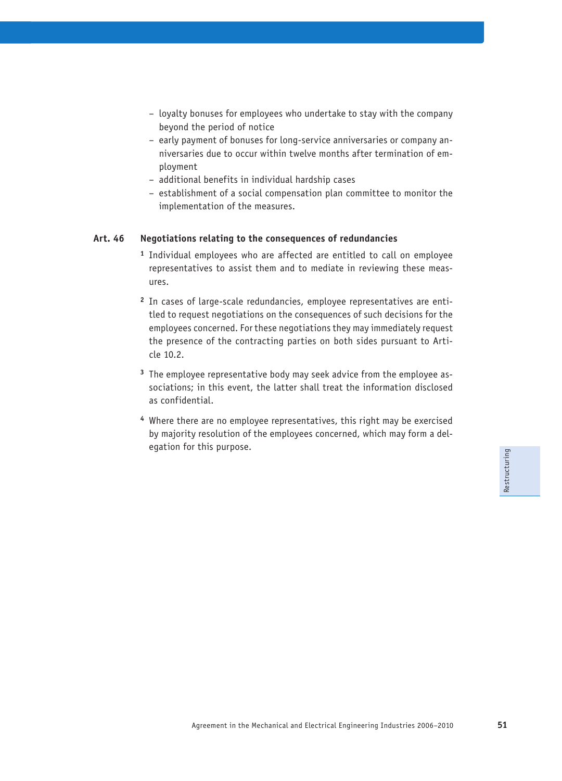- loyalty bonuses for employees who undertake to stay with the company beyond the period of notice
- early payment of bonuses for long-service anniversaries or company anniversaries due to occur within twelve months after termination of employment
- additional benefits in individual hardship cases
- establishment of a social compensation plan committee to monitor the implementation of the measures.

## **Art. 46 Negotiations relating to the consequences of redundancies**

- **<sup>1</sup>** Individual employees who are affected are entitled to call on employee representatives to assist them and to mediate in reviewing these measures.
- **2** In cases of large-scale redundancies, employee representatives are entitled to request negotiations on the consequences of such decisions for the employees concerned. For these negotiations they may immediately request the presence of the contracting parties on both sides pursuant to Article 10.2.
- **3** The employee representative body may seek advice from the employee associations; in this event, the latter shall treat the information disclosed as confidential.
- **<sup>4</sup>** Where there are no employee representatives, this right may be exercised by majority resolution of the employees concerned, which may form a delegation for this purpose.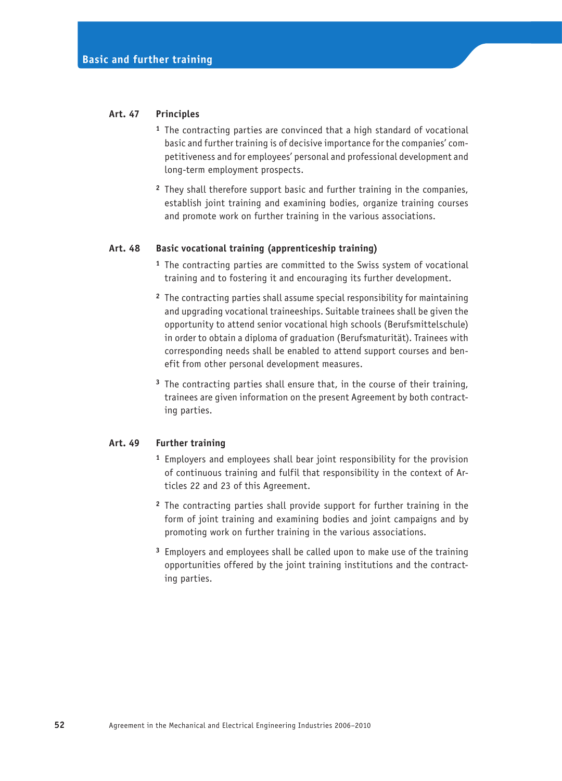## **Art. 47 Principles**

- **<sup>1</sup>** The contracting parties are convinced that a high standard of vocational basic and further training is of decisive importance for the companies' competitiveness and for employees' personal and professional development and long-term employment prospects.
- **<sup>2</sup>** They shall therefore support basic and further training in the companies, establish joint training and examining bodies, organize training courses and promote work on further training in the various associations.

## **Art. 48 Basic vocational training (apprenticeship training)**

- **<sup>1</sup>** The contracting parties are committed to the Swiss system of vocational training and to fostering it and encouraging its further development.
- **<sup>2</sup>** The contracting parties shall assume special responsibility for maintaining and upgrading vocational traineeships. Suitable trainees shall be given the opportunity to attend senior vocational high schools (Berufsmittelschule) in order to obtain a diploma of graduation (Berufsmaturität). Trainees with corresponding needs shall be enabled to attend support courses and benefit from other personal development measures.
- **<sup>3</sup>** The contracting parties shall ensure that, in the course of their training, trainees are given information on the present Agreement by both contracting parties.

#### **Art. 49 Further training**

- **<sup>1</sup>** Employers and employees shall bear joint responsibility for the provision of continuous training and fulfil that responsibility in the context of Articles 22 and 23 of this Agreement.
- **<sup>2</sup>** The contracting parties shall provide support for further training in the form of joint training and examining bodies and joint campaigns and by promoting work on further training in the various associations.
- **<sup>3</sup>** Employers and employees shall be called upon to make use of the training opportunities offered by the joint training institutions and the contracting parties.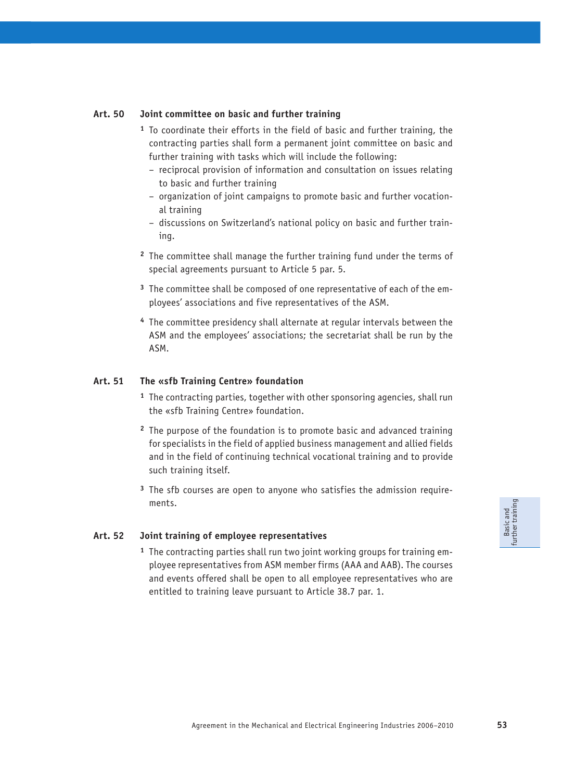## **Art. 50 Joint committee on basic and further training**

- **<sup>1</sup>** To coordinate their efforts in the field of basic and further training, the contracting parties shall form a permanent joint committee on basic and further training with tasks which will include the following:
	- reciprocal provision of information and consultation on issues relating to basic and further training
	- organization of joint campaigns to promote basic and further vocational training
	- discussions on Switzerland's national policy on basic and further training.
- **<sup>2</sup>** The committee shall manage the further training fund under the terms of special agreements pursuant to Article 5 par. 5.
- **3** The committee shall be composed of one representative of each of the employees' associations and five representatives of the ASM.
- **<sup>4</sup>** The committee presidency shall alternate at regular intervals between the ASM and the employees' associations; the secretariat shall be run by the ASM.

## **Art. 51 The «sfb Training Centre» foundation**

- **<sup>1</sup>** The contracting parties, together with other sponsoring agencies, shall run the «sfb Training Centre» foundation.
- **<sup>2</sup>** The purpose of the foundation is to promote basic and advanced training for specialists in the field of applied business management and allied fields and in the field of continuing technical vocational training and to provide such training itself.
- **3** The sfb courses are open to anyone who satisfies the admission requirements.

#### **Art. 52 Joint training of employee representatives**

**1** The contracting parties shall run two joint working groups for training employee representatives from ASM member firms (AAA and AAB). The courses and events offered shall be open to all employee representatives who are entitled to training leave pursuant to Article 38.7 par. 1.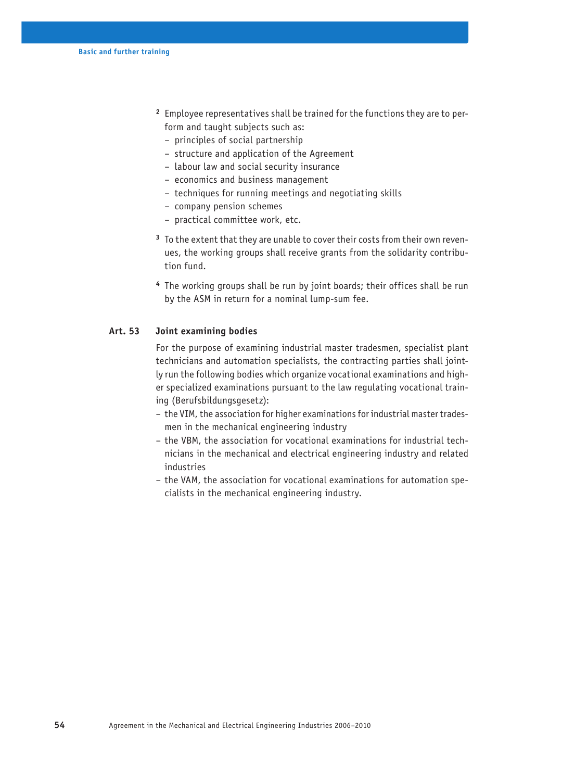- **2** Employee representatives shall be trained for the functions they are to perform and taught subjects such as:
	- principles of social partnership
	- structure and application of the Agreement
	- labour law and social security insurance
	- economics and business management
	- techniques for running meetings and negotiating skills
	- company pension schemes
	- practical committee work, etc.
- **3** To the extent that they are unable to cover their costs from their own revenues, the working groups shall receive grants from the solidarity contribution fund.
- **<sup>4</sup>** The working groups shall be run by joint boards; their offices shall be run by the ASM in return for a nominal lump-sum fee.

## **Art. 53 Joint examining bodies**

For the purpose of examining industrial master tradesmen, specialist plant technicians and automation specialists, the contracting parties shall jointly run the following bodies which organize vocational examinations and higher specialized examinations pursuant to the law regulating vocational training (Berufsbildungsgesetz):

- the VIM, the association for higher examinations for industrial master tradesmen in the mechanical engineering industry
- the VBM, the association for vocational examinations for industrial technicians in the mechanical and electrical engineering industry and related industries
- the VAM, the association for vocational examinations for automation specialists in the mechanical engineering industry.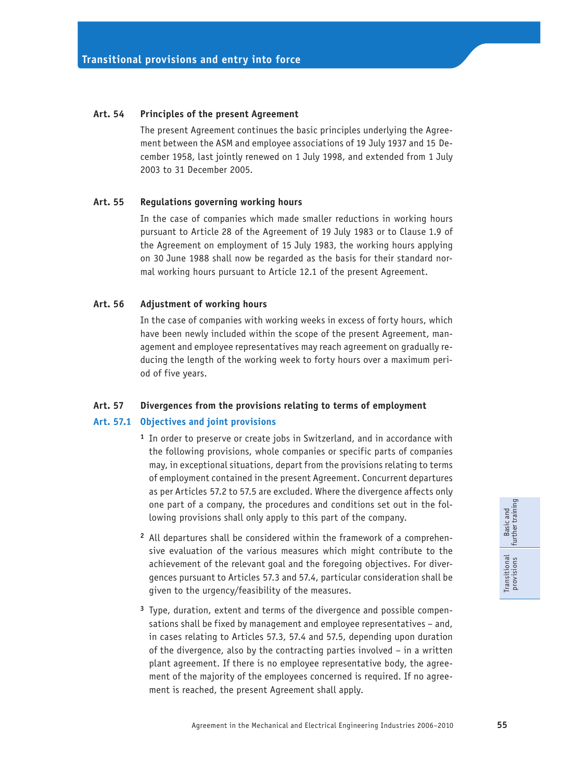## **Art. 54 Principles of the present Agreement**

The present Agreement continues the basic principles underlying the Agreement between the ASM and employee associations of 19 July 1937 and 15 December 1958, last jointly renewed on 1 July 1998, and extended from 1 July 2003 to 31 December 2005.

## **Art. 55 Regulations governing working hours**

In the case of companies which made smaller reductions in working hours pursuant to Article 28 of the Agreement of 19 July 1983 or to Clause 1.9 of the Agreement on employment of 15 July 1983, the working hours applying on 30 June 1988 shall now be regarded as the basis for their standard normal working hours pursuant to Article 12.1 of the present Agreement.

## **Art. 56 Adjustment of working hours**

In the case of companies with working weeks in excess of forty hours, which have been newly included within the scope of the present Agreement, management and employee representatives may reach agreement on gradually reducing the length of the working week to forty hours over a maximum period of five years.

#### **Art. 57 Divergences from the provisions relating to terms of employment**

## **Art. 57.1 Objectives and joint provisions**

- **<sup>1</sup>** In order to preserve or create jobs in Switzerland, and in accordance with the following provisions, whole companies or specific parts of companies may, in exceptional situations, depart from the provisions relating to terms of employment contained in the present Agreement. Concurrent departures as per Articles 57.2 to 57.5 are excluded. Where the divergence affects only one part of a company, the procedures and conditions set out in the following provisions shall only apply to this part of the company.
- **2** All departures shall be considered within the framework of a comprehensive evaluation of the various measures which might contribute to the achievement of the relevant goal and the foregoing objectives. For divergences pursuant to Articles 57.3 and 57.4, particular consideration shall be given to the urgency/feasibility of the measures.
- **3** Type, duration, extent and terms of the divergence and possible compensations shall be fixed by management and employee representatives – and, in cases relating to Articles 57.3, 57.4 and 57.5, depending upon duration of the divergence, also by the contracting parties involved – in a written plant agreement. If there is no employee representative body, the agreement of the majority of the employees concerned is required. If no agreement is reached, the present Agreement shall apply.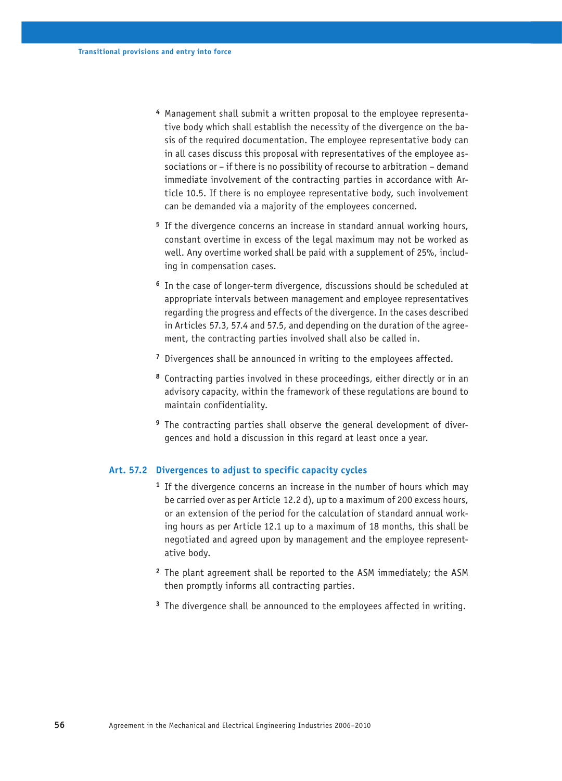- **4** Management shall submit a written proposal to the employee representative body which shall establish the necessity of the divergence on the basis of the required documentation. The employee representative body can in all cases discuss this proposal with representatives of the employee associations or – if there is no possibility of recourse to arbitration – demand immediate involvement of the contracting parties in accordance with Article 10.5. If there is no employee representative body, such involvement can be demanded via a majority of the employees concerned.
- **<sup>5</sup>** If the divergence concerns an increase in standard annual working hours, constant overtime in excess of the legal maximum may not be worked as well. Any overtime worked shall be paid with a supplement of 25%, including in compensation cases.
- **<sup>6</sup>** In the case of longer-term divergence, discussions should be scheduled at appropriate intervals between management and employee representatives regarding the progress and effects of the divergence. In the cases described in Articles 57.3, 57.4 and 57.5, and depending on the duration of the agreement, the contracting parties involved shall also be called in.
- **<sup>7</sup>** Divergences shall be announced in writing to the employees affected.
- **<sup>8</sup>** Contracting parties involved in these proceedings, either directly or in an advisory capacity, within the framework of these regulations are bound to maintain confidentiality.
- **9** The contracting parties shall observe the general development of divergences and hold a discussion in this regard at least once a year.

## **Art. 57.2 Divergences to adjust to specific capacity cycles**

- **<sup>1</sup>** If the divergence concerns an increase in the number of hours which may be carried over as per Article 12.2 d), up to a maximum of 200 excess hours, or an extension of the period for the calculation of standard annual working hours as per Article 12.1 up to a maximum of 18 months, this shall be negotiated and agreed upon by management and the employee representative body.
- **<sup>2</sup>** The plant agreement shall be reported to the ASM immediately; the ASM then promptly informs all contracting parties.
- **3** The divergence shall be announced to the employees affected in writing.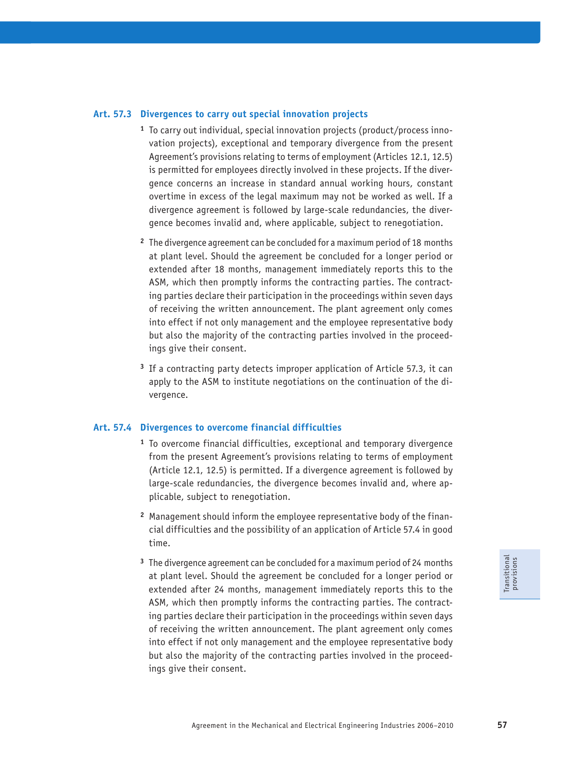## **Art. 57.3 Divergences to carry out special innovation projects**

- **1** To carry out individual, special innovation projects (product/process innovation projects), exceptional and temporary divergence from the present Agreement's provisions relating to terms of employment (Articles 12.1, 12.5) is permitted for employees directly involved in these projects. If the divergence concerns an increase in standard annual working hours, constant overtime in excess of the legal maximum may not be worked as well. If a divergence agreement is followed by large-scale redundancies, the divergence becomes invalid and, where applicable, subject to renegotiation.
- **<sup>2</sup>** The divergence agreement can be concluded for a maximum period of 18 months at plant level. Should the agreement be concluded for a longer period or extended after 18 months, management immediately reports this to the ASM, which then promptly informs the contracting parties. The contracting parties declare their participation in the proceedings within seven days of receiving the written announcement. The plant agreement only comes into effect if not only management and the employee representative body but also the majority of the contracting parties involved in the proceedings give their consent.
- **<sup>3</sup>** If a contracting party detects improper application of Article 57.3, it can apply to the ASM to institute negotiations on the continuation of the divergence.

## **Art. 57.4 Divergences to overcome financial difficulties**

- **<sup>1</sup>** To overcome financial difficulties, exceptional and temporary divergence from the present Agreement's provisions relating to terms of employment (Article 12.1, 12.5) is permitted. If a divergence agreement is followed by large-scale redundancies, the divergence becomes invalid and, where applicable, subject to renegotiation.
- **2** Management should inform the employee representative body of the financial difficulties and the possibility of an application of Article 57.4 in good time.
- **<sup>3</sup>** The divergence agreement can be concluded for a maximum period of 24 months at plant level. Should the agreement be concluded for a longer period or extended after 24 months, management immediately reports this to the ASM, which then promptly informs the contracting parties. The contracting parties declare their participation in the proceedings within seven days of receiving the written announcement. The plant agreement only comes into effect if not only management and the employee representative body but also the majority of the contracting parties involved in the proceedings give their consent.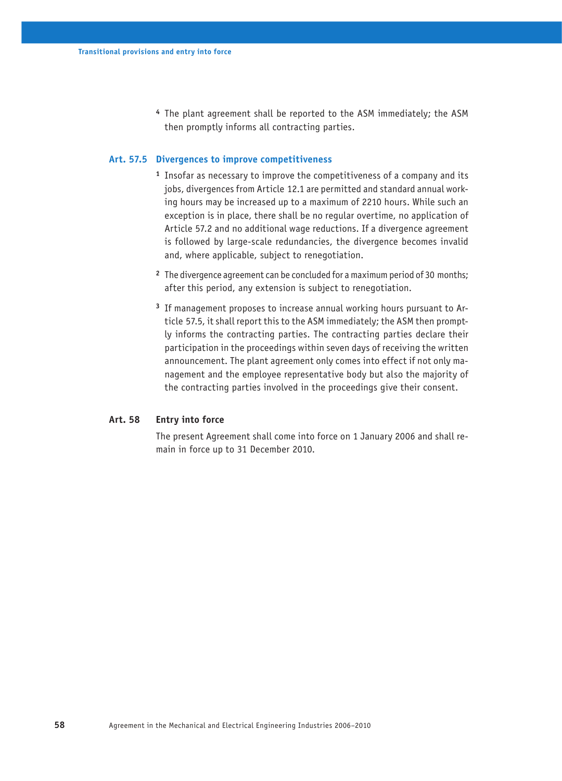**<sup>4</sup>** The plant agreement shall be reported to the ASM immediately; the ASM then promptly informs all contracting parties.

#### **Art. 57.5 Divergences to improve competitiveness**

- **<sup>1</sup>** Insofar as necessary to improve the competitiveness of a company and its jobs, divergences from Article 12.1 are permitted and standard annual working hours may be increased up to a maximum of 2210 hours. While such an exception is in place, there shall be no regular overtime, no application of Article 57.2 and no additional wage reductions. If a divergence agreement is followed by large-scale redundancies, the divergence becomes invalid and, where applicable, subject to renegotiation.
- **<sup>2</sup>** The divergence agreement can be concluded for a maximum period of 30 months; after this period, any extension is subject to renegotiation.
- **3** If management proposes to increase annual working hours pursuant to Article 57.5, it shall report this to the ASM immediately; the ASM then promptly informs the contracting parties. The contracting parties declare their participation in the proceedings within seven days of receiving the written announcement. The plant agreement only comes into effect if not only management and the employee representative body but also the majority of the contracting parties involved in the proceedings give their consent.

## **Art. 58 Entry into force**

The present Agreement shall come into force on 1 January 2006 and shall remain in force up to 31 December 2010.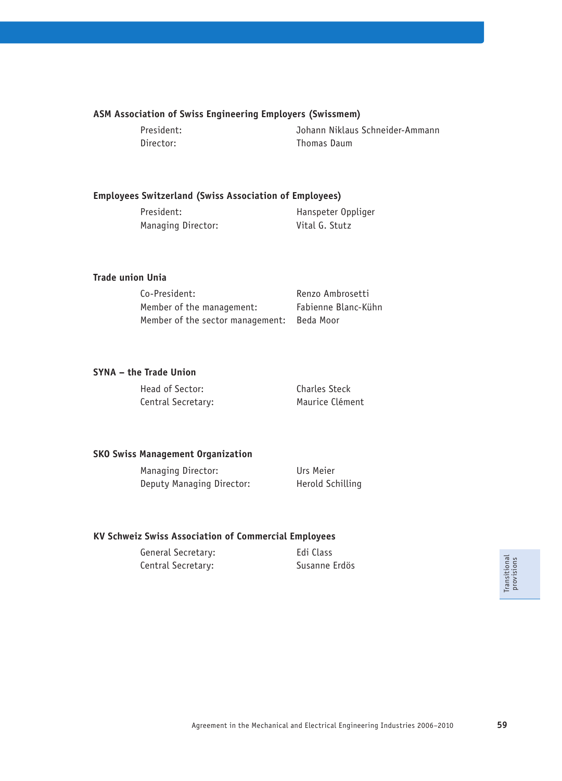## **ASM Association of Swiss Engineering Employers (Swissmem)**

President: Johann Niklaus Schneider-Ammann Director: Thomas Daum

## **Employees Switzerland (Swiss Association of Employees)**

| President:         | Hanspeter Oppliger |
|--------------------|--------------------|
| Managing Director: | Vital G. Stutz     |

## **Trade union Unia**

| Co-President:                    | Renzo Ambrosetti    |
|----------------------------------|---------------------|
| Member of the management:        | Fabienne Blanc-Kühn |
| Member of the sector management: | Beda Moor           |

## **SYNA – the Trade Union**

Head of Sector: Charles Steck Central Secretary: Maurice Clément

## **SKO Swiss Management Organization**

Managing Director: Urs Meier Deputy Managing Director: Herold Schilling

## **KV Schweiz Swiss Association of Commercial Employees**

General Secretary: Edi Class Central Secretary: Susanne Erdös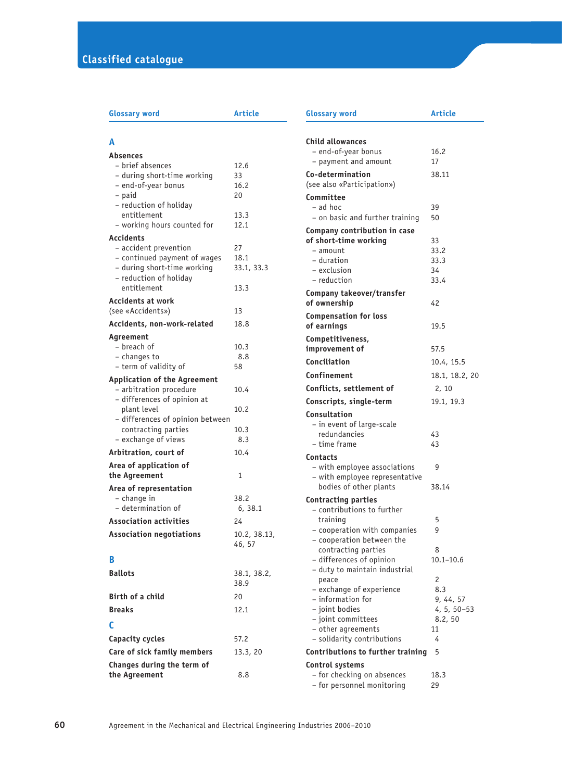| <b>Glossary word</b>                                  | <b>Article</b> | <b>Glossary word</b>              | <b>Article</b> |
|-------------------------------------------------------|----------------|-----------------------------------|----------------|
| А                                                     |                | <b>Child allowances</b>           |                |
|                                                       |                | - end-of-year bonus               | 16.2           |
| <b>Absences</b>                                       |                | - payment and amount              | 17             |
| - brief absences                                      | 12.6           | Co-determination                  | 38.11          |
| - during short-time working                           | 33             | (see also «Participation»)        |                |
| - end-of-year bonus<br>- paid                         | 16.2<br>20     |                                   |                |
| - reduction of holiday                                |                | Committee                         |                |
| entitlement                                           | 13.3           | $-$ ad hoc                        | 39             |
| - working hours counted for                           | 12.1           | - on basic and further training   | 50             |
|                                                       |                | Company contribution in case      |                |
| <b>Accidents</b>                                      | 27             | of short-time working             | 33             |
| - accident prevention<br>- continued payment of wages | 18.1           | $-$ amount                        | 33.2           |
| - during short-time working                           | 33.1, 33.3     | - duration                        | 33.3           |
| - reduction of holiday                                |                | - exclusion                       | 34             |
| entitlement                                           | 13.3           | - reduction                       | 33.4           |
|                                                       |                | Company takeover/transfer         |                |
| <b>Accidents at work</b>                              | 13             | of ownership                      | 42             |
| (see «Accidents»)                                     |                | <b>Compensation for loss</b>      |                |
| Accidents, non-work-related                           | 18.8           | of earnings                       | 19.5           |
| Agreement                                             |                | Competitiveness,                  |                |
| - breach of                                           | 10.3           | improvement of                    | 57.5           |
| - changes to                                          | 8.8            | Conciliation                      | 10.4, 1        |
| - term of validity of                                 | 58             |                                   |                |
| <b>Application of the Agreement</b>                   |                | Confinement                       | 18.1, 1        |
| - arbitration procedure                               | 10.4           | Conflicts, settlement of          | 2, 10          |
| - differences of opinion at                           |                | Conscripts, single-term           | 19.1, 19       |
| plant level                                           | 10.2           | Consultation                      |                |
| - differences of opinion between                      |                | - in event of large-scale         |                |
| contracting parties                                   | 10.3           | redundancies                      | 43             |
| - exchange of views                                   | 8.3            | - time frame                      | 43             |
| Arbitration, court of                                 | 10.4           | Contacts                          |                |
| Area of application of                                |                | – with employee associations      | 9              |
| the Agreement                                         | $\mathbf{1}$   | - with employee representative    |                |
| Area of representation                                |                | bodies of other plants            | 38.14          |
| - change in                                           | 38.2           | <b>Contracting parties</b>        |                |
| - determination of                                    | 6, 38.1        | - contributions to further        |                |
| <b>Association activities</b>                         | 24             | training                          | 5              |
|                                                       |                | - cooperation with companies      | 9              |
| <b>Association negotiations</b>                       | 10.2, 38.13,   | - cooperation between the         |                |
|                                                       | 46, 57         | contracting parties               | 8              |
| в                                                     |                | - differences of opinion          | $10.1 - 10$    |
| <b>Ballots</b>                                        | 38.1, 38.2,    | - duty to maintain industrial     |                |
|                                                       | 38.9           | peace                             | 2              |
|                                                       |                | - exchange of experience          | 8.3            |
| Birth of a child                                      | 20             | - information for                 | 9, 44,         |
| <b>Breaks</b>                                         | 12.1           | - joint bodies                    | 4, 5, 5        |
| C                                                     |                | - joint committees                | 8.2, 5         |
|                                                       |                | - other agreements                | 11             |
| Capacity cycles                                       | 57.2           | – solidarity contributions        | 4              |
| Care of sick family members                           | 13.3, 20       | Contributions to further training | 5              |
| Changes during the term of                            |                | Control systems                   |                |
| the Agreement                                         | 8.8            | - for checking on absences        | 18.3           |
|                                                       |                |                                   |                |

| <b>Glossary word</b>                                     | Article        |
|----------------------------------------------------------|----------------|
|                                                          |                |
| <b>Child allowances</b>                                  |                |
| - end-of-year bonus<br>- payment and amount              | 16.2<br>17     |
|                                                          |                |
| Co-determination                                         | 38.11          |
| (see also «Participation»)                               |                |
| Committee                                                |                |
| - ad hoc                                                 | 39             |
| - on basic and further training                          | 50             |
| Company contribution in case                             |                |
| of short-time working                                    | 33             |
| - amount                                                 | 33.2           |
| - duration<br>– exclusion                                | 33.3<br>34     |
| - reduction                                              | 33.4           |
|                                                          |                |
| Company takeover/transfer<br>of ownership                | 42             |
|                                                          |                |
| <b>Compensation for loss</b><br>of earnings              | 19.5           |
|                                                          |                |
| Competitiveness,<br>improvement of                       | 57.5           |
|                                                          |                |
| Conciliation                                             | 10.4, 15.5     |
| Confinement                                              | 18.1, 18.2, 20 |
| Conflicts, settlement of                                 | 2, 10          |
| Conscripts, single-term                                  | 19.1, 19.3     |
| Consultation                                             |                |
| – in event of large-scale                                |                |
| redundancies                                             | 43             |
| - time frame                                             | 43             |
| Contacts                                                 |                |
| - with employee associations                             | 9              |
| - with employee representative                           |                |
| bodies of other plants                                   | 38.14          |
| <b>Contracting parties</b>                               |                |
| - contributions to further                               |                |
| training<br>- cooperation with companies                 | 5<br>9         |
| - cooperation between the                                |                |
| contracting parties                                      | 8              |
| - differences of opinion                                 | $10.1 - 10.6$  |
| - duty to maintain industrial                            |                |
| peace                                                    | 2              |
| - exchange of experience                                 | 8.3            |
| – information for                                        | 9, 44, 57      |
| – joint bodies                                           | 4, 5, 50–53    |
| - joint committees                                       | 8.2, 50        |
| - other agreements                                       | 11             |
| – solidarity contributions                               | 4              |
| Contributions to further training                        | 5              |
| Control systems                                          | 18.3           |
| - for checking on absences<br>- for personnel monitoring | 29             |
|                                                          |                |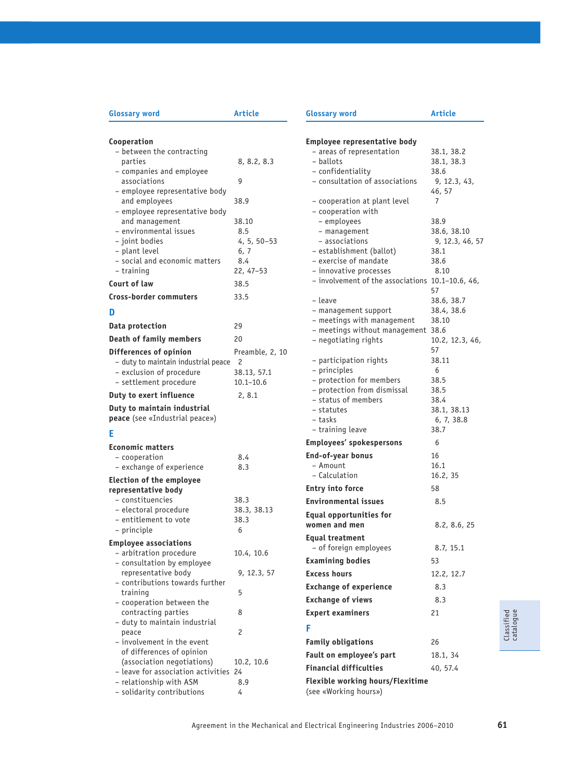| <b>Glossary word</b>                                    | <b>Article</b>      | <b>Glossary word</b>                               | <b>Article</b> |
|---------------------------------------------------------|---------------------|----------------------------------------------------|----------------|
| Cooperation                                             |                     | Employee representative body                       |                |
| - between the contracting                               |                     | - areas of representation                          | 38.1, 3        |
| parties                                                 | 8, 8.2, 8.3         | - ballots                                          | 38.1, 3        |
| - companies and employee                                |                     | - confidentiality                                  | 38.6           |
| associations                                            | 9                   | - consultation of associations                     | 9, 12.         |
| - employee representative body                          |                     |                                                    | 46, 57         |
| and employees                                           | 38.9                | - cooperation at plant level                       | 7              |
| - employee representative body                          |                     | - cooperation with                                 |                |
| and management                                          | 38.10               | - employees                                        | 38.9           |
| - environmental issues                                  | 8.5                 | - management                                       | 38.6, 3        |
| - joint bodies                                          | 4, 5, 50-53         | - associations                                     | 9, 12.3        |
| - plant level<br>- social and economic matters          | 6, 7                | - establishment (ballot)<br>- exercise of mandate  | 38.1<br>38.6   |
| – training                                              | 8.4<br>$22, 47-53$  | - innovative processes                             | 8.10           |
|                                                         |                     | - involvement of the associations 10.1-10          |                |
| Court of law                                            | 38.5                |                                                    | 57             |
| Cross-border commuters                                  | 33.5                | – leave                                            | 38.6, 3        |
| D                                                       |                     | - management support                               | 38.4, 3        |
|                                                         |                     | - meetings with management                         | 38.10          |
| Data protection                                         | 29                  | - meetings without management 38.6                 |                |
| <b>Death of family members</b>                          | 20                  | - negotiating rights                               | 10.2, 1        |
| Differences of opinion                                  | Preamble, 2, 10     |                                                    | 57             |
| - duty to maintain industrial peace                     | $\overline{c}$      | - participation rights                             | 38.11          |
| - exclusion of procedure                                | 38.13, 57.1         | - principles                                       | 6              |
| - settlement procedure                                  | $10.1 - 10.6$       | - protection for members                           | 38.5<br>38.5   |
| Duty to exert influence                                 | 2, 8.1              | - protection from dismissal<br>- status of members | 38.4           |
| Duty to maintain industrial                             |                     | - statutes                                         | 38.1, 3        |
| peace (see «Industrial peace»)                          |                     | - tasks                                            | 6, 7, 3        |
| F                                                       |                     | - training leave                                   | 38.7           |
|                                                         |                     | Employees' spokespersons                           | 6              |
| <b>Economic matters</b>                                 |                     | End-of-year bonus                                  | 16             |
| - cooperation                                           | 8.4                 | - Amount                                           | 16.1           |
| - exchange of experience                                | 8.3                 | – Calculation                                      | 16.2, 3        |
| <b>Election of the employee</b>                         |                     |                                                    |                |
| representative body                                     |                     | <b>Entry into force</b>                            | 58             |
| - constituencies<br>- electoral procedure               | 38.3<br>38.3, 38.13 | <b>Environmental issues</b>                        | 8.5            |
| - entitlement to vote                                   | 38.3                | <b>Equal opportunities for</b>                     |                |
| - principle                                             | 6                   | women and men                                      | 8.2, 8         |
|                                                         |                     | Equal treatment                                    |                |
| <b>Employee associations</b><br>- arbitration procedure | 10.4, 10.6          | - of foreign employees                             | 8.7, 1!        |
| - consultation by employee                              |                     | <b>Examining bodies</b>                            | 53             |
| representative body                                     | 9, 12.3, 57         | <b>Excess hours</b>                                | 12.2, 1        |
| - contributions towards further                         |                     |                                                    |                |
| training                                                | 5                   | <b>Exchange of experience</b>                      | 8.3            |
| - cooperation between the                               |                     | <b>Exchange of views</b>                           | 8.3            |
| contracting parties                                     | 8                   | <b>Expert examiners</b>                            | 21             |
| - duty to maintain industrial                           |                     | F                                                  |                |
| peace                                                   | 2                   |                                                    |                |
| - involvement in the event                              |                     | <b>Family obligations</b>                          | 26             |
| of differences of opinion                               |                     | Fault on employee's part                           | 18.1, 3        |
| (association negotiations)                              | 10.2, 10.6          | <b>Financial difficulties</b>                      | 40, 57.        |
| - leave for association activities 24                   |                     |                                                    |                |
| - relationship with ASM                                 | 8.9                 | <b>Flexible working hours/Flexitime</b>            |                |
| - solidarity contributions                              | 4                   | (see «Working hours»)                              |                |

| <b>Glossary word</b>                                                       | Article               |
|----------------------------------------------------------------------------|-----------------------|
|                                                                            |                       |
| Employee representative body<br>- areas of representation                  | 38.1, 38.2            |
| – ballots                                                                  | 38.1, 38.3            |
| – confidentiality                                                          | 38.6                  |
| - consultation of associations                                             | 9, 12.3, 43,          |
|                                                                            | 46, 57                |
| – cooperation at plant level                                               | 7                     |
| - cooperation with                                                         |                       |
| - employees                                                                | 38.9                  |
| - management                                                               | 38.6, 38.10           |
| – associations                                                             | 9, 12.3, 46, 57       |
| - establishment (ballot)                                                   | 38.1                  |
| - exercise of mandate                                                      | 38.6                  |
| – innovative processes<br>- involvement of the associations 10.1-10.6, 46, | 8.10                  |
|                                                                            | 57                    |
| – leave                                                                    | 38.6, 38.7            |
| - management support                                                       | 38.4, 38.6            |
| - meetings with management                                                 | 38.10                 |
| - meetings without management                                              | 38.6                  |
| - negotiating rights                                                       | 10.2, 12.3, 46,<br>57 |
| – participation rights                                                     | 38.11                 |
| – principles                                                               | 6                     |
| - protection for members                                                   | 38.5                  |
| - protection from dismissal                                                | 38.5                  |
| - status of members                                                        | 38.4                  |
| - statutes                                                                 | 38.1, 38.13           |
| - tasks                                                                    | 6, 7, 38.8            |
| – training leave                                                           | 38.7                  |
| Employees' spokespersons                                                   | 6                     |
| End-of-year bonus                                                          | 16                    |
| - Amount                                                                   | 16.1                  |
| – Calculation                                                              | 16.2, 35              |
| <b>Entry into force</b>                                                    | 58                    |
| <b>Environmental issues</b>                                                | 8.5                   |
| Equal opportunities for                                                    |                       |
| women and men                                                              | 8.2, 8.6, 25          |
| <b>Equal treatment</b>                                                     |                       |
| - of foreign employees                                                     | 8.7, 15.1             |
| <b>Examining bodies</b>                                                    | 53                    |
| <b>Excess hours</b>                                                        | 12.2, 12.7            |
| <b>Exchange of experience</b>                                              | 8.3                   |
| <b>Exchange of views</b>                                                   | 8.3                   |
| <b>Expert examiners</b>                                                    | 21                    |
| F                                                                          |                       |
| <b>Family obligations</b>                                                  | 26                    |
| Fault on employee's part                                                   | 18.1, 34              |
| <b>Financial difficulties</b>                                              | 40, 57.4              |
| <b>Flexible working hours/Flexitime</b>                                    |                       |
| (see «Working hours»)                                                      |                       |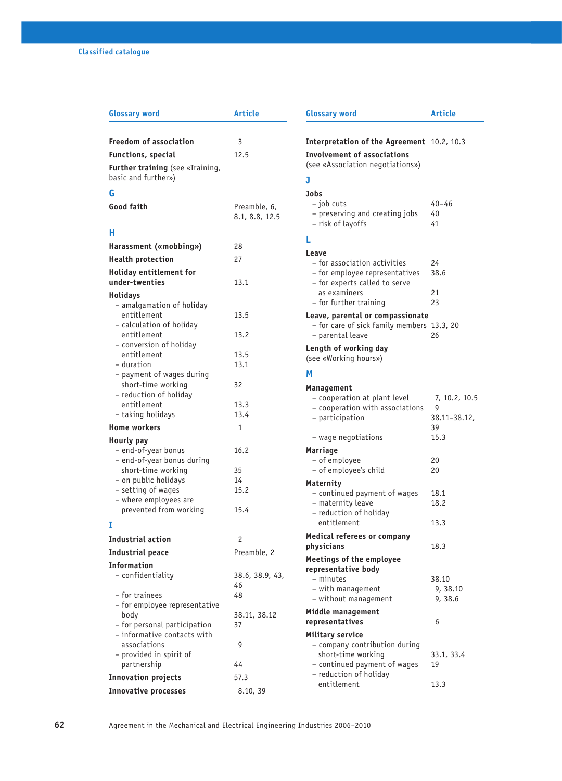| <b>Glossary word</b>                                                   | <b>Article</b>                 | <b>Glossary word</b>                                                          | <b>Article</b>        |
|------------------------------------------------------------------------|--------------------------------|-------------------------------------------------------------------------------|-----------------------|
| <b>Freedom of association</b>                                          | 3                              | Interpretation of the Agreement 10.2, 1                                       |                       |
| <b>Functions, special</b>                                              | 12.5                           | <b>Involvement of associations</b>                                            |                       |
| <b>Further training</b> (see «Training,<br>basic and further»)         |                                | (see «Association negotiations»)<br>J                                         |                       |
| G                                                                      |                                | Jobs                                                                          |                       |
| Good faith                                                             | Preamble, 6,<br>8.1, 8.8, 12.5 | - job cuts<br>- preserving and creating jobs<br>- risk of layoffs             | $40 - 46$<br>40<br>41 |
| н                                                                      |                                | L                                                                             |                       |
| Harassment («mobbing»)                                                 | 28                             | Leave                                                                         |                       |
| <b>Health protection</b>                                               | 27                             | - for association activities                                                  | 24                    |
| Holiday entitlement for<br>under-twenties                              | 13.1                           | - for employee representatives<br>- for experts called to serve               | 38.6                  |
| <b>Holidays</b><br>- amalgamation of holiday                           |                                | as examiners<br>- for further training                                        | 21<br>23              |
| entitlement<br>- calculation of holiday                                | 13.5                           | Leave, parental or compassionate<br>- for care of sick family members 13.3, 2 |                       |
| entitlement                                                            | 13.2                           | - parental leave                                                              | 26                    |
| - conversion of holiday<br>entitlement<br>- duration                   | 13.5<br>13.1                   | Length of working day<br>(see «Working hours»)                                |                       |
| - payment of wages during                                              |                                | М                                                                             |                       |
| short-time working<br>- reduction of holiday                           | 32                             | Management<br>- cooperation at plant level                                    | 7, 10.3               |
| entitlement<br>– taking holidays                                       | 13.3<br>13.4                   | - cooperation with associations<br>- participation                            | 9<br>$38.11 - 3$      |
| <b>Home workers</b>                                                    | $\mathbf{1}$                   |                                                                               | 39                    |
| Hourly pay                                                             |                                | – wage negotiations                                                           | 15.3                  |
| - end-of-year bonus<br>- end-of-year bonus during                      | 16.2                           | Marriage<br>- of employee                                                     | 20                    |
| short-time working<br>- on public holidays                             | 35<br>14                       | - of employee's child                                                         | 20                    |
| - setting of wages<br>- where employees are                            | 15.2                           | Maternity<br>- continued payment of wages<br>- maternity leave                | 18.1<br>18.2          |
| prevented from working<br>Т                                            | 15.4                           | - reduction of holiday<br>entitlement                                         | 13.3                  |
|                                                                        |                                | Medical referees or company                                                   |                       |
| Industrial action                                                      | 2                              | physicians                                                                    | 18.3                  |
| Industrial peace                                                       | Preamble, 2                    | Meetings of the employee                                                      |                       |
| Information<br>- confidentiality                                       | 38.6, 38.9, 43,<br>46          | representative body<br>– minutes                                              | 38.10                 |
| - for trainees<br>- for employee representative                        | 48                             | - with management<br>– without management                                     | 9, 38.<br>9, 38.      |
| body<br>- for personal participation                                   | 38.11, 38.12<br>37             | Middle management<br>representatives                                          | 6                     |
| - informative contacts with<br>associations<br>- provided in spirit of | 9                              | Military service<br>- company contribution during<br>short-time working       | 33.1, 31              |
| partnership                                                            | 44                             | - continued payment of wages                                                  | 19                    |
| <b>Innovation projects</b>                                             | 57.3                           | - reduction of holiday<br>entitlement                                         | 13.3                  |
| <b>Innovative processes</b>                                            | 8.10, 39                       |                                                                               |                       |

| Glossary word                                                                    | <b>Article</b>  |
|----------------------------------------------------------------------------------|-----------------|
| Interpretation of the Agreement 10.2, 10.3<br><b>Involvement of associations</b> |                 |
| (see «Association negotiations»)                                                 |                 |
| J                                                                                |                 |
| Jobs                                                                             |                 |
| – job cuts<br>- preserving and creating jobs                                     | $40 - 46$<br>40 |
| – risk of layoffs                                                                | 41              |
| L                                                                                |                 |
| Leave                                                                            |                 |
| – for association activities                                                     | 24              |
| – for employee representatives                                                   | 38.6            |
| - for experts called to serve<br>as examiners                                    | 21              |
| - for further training                                                           | 23              |
| Leave, parental or compassionate                                                 |                 |
| - for care of sick family members 13.3, 20                                       |                 |
| - parental leave                                                                 | 26              |
| Length of working day                                                            |                 |
| (see «Working hours»)                                                            |                 |
| М                                                                                |                 |
|                                                                                  |                 |
| Management<br>– cooperation at plant level                                       | 7, 10.2, 10.5   |
| - cooperation with associations                                                  | 9               |
| - participation                                                                  | 38.11–38.12,    |
|                                                                                  | 39              |
| - wage negotiations                                                              | 15.3            |
| Marriage                                                                         |                 |
| – of employee                                                                    | 20              |
| - of employee's child                                                            | 20              |
| Maternity                                                                        |                 |
| - continued payment of wages<br>– maternity leave                                | 18.1<br>18.2    |
| - reduction of holiday                                                           |                 |
| entitlement                                                                      | 13.3            |
| Medical referees or company                                                      |                 |
| physicians                                                                       | 18.3            |
| Meetings of the employee                                                         |                 |
| representative body                                                              |                 |
| - minutes                                                                        | 38.10           |
| – with management                                                                | 9, 38.10        |
| – without management<br>Middle management                                        | 9, 38.6         |
| representatives                                                                  | 6               |
| Military service                                                                 |                 |
| - company contribution during                                                    |                 |
| short-time working                                                               | 33.1, 33.4      |
| - continued payment of wages                                                     | 19              |
| - reduction of holiday                                                           |                 |
| entitlement                                                                      | 13.3            |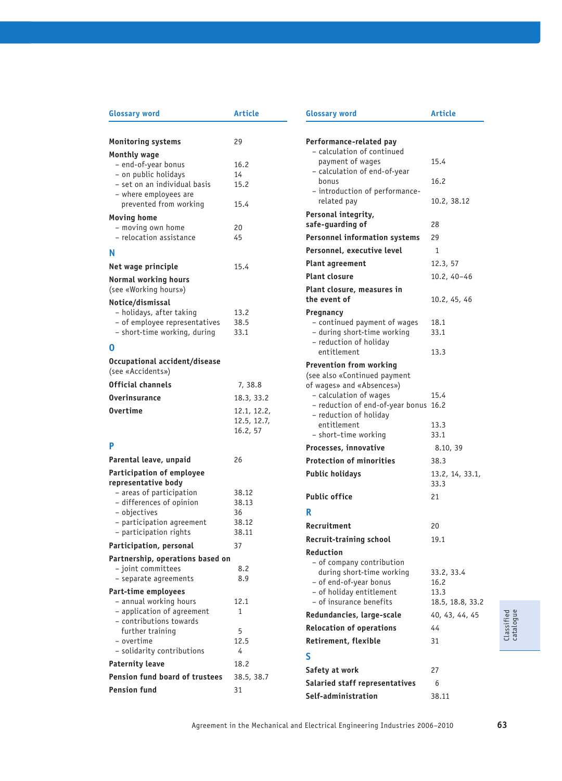| <b>Glossary word</b>                                  | <b>Article</b>             | <b>Glossary word</b>                                      | <b>Article</b> |
|-------------------------------------------------------|----------------------------|-----------------------------------------------------------|----------------|
| <b>Monitoring systems</b>                             | 29                         | Performance-related pay                                   |                |
|                                                       |                            | - calculation of continued                                |                |
| Monthly wage<br>- end-of-year bonus                   | 16.2                       | payment of wages                                          | 15.4           |
| - on public holidays                                  | 14                         | - calculation of end-of-year                              |                |
| - set on an individual basis                          | 15.2                       | bonus                                                     | 16.2           |
| - where employees are                                 |                            | - introduction of performance-                            |                |
| prevented from working                                | 15.4                       | related pay                                               | 10.2, 3        |
| <b>Moving home</b>                                    |                            | Personal integrity,                                       |                |
| - moving own home                                     | 20                         | safe-guarding of                                          | 28             |
| - relocation assistance                               | 45                         | <b>Personnel information systems</b>                      | 29             |
| N                                                     |                            | Personnel, executive level                                | 1              |
| Net wage principle                                    | 15.4                       | <b>Plant agreement</b>                                    | 12.3, 5        |
| <b>Normal working hours</b>                           |                            | <b>Plant closure</b>                                      | 10.2, 4        |
| (see «Working hours»)                                 |                            | Plant closure, measures in                                |                |
| Notice/dismissal                                      |                            | the event of                                              | 10.2, 4        |
| - holidays, after taking                              | 13.2                       | Pregnancy                                                 |                |
| - of employee representatives                         | 38.5                       | - continued payment of wages                              | 18.1           |
| - short-time working, during                          | 33.1                       | - during short-time working                               | 33.1           |
| 0                                                     |                            | - reduction of holiday                                    |                |
| Occupational accident/disease                         |                            | entitlement                                               | 13.3           |
| (see «Accidents»)                                     |                            | Prevention from working                                   |                |
| <b>Official channels</b>                              | 7, 38.8                    | (see also «Continued payment<br>of wages» and «Absences») |                |
| <b>Overinsurance</b>                                  | 18.3, 33.2                 | - calculation of wages                                    | 15.4           |
| <b>Overtime</b>                                       |                            | - reduction of end-of-year bonus 16.2                     |                |
|                                                       | 12.1, 12.2,<br>12.5, 12.7, | - reduction of holiday                                    |                |
|                                                       | 16.2, 57                   | entitlement                                               | 13.3           |
| P                                                     |                            | - short-time working                                      | 33.1           |
|                                                       |                            | Processes, innovative                                     | 8.10,          |
| Parental leave, unpaid                                | 26                         | <b>Protection of minorities</b>                           | 38.3           |
| Participation of employee                             |                            | <b>Public holidays</b>                                    | 13.2, 1        |
| representative body<br>- areas of participation       | 38.12                      |                                                           | 33.3           |
| - differences of opinion                              | 38.13                      | <b>Public office</b>                                      | 21             |
| - objectives                                          | 36                         | R                                                         |                |
| - participation agreement                             | 38.12                      | Recruitment                                               | 20             |
| - participation rights                                | 38.11                      | Recruit-training school                                   | 19.1           |
| Participation, personal                               | 37                         | Reduction                                                 |                |
| Partnership, operations based on                      |                            | - of company contribution                                 |                |
| - joint committees                                    | 8.2                        | during short-time working                                 | 33.2, 31       |
| - separate agreements                                 | 8.9                        | - of end-of-year bonus                                    | 16.2           |
| Part-time employees                                   |                            | - of holiday entitlement                                  | 13.3           |
| - annual working hours                                | 12.1                       | – of insurance benefits                                   | 18.5, 18       |
| - application of agreement<br>- contributions towards | 1                          | Redundancies, large-scale                                 | 40, 43,        |
| further training                                      | 5                          | <b>Relocation of operations</b>                           | 44             |
| - overtime                                            | 12.5                       | Retirement, flexible                                      | 31             |
| - solidarity contributions                            | 4                          |                                                           |                |
| <b>Paternity leave</b>                                | 18.2                       | S                                                         |                |
| Pension fund board of trustees                        | 38.5, 38.7                 | Safety at work                                            | 27             |
| <b>Pension fund</b>                                   | 31                         | Salaried staff representatives                            | 6              |
|                                                       |                            |                                                           |                |

| <b>Glossary word</b>                                       | <b>Article</b>          |
|------------------------------------------------------------|-------------------------|
|                                                            |                         |
| Performance-related pay                                    |                         |
| - calculation of continued                                 |                         |
| payment of wages                                           | 15.4                    |
| - calculation of end-of-year<br>bonus                      | 16.2                    |
| - introduction of performance-                             |                         |
| related pay                                                | 10.2, 38.12             |
| Personal integrity,                                        |                         |
| safe-guarding of                                           | 28                      |
| <b>Personnel information systems</b>                       | 29                      |
| Personnel, executive level                                 | 1                       |
| Plant agreement                                            | 12.3, 57                |
| <b>Plant closure</b>                                       | $10.2, 40 - 46$         |
| Plant closure, measures in                                 |                         |
| the event of                                               | 10.2, 45, 46            |
| Pregnancy                                                  |                         |
| - continued payment of wages                               | 18.1                    |
| - during short-time working<br>- reduction of holiday      | 33.1                    |
| entitlement                                                | 13.3                    |
| <b>Prevention from working</b>                             |                         |
| (see also «Continued payment                               |                         |
| of wages» and «Absences»)                                  |                         |
| - calculation of wages<br>- reduction of end-of-year bonus | 15.4<br>16.2            |
| - reduction of holiday                                     |                         |
| entitlement                                                | 13.3                    |
| - short-time working                                       | 33.1                    |
| Processes, innovative                                      | 8.10, 39                |
| <b>Protection of minorities</b>                            | 38.3                    |
| Public holidays                                            | 13.2, 14, 33.1,<br>33.3 |
| <b>Public office</b>                                       | 21                      |
| R                                                          |                         |
| Recruitment                                                | 20                      |
| Recruit-training school                                    | 19.1                    |
| Reduction                                                  |                         |
| - of company contribution                                  |                         |
| during short-time working                                  | 33.2, 33.4              |
| - of end-of-year bonus<br>– of holiday entitlement         | 16.2<br>13.3            |
| - of insurance benefits                                    | 18.5, 18.8, 33.2        |
| Redundancies, large-scale                                  | 40, 43, 44, 45          |
| <b>Relocation of operations</b>                            | 44                      |
| Retirement, flexible                                       | 31                      |
|                                                            |                         |
| S                                                          |                         |
| Safety at work                                             | 27                      |
| Salaried staff representatives                             | 6                       |
| Self-administration                                        | 38.11                   |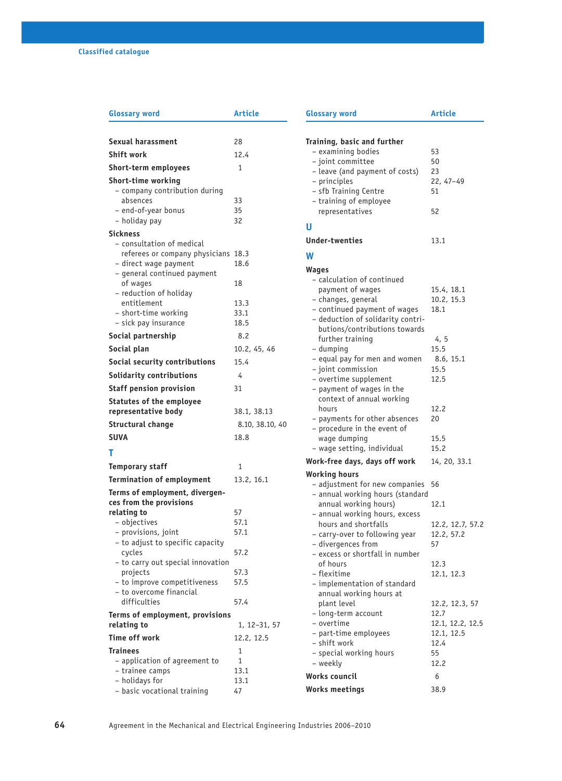| <b>Glossary word</b>                                             | <b>Article</b>  | <b>Glossary word</b>                                               | Article          |
|------------------------------------------------------------------|-----------------|--------------------------------------------------------------------|------------------|
| Sexual harassment                                                | 28              | Training, basic and further                                        |                  |
| Shift work                                                       | 12.4            | - examining bodies                                                 | 53               |
|                                                                  |                 | - joint committee                                                  | 50               |
| Short-term employees                                             | 1               | - leave (and payment of costs)                                     | 23               |
| Short-time working                                               |                 | - principles                                                       | $22, 47-$        |
| - company contribution during                                    |                 | - sfb Training Centre                                              | 51               |
| absences                                                         | 33              | - training of employee                                             |                  |
| - end-of-year bonus<br>- holiday pay                             | 35<br>32        | representatives                                                    | 52               |
|                                                                  |                 | U                                                                  |                  |
| <b>Sickness</b>                                                  |                 | <b>Under-twenties</b>                                              | 13.1             |
| - consultation of medical<br>referees or company physicians 18.3 |                 |                                                                    |                  |
| - direct wage payment                                            | 18.6            | W                                                                  |                  |
| - general continued payment                                      |                 | Wages                                                              |                  |
| of wages                                                         | 18              | - calculation of continued                                         |                  |
| - reduction of holiday                                           |                 | payment of wages                                                   | 15.4, 1          |
| entitlement                                                      | 13.3            | - changes, general                                                 | 10.2, 1          |
| - short-time working                                             | 33.1            | - continued payment of wages                                       | 18.1             |
| - sick pay insurance                                             | 18.5            | - deduction of solidarity contri-<br>butions/contributions towards |                  |
| Social partnership                                               | 8.2             | further training                                                   | 4, 5             |
| Social plan                                                      | 10.2, 45, 46    | - dumping                                                          | 15.5             |
|                                                                  | 15.4            | - equal pay for men and women                                      | 8.6, 1           |
| Social security contributions                                    |                 | - joint commission                                                 | 15.5             |
| Solidarity contributions                                         | 4               | - overtime supplement                                              | 12.5             |
| <b>Staff pension provision</b>                                   | 31              | - payment of wages in the                                          |                  |
| <b>Statutes of the employee</b>                                  |                 | context of annual working                                          |                  |
| representative body                                              | 38.1, 38.13     | hours                                                              | 12.2             |
| Structural change                                                | 8.10, 38.10, 40 | - payments for other absences                                      | 20               |
| <b>SUVA</b>                                                      | 18.8            | - procedure in the event of<br>waqe dumping                        | 15.5             |
|                                                                  |                 | - wage setting, individual                                         | 15.2             |
| т                                                                |                 |                                                                    | 14, 20,          |
| <b>Temporary staff</b>                                           | 1               | Work-free days, days off work                                      |                  |
| <b>Termination of employment</b>                                 | 13.2, 16.1      | <b>Working hours</b><br>- adjustment for new companies 56          |                  |
| Terms of employment, divergen-                                   |                 | - annual working hours (standard                                   |                  |
| ces from the provisions                                          |                 | annual working hours)                                              | 12.1             |
| relating to                                                      | 57              | - annual working hours, excess                                     |                  |
| - objectives                                                     | 57.1            | hours and shortfalls                                               | 12.2, 1          |
| - provisions, joint                                              | 57.1            | - carry-over to following year                                     | 12.2, 5          |
| - to adjust to specific capacity                                 |                 | - divergences from                                                 | 57               |
| cycles                                                           | 57.2            | - excess or shortfall in number                                    |                  |
| - to carry out special innovation                                |                 | of hours                                                           | 12.3             |
| projects                                                         | 57.3            | - flexitime                                                        | 12.1, 1          |
| - to improve competitiveness<br>- to overcome financial          | 57.5            | - implementation of standard                                       |                  |
| difficulties                                                     | 57.4            | annual working hours at                                            |                  |
|                                                                  |                 | plant level                                                        | 12.2, 1          |
| Terms of employment, provisions                                  |                 | - long-term account<br>- overtime                                  | 12.7<br>12.1, 12 |
| relating to                                                      | 1, 12–31, 57    | - part-time employees                                              | 12.1, 11         |
| Time off work                                                    | 12.2, 12.5      | – shift work                                                       | 12.4             |
| <b>Trainees</b>                                                  | 1               | - special working hours                                            | 55               |
| - application of agreement to                                    | $\mathbf{1}$    | – weekly                                                           | 12.2             |
| - trainee camps                                                  | 13.1            | Works council                                                      | 6                |
| - holidays for                                                   | 13.1            | <b>Works meetings</b>                                              | 38.9             |
| - basic vocational training                                      | 47              |                                                                    |                  |

| <b>Glossary word</b>                               | Article          |
|----------------------------------------------------|------------------|
| Training, basic and further                        |                  |
| - examining bodies                                 | 53               |
| - joint committee                                  | 50               |
| - leave (and payment of costs)                     | 23               |
| - principles                                       | 22, 47-49        |
| - sfb Training Centre                              | 51               |
| - training of employee                             |                  |
| representatives                                    | 52               |
| U                                                  |                  |
| <b>Under-twenties</b>                              | 13.1             |
| W                                                  |                  |
| Wages                                              |                  |
| - calculation of continued                         |                  |
| payment of wages                                   | 15.4, 18.1       |
| - changes, general                                 | 10.2, 15.3       |
| - continued payment of wages                       | 18.1             |
| - deduction of solidarity contri-                  |                  |
| butions/contributions towards                      |                  |
| further training                                   | 4, 5             |
| - dumping                                          | 15.5             |
| - equal pay for men and women                      | 8.6, 15.1        |
| - joint commission                                 | 15.5             |
| - overtime supplement<br>- payment of wages in the | 12.5             |
| context of annual working                          |                  |
| hours                                              | 12.2             |
| - payments for other absences                      | 20               |
| - procedure in the event of                        |                  |
| waqe dumpinq                                       | 15.5             |
| - wage setting, individual                         | 15.2             |
| Work-free days, days off work                      | 14, 20, 33.1     |
| Working hours                                      |                  |
| - adjustment for new companies                     | 56               |
| - annual working hours (standard                   |                  |
| annual working hours)                              | 12.1             |
| - annual working hours, excess                     |                  |
| hours and shortfalls                               | 12.2, 12.7, 57.2 |
| - carry-over to following year                     | 12.2, 57.2       |
| - divergences from                                 | 57               |
| - excess or shortfall in number                    |                  |
| of hours                                           | 12.3             |
| - flexitime                                        | 12.1, 12.3       |
| - implementation of standard                       |                  |
| annual working hours at                            |                  |
| plant level                                        | 12.2, 12.3, 57   |
| - long-term account                                | 12.7             |
| – overtime                                         | 12.1, 12.2, 12.5 |
| - part-time employees                              | 12.1, 12.5       |
| – shift work                                       | 12.4             |
| - special working hours                            | 55               |
| – weekly                                           | 12.2             |
| Works council                                      | 6                |
| <b>Works meetings</b>                              | 38.9             |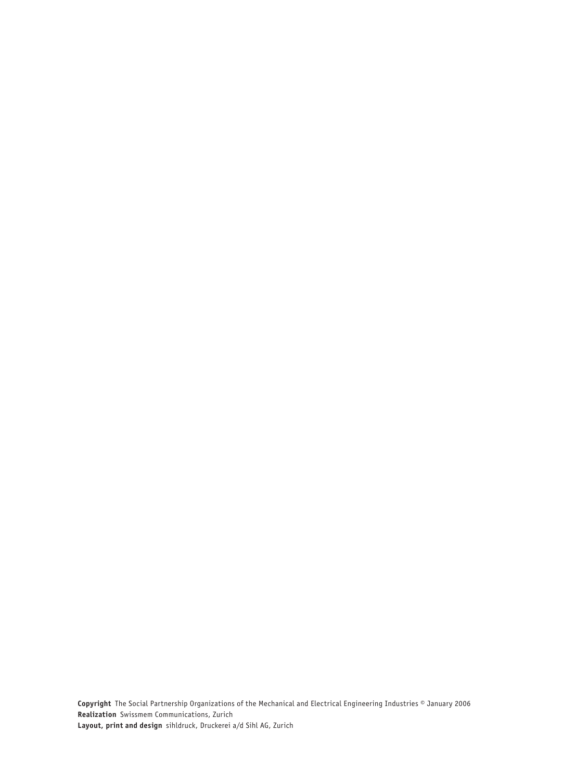**Copyright** The Social Partnership Organizations of the Mechanical and Electrical Engineering Industries © January 2006 **Realization** Swissmem Communications, Zurich **Layout, print and design** sihldruck, Druckerei a/d Sihl AG, Zurich